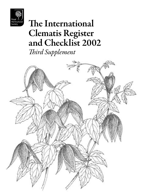

# The International Clematis Register and Checklist 2002

*Third Supplement*

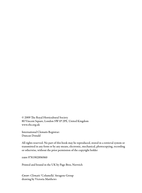© 2009 The Royal Horticultural Society 80 Vincent Square, London SW1P 2PE, United Kingdom www.rhs.org.uk

International Clematis Registrar: Duncan Donald

All rights reserved. No part of this book may be reproduced, stored in a retrieval system or transmitted in any form or by any means, electronic, mechanical, photocopying, recording or otherwise, without the prior permission of the copyright holder

isbn 9781902896960

Printed and bound in the UK by Page Bros, Norwich

*Cover: Clematis* 'Columella' Atragene Group drawing by Victoria Matthews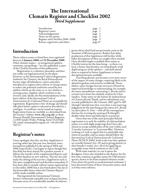### The International Clematis Register and Checklist 2002 *Third Supplement*

Introduction page 1 Registrar's notes page 1 Acknowledgements page 2 Notes on the entries<br>
Register and Checklist 2006–2008 page 5 Register and Checklist 2006–2008 page 5 Raisers, registrants and others

### Introduction

Those cultivar names so listed here were registered between 1 January 2006 and 31 December 2008. Other clematis names – *eg* unregistered epithets, synonyms, misspellings – are also published, as part of the *Checklist* function of this publication.

Registration is a voluntary procedure and does not confer any legal protection on the plant. However, as the International Cultivar Registration Authority for *Clematis*, the Royal Horticultural Society urges all hybridizers, raisers and other introducers to register their cultivar or Group names to reduce the potential confusion caused by new epithets which are the same as, or very similar to, existing names. Epithets which conform to the Articles (and, ideally, the Recommendations) of the latest edition of the *International Code of Nomenclature for Cultivated Plants*are acceptable for registration. Registration is free of charge and should take place before a plant is released or described in a catalogue. A certificate can be issued on request. Registration forms are available as a download from the Society's website: www.rhs.org.uk; or from Duncan Donald, International Clematis Registrar, c/o RHS Garden Wisley, Woking, Surrey GU23 6QB, UK; email: clematis@rhs.org.uk; tel: +44 (0)1445 781717.

### Registrar's notes

I must apologise that this, my first, *Supplement* is arriving rather late (the past two, biennial, issues having been published in the spring of 2004 and 2006 respectively). I am happy to report though that this delay has been mainly for a positive reason: it follows the transfer of the computerised *Register and Checklist* database to new software. This has not only made the editing of the text for a *Supplement* such as this more straightforward and therefore immediate (I have been able to include cultivar names registered up to December 2008) but it also foreshadows the day in the foreseeable future when the Clematis *Register* will be made available online.

Having joined the International Clematis Society's immensely enjoyable tour in Japan last June, I became aware of a considerable number of cultivars

grown there which had not previously come to the attention of Western growers. Rather than delay production of this *Supplement* still further while fuller descriptions of these are sought where needed, I have decided simply to publish these names as *Checklist* entries for the time being – so there is at least a chance that breeders can immediately avoid duplicating use of the epithets – and shall amend these as required in future *Supplements* as better descriptions become available.

Travelling abroad, one becomes even more aware of the impact of name changes, requiring labels to be theless, some changes become necessary if based on improved knowledge or understanding: for example, the many amendments concerning *C. florida* and its variants arise from the scholarly analysis by Chris Sanders, 'Some notes on the history & nomenclature of *Clematis florida* Thunb. and its subordinate taxa', (though I should note that, even then, I am reserving judgement for the time being on the status of *C.florida* var. *flore-pleno* G. Don – with all the consequences that has for revising the naming of Fothergill's double-white form and defining its synonyms).

Given that one of the main principles behind registration is to seek the stability of cultivated plant names, it is with slight misgivings that I have also chosen to accept modification of the now widely used 'Caerulea Luxurians' to 'Luxuriant Blue'. However, in doing so I wish to signal that it is preferable that wherever possible cultivar names should follow the *International Code of Nomenclature for Cultivated Plants* (ICNCP, 2004), both in the way their epithets are actually formed (Art. 19) and in giving priority to their breeder's wishes (Art. 28.4) for applying an acceptable name which conforms to the Code.

With some temerity, in case it opens the floodgates, I have also included in the *Register* for the first time common or garden names for wild clematis species, drawn so far from standard reference works. I have done this partly to avoid potential confusion: I have discovered some of these vernacular names cited as if they were cultivars.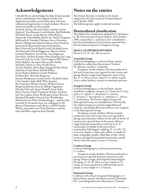## Acknowledgements

I should like to acknowledge the help of many people whose contributions have helped to make this *Supplement* possible, particularly those who have volunteered registrations in timely fashion. Those to whom my thanks are due include: Yoshiaki Aihara, Bernard Allen, Laurence Arène-Quérard, Tom Bennett, Linda Beutler, Kjell Bolinder, Sue Both-Fourie, Colin Brown, Mike Brown, Tamara & Valera Bubliy, Rudi Caes, Sheila Chapman, Mikiyoshi & Tomoko Chikuma, Steve Christmas, Brian Collingwood, Marcus Dancer, Peter Dealtrey, Jeremy Earl, Raymond Evison, Kirk Fieseler, Barry Fretwell, Jon & Ruth Gooch, Richard Green, Ton Hannink, David Higginson, Maurice Horn, Graham Hutchins, Aivars Irbe, Lars Jørgensen, Eino Kala, Akihito Kaneko, Peter Keeping, Ian Lang, Everett Leeds, Joe Link, Timo Löfgren, Nick Macer, Erika Mahhov, Szczepan Marczyński, Robin Mitchell, Valerie Le May Neville-Parry, Teruko Nishida, Mette Ryge Nørgaard, Roy Nunn, Malcolm Oviatt-Ham, Harold Pellett, Ian & Barbara Pollard, Charlie Pridham, Graham Rice, Brewster Rogerson, Kimmo Rumpunen, Lothar Sachs, Elisabeth Sahin, Chris Sanders, John Skill, Wim Snoeijer, Peer Sorensen, Werner Stastny, Willem Straver, Bengt Sundström, Kozo & Mikiko Sugimoto, Hiroshi Takeuchi, Susan Tindall, Susan Toler, Mary Toomey, Keith Treadaway, Ritzky Tsuchiya, Jim Van Laeken, Horst Weihrauch, Fraser Wescott, Manfred Westphal, Fiona & Ken Woolfenden, Michiel Zwaan, Pieter Zwijnenburg jr – and last, but certainly by no means least, my colleagues in the Botany Department and Library at RHS Garden Wisley; my predecessor Vicki Matthews; and my wife and fellow registrar Kate Donald.

### Notes on the entries

The format of entries is similar to the layout adopted for *The International Clematis Register and Checklist 2002*.

The following notes apply to selected sections:

### Horticultural classification

This follows the classification adopted by V. Matthews in *The International Clematis Register and Checklist 2002*, except that *C. ispahanica*, now considered to have been included in error, has been omitted from the list of parent species in Tangutica Group.

#### Small-flowered Division

Flowers  $(1.5 - 2 - 12(-18))$  cm across.

#### Armandii Group

Cultivars belonging to, or derived from, species classified in subsection *Meyenianae* (Tamura) M. Johnson, mainly *C. armandii*.

Evergreen woody climbers. Flowers produced in leaf-axils of previous year's growth in late winter and spring. Flowers single, bowl-shaped or more or less flat,  $4-7(-10)$  cm across. Sepals  $4-6$ , white or pink. Leaves rather leathery, ternate or sometimes pinnate.

#### Atragene Group

Cultivars belonging to, or derived from, species classified in subgenus *Atragene* (L.) Torrey & A. Gray, such as *C. alpina, C. chiisanensis, C. fauriei, C. koreana, C. macropetala, C. ochotensis, C. sibirica, C. turkestanica*. The former Alpina Group and Macropetala Group are included here. Historically, the Alpina Group was used for single-flowered cultivars, and double-flowered cultivars were assigned to the Macropetala Group.

Deciduous woody climbers. Flowers mainly produced in leaf-axils of previous year's growth in spring, and sometimes solitary at the ends of shoots of current year's growth later in the season. Flowers single (lacking staminodes or with up to  $4(-5)$ ) staminodes) or double (with more than 6 staminodes), bell-shaped, nodding, (2–)4–10(–12) cm across. Sepals 4, white, pale yellow, or shades of pink, red-purple, purple, violet-blue or blue. Outer stamens changed into petaloid staminodes, usually shorter than the sepals. Leaves 1–2-ternate.

#### Cirrhosa Group

Cultivars belonging to, or derived mainly from, *C. cirrhosa*.

Evergreen woody climbers. Flowers produced on previous year's growth from late autumn to early spring. Flowers single, bell-shaped to bowl-shaped, drooping,  $(2-)5-8(-10)$  cm across. Sepals  $4(-5)$ , cream, or cream-speckled or suffused with red or purple. Leaves simple or 1–2-ternate.

#### Flammula Group

Cultivars with at least one parent belonging to, or derived from, species classified in section *Flammula* DC. (excluding subsection *Meyenianae* (Tamura)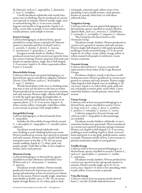M. Johnson), such as *C. angustifolia, C. flammula, C. recta, C. terniflora*.

Usually deciduous subshrubs with woody base, stems erect or climbing. Flowers produced on current year's growth in summer. Flowers usually single, erect or outward-facing, flat, 2–4 cm across, usually fragrant and usually in large panicles. Sepals 4–6, white, cream, blue or purple. Leaves rather leathery, usually pinnate, rarely simple or ternate.

#### Forsteri Group

Cultivars belonging to, or derived from, species classified in section *Novae-zeelandiae* M. Johnson (native to Australia and New Zealand) such as *C. australis, C. foetida, C. forsteri, C. marata, C. marmoraria, C. paniculata, C. petriei*. Evergreen woody shrubs or climbers. Flowers

produced on previous and current year's growth, from late winter to spring. Flowers unisexual with male and female on separate plants, single, flat to bell-shaped, 2–9 cm across. Sepals 4–8, white to greenish-yellow. Leaves 1–2-ternate.

#### Heracleifolia Group

Cultivars with at least one parent belonging to, or derived from, species classified in subgenus *Tubulosa* (Decne.) Grey-Wilson, such as *C. heracleifolia,* 

*C. stans, C. tubulosa*. Woody-based plants with erect or climbing stems that may or may not die down to the base in winter. Flowers produced on current year's growth in summer and early autumn. Flowers single, tubular, bell-shaped or with the sepals spreading, hermaphrodite, or unisexual with male and female on the same or on separate plants, (1.5–)2–5 cm across. Sepals 4–6, white, creamy yellow, red-purple, violet-blue or blue. Leaves ternate or pinnate with simple leaflets.

#### Integrifolia Group

Cultivars belonging to, or derived mainly from, *C. integrifolia*.

Includes the Diversifolia Group (which covered  $C \times$  *diversifolia* (*C. integrifolia*  $\times$  *C. viticella*) and its cultivars).

Deciduous woody-based subshrubs with non-climbing or semi-climbing herbaceous stems. Flowers produced on current year's growth in summer and early autumn. Flowers single, usually bell-shaped, sometimes more or less flat,  $4-9(-14)$  cm across, usually nodding. Sepals  $4(-7)$ , white, pink, redpurple, purple, violet-blue or blue. Leaves simple or ternate, more rarely pinnate.

#### Montana Group

Cultivars belonging to, or derived from, species classified in section *Montanae* (Schneider) Grey-Wilson such as *C. chrysocoma, C. montana, C. spooneri*.

Deciduous woody climbers. Flowers mainly produced in leaf-axils of previous year's growth in spring and sometimes at base of current year's shoots later in the season. Flowers usually single, sometimes semi-double or double, erect,  $3-10(-14)$  cm across. Sepals of single flowers  $4(-6)$ , white, pink to dark

red-purple, sometimes pale yellow, more or less spreading. Leaves usually ternate, rarely pinnate, hairless or sparsely white-hairy or with dense yellowish hairs.

#### Tangutica Group

Cultivars with at least one parent belonging to, or derived from, species classified in section *Meclatis* (Spach) Baill., such as *C. intricata, C. ladakhiana, C. orientalis, C. serratifolia, C. tangutica, C. tibetana*. This Group has also been known as the

Orientalis Group.

Deciduous woody climbers. Flowers produced on current year's growth in summer and early autumn. Flowers single, bell-shaped or with sepals spreading, nodding or rarely outward-facing, 2.5–9 cm across. Sepals 4(–6), white, cream, yellow, orange-yellow, or yellow stained with purple or red-brown. Leaves ternate or pinnate.

#### Texensis Group

Cultivars derived from *C. texensis* crossed with representatives from either of the Large-flowered Groups.

Deciduous climbers, woody at the base or with herbaceous stems. Flowers produced on current year's growth in summer and early autumn. Flowers single, tulip-shaped to bell-shaped, erect to nodding, 4–10 cm across. Sepals 4–6, rather thick, pink, pink-red, red, red-purple or mauve-pink, rarely white. Leaves somewhat leathery, usually pinnate, more rarely ternate.

#### Viorna Group

Cultivars with at least one parent belonging to, or derived from, species classified in section *Viorna* A. Gray, such as *C. crispa, C. fusca, C. ianthina, C. pitcheri, C. reticulata, C. texensis, C. viorna*.

Cultivars assigned to Texensis Group, and cultivars with *C. integrifolia* in their parentage, are excluded.

Deciduous woody climbers, subshrubs, or erect, sometimes herbaceous, perennials. Flowers produced on current year's growth from late spring to autumn. Flowers urn-shaped or bell-shaped, 1.5–5 cm across, nodding or semi-nodding. Sepals 4, thick, recurved from mid-point or at tip, pink, pinkish mauve, mauve or purple. Filaments usually downy. Leaves ternate to pinnate (sometimes simple on young plants).

#### Vitalba Group

Cultivars with at least one parent belonging to, or derived from, species classified in section *Clematis* L., such as *C. ligusticifolia, C. potaninii, C. vitalba, C. virginiana*.

Deciduous woody climbers. Flowers produced on current year's growth in late spring and summer to autumn. Flowers usually single, up to  $5(-6)$  cm across, erect. Sepals 4–6, more or less spreading, white to pale yellow. Leaves ternate or pinnate.

#### Viticella Group

Cultivars with at least one parent mainly derived from *C. viticella*. Excludes hybrids between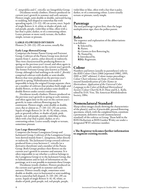*C. integrifolia* and *C. viticella*: see Integrifolia Group. Deciduous woody climbers. Flowers produced on current year's growth in summer and early autumn. Flowers single, semi-double or double, outward-facing to nodding, bell-shaped to somewhat flat with spreading sepals, 2.5–12(–18) cm across, erect. Sepals of single flowers 4–6, white or shades of pink, red, red-purple, purple, violet-blue or blue, often with a bar that is paler, darker, or of a contrasting colour. Leaves pinnate or more rarely ternate, the leaflets simple, ternate or pinnate.

#### Large-flowered Division

Flowers  $(5-)10-22(-29)$  cm across, usually flat.

#### Early Large-flowered Group

Comprises the former Patens Group and Fortunei Group. Cultivars of the Patens Group were derived mainly from *C. patens*, either directly or indirectly. They were characterized by producing flowers in spring on the previous year's wood, and often again in summer or early autumn on the current year's growth. The former Fortunei Group (also known as Florida Group, although it had nothing to do with *C. florida*) comprised cultivars with double or semi-double flowers that were produced on the previous year's growth in spring. Hybridization has made it impossible to keep the original Groups separate: there are a number of cultivars that produce both single and double flowers, or that only produce semi-double or double flowers under certain conditions.

Deciduous woody climbers. Flowers produced on the previous year's growth in spring or early summer, and often again later in the year on the current year's growth; in some cultivars flowering may be continuous. Flowers single, semi-double or double, erect, flat or almost so,  $(7-)10-22(-25)$  cm across. Sepals of single flowers (4–)6–8(–9), white, cream, pale or greenish yellow, or shades of pink, pinkpurple, red, red-purple, purple, violet-blue or blue, often with a bar that is paler, darker, or of a contrasting colour. Leaves usually simple or ternate, sometimes pinnate

#### Late Large-flowered Group

Comprises the former Lanuginosa Group and Jackmanii Group. Cultivars of the Lanuginosa Group were derived mainly from *C. lanuginosa*, either directly or indirectly. The Jackmanii Group covered cultivars produced from a cross between *C. viticella* (or a derivative therefrom) and a member of the Patens Group. Both Groups produce their flowers on the current year's growth in summer and autumn. It is often impossible to say whether a cultivar belongs to the Lanuginosa Group or to the Jackmanii Group, due to hybridization and/or lack of information on the parentage, so it is not possible to maintain these Groups.

Deciduous woody climbers. Flowers produced on the current year's growth in summer and early autumn. Flowers usually single, sometimes semidouble or double, erect to horizontal or semi-nodding, flat to somewhat bell-shaped, (5–)10–20(–29) cm across. Sepals of single flowers 4–6(–8), white, or shades of pink, pink-purple, red, red-purple, purple,

violet-blue or blue, often with a bar that is paler, darker, or of a contrasting colour. Leaves usually ternate or pinnate, rarely simple.

#### Parentage

The seed parentage is given first, then the larger multiplication sign, then the pollen parent.

#### Roles

The sequence and explanation of the abbreviations is as follows: S: Selected by,

- R: Raiser,
- G: Grown to first flowering by,
- N: Named by,
- I: Introduced by,
- REG: Registrant.

### Colour

Numbers and letters (usually in parentheses) refer to the *RHS Colour Chart* (1966 [reprinted 1986], 1995, 2001 or 2007 editions). Colour names preceding a *Colour Chart* reference are from *A Contribution toward Standardization of Color Names in Horticulture: Application of the Universal Color Language to the Colors of theRoyal Horticultural Society's Colour Chart* by R.D. Huse and K.L. Kelly, edited by D.H. Voss, The American Rhododendron Society, 1984.

### Nomenclatural Standard

Sharp colour images clearly showing the characteristics of the plant(s), and/or, if practicable, pressed flowering specimens, which, with the completed form, constitute a permanent, definitive record (nomenclatural standard) of the cultivar or Group. Those held in the RHS Herbarium at RHS Garden Wisley are under a designated WSY reference number.

#### • The Registrar welcomes further information to augment existing records.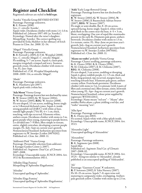### Register and Checklist

Registered cultivars are styled in bold type.

'Aanika' Viticella Group REVISED ENTRY Parentage: Parentage unknown. R: E. Pranno (1990). Syn.: *C. viticella* 'Annike'. Sepals violet. Deciduous climber with stems 1.4–1.6 m. Published ref.: Johnson 1997: 691 (as 'Annika'). Etymology: Named after the raiser's daughter. Misspelling: 'Annika'. The correct spelling was provided by Erika Mahhov in her obituary of Erich Pranno in *Clem. Int. 2008*: 32–34.

'Abigail' Viticella Group Parentage: Parentage unknown. R: B. Fretwell (*c*.2005), I: F.M. Westphal (2008). Syn.: *C. viticella* 'Abigail'; *C. viticella* 'Abigale'. Fls nodding, 5–7 cm across. Sepals 4, claret-pink, margins irregularly crimped and wavy. Stamens greenish cream. Deciduous climber with stems to 3 m. FL: Jun–Sept. Published ref.: *F.M. Westphal Hauptkatalog*

2008–2009: 114, as *viticella* 'Abigail'.

'Abuki' Parentage: Parentage unknown. R: K. Hazekawa (pre-2007). Sepals pink with a white bar.

'Ada Moon' Viorna Group

Parentage: Parentage known but not disclosed by raiser. R: W. Straver (2003), G: W. Straver (2004), N: W. Straver (2005), REG: W. Straver (2008). Fls urn-shaped, 3.5 cm across, nodding, borne singly or in 3-flowered dichasial cymes. Sepals 4, inside strong purplish red  $(64B/C)$  with white at base, outside light purple  $(75A/B)$ ,  $4 \times 1$  cm, thick, touching, with tips recurved. Filaments white; anthers cream. Deciduous climber with stems to 3 m, green-purple when young, maturing to purple-brown. Lvs divided into 7–9 lflets, lflets simple or ternate, entire, slightly reticulate, developing a narrow purple margin. FL: July–Sept on current year's growth. Nomenclatural Standard: herbarium specimen from registrant via W. Snoeijer (Leiden 20070202). Published ref.: *Clem. Int. 2008*: 11.

'Addisonii Pink' Viorna Group Parentage: Presumably selection from *addisonii*. I: Kasugai Garden Centre (*c.*2007). Published ref.: Sugimoto *Total Cat. of Clematis* 2007–2008. Etymology: Unacceptable name, ICNCP, 2004: Art. 19.13 & Recommendation 19D.1.

'Aflodite Elega Fumina' Misspelling of 'Aphrodite Elegafumina'.

'Afrodite' Unaccepted spelling of 'Aphrodite'.

'Afrodite Elega Fumina' Unaccepted spelling of 'Aphrodite Elegafumina'. 'Aida' Early Large-flowered Group Parentage: Parentage known but not disclosed by registrant.

<sup>R</sup>: W. Straver (2003), G: W. Straver (2004), <sup>N</sup>: W. Straver (2006), I: Baumschule Adrian Straver (2007), REG: W. Straver (2007). Fls single or semi-double, flat, 8–10 cm across, upward-facing, borne singly. Sepals 6, white with a pink flush in the centre near the base,  $4-5 \times 3$  cm, blunt, overlapping. One row of sepal-like staminodes present in the early fls. Filaments pale green; anthers brownish. Deciduous climber with stems to 1.5 m. Lvs ternate, entire. FL: May–June on previous year's growth, July–Aug on current year's growth. Nomenclatural Standard: herbarium specimen from registrant via W. Snoeijer (Leiden 20070161). Published ref.: *Clem. Int. 2008*: 11.

'Akane no tsubo' probably Viorna Group Parentage: Chance seedling, parentage unknown. G: K. Ozawa (1996), S: K. Ozawa (1996), N: M. Chikuma (2007), I: M. Chikuma (2007), REG: M. Chikuma (2008). Fls urn-shaped, 3 cm across, nodding or drooping. Sepals 4, glossy reddish purple,  $4 \times 1.5$  cm, thick and fleshy, long-pointed, tips recurved, margins hairy, touching towards base. Filaments pale green; anthers creamy yellow. Fruit-heads persistent. Deciduous climber with stems to 3 m. Lvs pinnate (with 4 pairs of lflets and a terminal one), lflets ternate, entire, brownish when young. FL: Apr–Aug on current year's growth. Nomenclatural Standard: colour print supplied by registrant (WSY0112011).

Etymology: Name means "red urn" – "Akane" after madder *Rubia akane*, a plant yielding a red dye, and "tsubo" meaning "urn".

'Alba Spot' Parentage: Parentage unknown. R: K. Ozawa (pre-2003). Fls scented. Sepals white with a blue splash inside. Etymology: Unacceptable name, ICNCP, 2004: Art. 19.13.

'Alexandra Light' Unaccepted spelling of 'Alexandrite'

'Alexandrite' Parentage: Parentage unknown. R: K. Sugimoto (pre-2008). Sepals blue. Published ref.: *Sugimoto Total Cat. of Clematis*  2007–2008: 02. Etymology: Unacceptable name, ICNCP, 2004: Art. 19.25 – being too similar to 'Alexandrit', already published as an unaccepted spelling of 'Aleksandrit'.

#### 'Ali'

Parentage: 'Guernsey Cream' X unknown. R: P. Sorensen (2002), I: Yaku Nursery (2007). Fls 10–15 cm across. Sepals 7–8, open wine-red, maturing to campanula-violet, overlapping. Anthers pale greenish yellow. Climber with stems up to 2.5 m.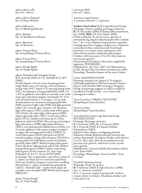*alpina sibirica alba* Syn. of *C. sibirica.*

*alpina sibirica* 'Finland' Syn. of 'Einar Wibom'.

*alpina* 'Alborosea' Syn. of 'Blushing Ballerina'.

*alpina* 'Bettina' Syn. of 'Red Beetroot Beauty'.

*alpina* 'Brunette' Syn. of 'Brunette'.

*alpina* 'Frances Rivas' Syn./misspelling of 'Frances Rivis'.

*alpina* 'Francis Rivis' Syn./misspelling of 'Frances Rivis'.

*alpina* 'Purple Spider' Syn. of 'Purple Spider'.

*alpina* 'Stolwijk Gold' Atragene Group <sup>S</sup>: H. Stolwijk (2001), <sup>I</sup>: C.G. Stolwijk & Co. B.V. (2006).

Fls bell-shaped, *c.*5.6 cm across, drooping, borne singly. Buds ovate, 1.9 cm long, *c.*0.9 cm diameter, strong violet (93C). Sepals 4–8, opening strong violet (93C), developing to strong purplish blue (94B), 2.8 × 0.9 cm, glabrous, lanceolate to narrowly ovate, with acute apex and entire margins. Staminodes 10–14 in each of several whorls,  $1.7$  cm long  $\times$  2.6 cm wide, densely pubescent, outermost strong purplish blue (94B), innermost light violet (92B) with light greenish yellow (3C) towards apex. Stamens *c.*45; filaments light yellow-green (145C); anthers pale yellow-green (4D). Pistils *c.*45; styles light yellow-green (145D); stigmas greenish white (155C); ovaries pale yellowgreen (157A). Climber with stems up to 1.25 m, pubescent, dark red (183A) when young, maturing to light olive-brown (199B), light yellowish brown (199C), even dark greyish reddish brown (200A). Lvs 2-ternate, glabrous, with serrate margins; young lvs on upper side strong greenish yellow (151B/C) to vivid yellow-green (154A) with dark red (187A) towards margins, strong yellowish green (N144A) to strong yellow (N144B) below; mature lvs brilliant greenish yellow (6B/C) flushed strong yellow-green (144A/B) above, light greenish yellow (4C) flushed strong yellow-green (144B/C) below, with strong yellow-green (144A) venation. FL: Apr–Sept. Published ref.: *B.Cl.S. Newsl.* 02/06 (2006). Etymology: This is apparently a sport from a clone of *C. alpina*, in which case it is correctly named here. However, should it transpire it came from a seedling derived from *C. alpina*, it should then properly be called *C.* 'Stolwijk Gold' – under which name, for example, it was awarded USPP 18648 and European PBR 22475.

*alpina* 'Violett Purple' Syn. of 'Violet Purple'. *americana* Mill. Syn. of *C. dioica*.

American virgin's bower A common name for *C. virginiana.*

'Andrew Van Laeken' Early Large-flowered Group Parentage: Chance seedling, parentage unknown. <sup>R</sup>: J.P. Van Laeken (2003), <sup>I</sup>: Spring Valley Greenhouse, Inc. (2008), REG: J.P. Van Laeken (2008). Fls flat to flattish, 15–20 cm across, upward- or outward-facing. Sepals 6, bluish purple with a reddish bar,  $7-10 \times 4$  cm, elliptical, long-pointed, somewhat overlapping at base or gappy, margins wavy. Filaments and anthers white, connectives red. Fruit-heads persistent. Lvs ternate, entire, dark green, with white-downy petioles, undersides and margins. Climber with stems up to 2.5 m. FL: May–June on new season's growth. Nomenclatural Standard: colour print supplied by registrant (WSY0101983). Published ref.: *The Clem. 2007*: 112 (illustrated on

p.110); *Spring Valley Greenhouse Introductions 2008*. Etymology: Named in honour of the raiser's father.

#### 'Anita' AMENDED ENTRY

Parentage: *potaninii* var. *fargesii* (s) ×*tangutica*. (Although published in *The International Clematis Register and Checklist 2002* as being in Tangutica Group, its parentage suggests it could as readily be classified in Vitalba Group – so it is better left unassigned to either.)

'Anna Carolina' CORRECTED ENTRY Misspelling of 'Anna Karolina'.

'Anna Caroline' Misspelling of 'Anna Karolina'.

'Anna Karolina' Early Large-flowered Group REVISED ENTRY Parentage: Parentage unknown. S: S. Franczak (1992), G: S. Franczak (1992), N: S. Franczak (1992), I: Clematis Szkólka Pojemnikowa (2004). Sepals 8, white, elliptic, overlapping, pointed. Filaments whitish, flushed with pink towards top; anthers deep purple. Deciduous climber with stems to 2 m. FL: May–Sept. Most fls are produced on the previous year's growth, with fewer on the current year's growth. Published ref.: *Clematis Szkólka Pojemnikowa Oferta* Lato–Jesień 2004. Etymology: Misspellings: 'Anna Caroline', 'Anna Carolina'.

'Annifrid' Montana Group Parentage: 'Freda' ×*spooneri*. R: P. Sorensen (2003), I: Yaku Nursery (*c*.2008). Syn.: *C. montana* 'Annifrid'. Fls 5–7 cm across. Sepals 4, pearly pink. Anthers creamy yellow. Lvs bronze. Deciduous climber with stems up to 6 m.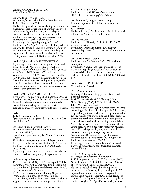#### 'Annika' CORRECTED ENTRY Misspelling of 'Aanika'.

'Aphrodite' Integrifolia Group Parentage: *florida* 'Sieboldiana' X 'Hendersonii'. R: M. Udagawa pre-1998. Fls flattish, upward- or outward-facing. Sepals 4, with a heavily marked lattice of bluish purple veins over a pale blue background, narrow, with wide gaps between, margins wavy and in the upper half shallowly and irregularly serrate, tips recurved. Filaments white; anthers bluish purple. Etymology: Unaccepted spelling: 'Afrodite'. Published in *2nd Supplement* as a trade designation of 'Aphrodite Elegafumina', but it became clear during I.Cl.S. tour to Japan in 2008 that it is a sibling of 'Aphrodite Elegafumina' and a cultivar in its own right, granted Japanese PBR (No. 6976) in 1998.

'Arabella' (Fretwell) AMENDED ENTRY Etymology: Named after the daughter of Lord and Lady Herschell. Name pre-dated by 'Arabella' Viticella Group of Lemoine, but this no longer exists, so in *Register 2002* Fretwell's 'Arabella' was sanctioned (ICNCP, 1995: Art. 14.4) as 'Arabella' (1994). It has subsequently been found to have been first published in a Peveril catalogue in 1993, so the name has now been adjusted to include the raiser's name, to clarify that it is this, not Lemoine's, cultivar which is being referred to.

'Arabella' (Lemoine) AMENDED ENTRY<br>Etymology: Originally published in *Register 2002* as "Arabella' (1898)" but, to distinguish it from the later Fretwell cultivar of the same name, it has now been decided that including the raisers' names to distinguish these two cultivars would be more helpful.

#### 'Aria'

R: K. Miyazaki (pre-2004).

(Japanese PBR 12232 granted 18/8/2004; no other details known.)

*armandii* 'Nikkou' Armandii Group Parentage: Presumably selection from *armandii*. S: K. Ozawa (2003).

Syn. & unaccepted spelling: *C.* 'Nikko' Armandii Group.

Fls 4–6 cm across, strongly scented. Sepals white. Evergreen climber with stems 4–5 m. FL: Mar–Apr. Published ref.: Sugimoto *Total Cat. of Clematis* 2007–2008.

Etymology: Named after a place near Ozawa's house (though this has subsequently changed its name).

#### 'Athena' Integrifolia Group

**R**: B. Fretwell (*c*.2004), **I**: F.M. Westphal (2008). Parentage: "from the same breeding programme as ... 'Arabella'" [www.peverilclematis.com, 2007]. Syn.: *C. integrifolia* 'Athena'.

Fls 6–8 cm across, outward-facing. Sepals 4, inside deep pink shading to reddish purple towards base, outside almost red, broad, with tips slightly recurved. Stamens pale yellow. Stems

1–1.5 m. FL: June–Sept. Published ref.: *F.M. Westphal Hauptkatalog*  2008–2009: 102, as *integrifolia* 'Athena'.

'Atsuhime' Early Large-flowered Group Parentage: (*florida* 'Sieboldiana' × unknown) **×** unknown. R: T. Hirota (2003). Fls flat to flattish, 10–15 cm across. Sepals 8, red with a darker bar. Stamens yellow. FL: May.

'Aurora Violacea' Published ref.: Riekstiņa & Riekstiņš 1990: 022, without description. Etymology: Quoted in a list of 19C cultivars; presumably garnered from an earlier reference not so far identified.

'Auseklītis' Viticella Group Published ref.: *The Clematis* 1996: 058, without

description.

Etymology: Name means "little morning star" in Latvian. Misspelling: 'Auseklitis'. Aivars Irbe has confirmed that Latvian custom is better served by inclusion of the diacritical mark (ICNCP, 2004: Art. 32.6).

#### 'Auseklitis' REVISED ENTRY Misspelling of 'Auseklītis'.

#### 'Barry' Atragene Group

Parentage: Chance seedling, possibly from 'Red Beetroot Beauty'.

S: M. Toomey (1998), G: M. Toomey (1999), N: M. Toomey (2006), I: T. & M. Leahy (2006), REG: M. Toomey (2006). Fls broadly bell-shaped (open campanulate), nodding,

borne singly. Sepals 4, light plum-purple,  $3.5 \times 1.5$  cm, elliptic, long-pointed, with recurved tip. Staminodes 1.3 cm, whitish with purple tint. Fruit-heads persistent. Deciduous climber with stems 2.5 m, new growth reddish brown to shiny black, ageing brownish black. Mature lvs ternate, crenate to serrate; lateral lflets of young basal lvs two-lobed, with somewhat rounded teeth. FL: mid-Apr–early June, intermittently, on both current and previous year's growth. Nomenclatural Standard: flowering herbarium specimen supplied by registrant (WSY0096744). Published ref.: *Clem. Int. 2007*: 21. Etymology: Named for Mary Toomey's husband Barry and for her friend Jane Sterndale-Bennett's husband Barry.

#### 'BCL 1239' Atragene Group

Parentage: 'Pink Perfume'  $\bar{X}$  unknown. R: K. Rumpunen (2002), G: K. Rumpunen (2002), N: K. Rumpunen (2006), REG: Swedish University of Agricultural Sciences, Balsgård (2007). Fls semi-double, bell-shaped, nodding, with a perfumed scent. Sepals 4, deep reddish purple (77A). Sepaloid staminodes present, also deep reddish purple. Fruit-heads persistent. Compact deciduous climber. Lvs dark green, 2-ternate, with irregularly toothed margins. FL: Apr–Oct, on both previous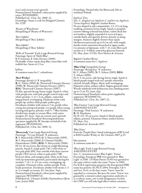year's and current year's growth. Nomenclatural Standard: colour print supplied by raiser (WSY0100891). Published ref.: *Clem. Int. 2008*: 12. Etymology: Name is code for Balsgård Clematis No. 1239.

'Beauty of Worchester' Misspelling of 'Beauty of Worcester'.

'Bee's Jubilee' Misspelling of 'Bees' Jubilee'.

'Bees Jubileé' Misspelling of 'Bees' Jubilee'.

'Belle of Taranaki' Early Large-flowered Group Parentage: Sport of 'Multi Blue'. S: P. Sorensen, I: Yaku Nursery (2006). Fls double. Outer sepals deep blue, inner blue with reddish bar. Stems to 2.5 m.

bellrue A common name for *C. columbiana*.

#### 'Best Wishes'

Parentage: *florida* (s) ×*integrifoli*a. R: G. Tolver (1996), G: Thorncroft Clematis Nursery (1998), N: Thorncroft Clematis Nursery (2007), REG: Thorncroft Clematis Nursery (2007). Fls flat, upward-facing, borne singly. Sepals 6, white with purple tint, with pale purple central stripe and white speckles,  $5-6 \times 4$  cm, elliptic, somewhat long-pointed, overlapping. Filaments white with purple tip; anthers dark purple; pollen grey. Deciduous climber with stems to 3 m, purple when young, becoming red-purple. Lvs purple when young, turning mid-green; pinnate, with 5–7 lflets further divided into simple or ternate lflets, with entire margins. FL: June–Sept on current year's growth. Nomenclatural Standard: flowering herbarium specimen supplied by W. Snoeijer on behalf of the registrant (WSY0101101). Published ref.: *Clem. Int. 2008*: 12.

'Bieszczady' Late Large-flowered Group Parentage: 'Vyvyan Pennell' X unknown. R: S. Marczyński (1993), G: S. Marczyński (1995), N: S. Marczyński (2006), I: Clematis Szkólka Pojemnikowa (2006), REG: S. Marczyński (2006). Fls 14–16 cm across, flat, borne in a high-blooming panicle. Sepals 6, inside pink (74C) with white or very pale pink (69C) bar; outside with three narrow purple (78A) nerves, white to pale pink (75B) between them, and margins pink, white at the base, with tip sometimes greenish, particularly during hot weather;  $7-8 \times 4-4.5$  cm, ovate, overlapping, tip cuspidate. Filaments white; anthers purple. Fruitheads persistent. Deciduous climber with stems 2–3 m. Lvs simple or ternate. FL: late June–Sept. Nomenclatural Standard: colour print supplied by registrant (WSY0096712).

Published ref.: *Clematis Szkólka Pojemnikowa Oferta* Lato–Jesień 2006.

Etymology: Named after the Bieszczady Mts in southeast Poland.

#### *bigelovii* Torr.

Syn.: *C. douglasii* var. *bigelovii*; *C. pitcheri* var. *bigelovii*; *Viorna bigelovii*; Bigelow's leather-flower. Fls urn-shaped to sub-campanulate, 1.5–2.5 cm long, nodding, terminal, borne singly. Sepals 4, purplish, narrow-oblong to broad-lanceolate, rather thick but not leathery, slightly expanded at recurved apex, outside finely and sparsely downy, densely so along margins. Stamens slightly shorter than sepals. Herbaceous perennial up to 0.5 m tall, with simple, slender stems sometimes branched at upper nodes. Lvs pinnate or bipinnate, with 7–11 ovate lflets each ternate or 2–5 lobed, somewhat glaucous beneath. FL: May–June. S USA: New Mexico & Arizona.

Bigelow's leather-flower A common name for *C. bigelovii*.

'Blue Chip' Integrifolia Group Parentage: 'Rising Star' X unknown. G: Y. Aihara (2005), N: Y. Aihara (2005), REG: Y. Aihara (2006). Fls 4–5 cm across, side-facing, borne singly. Sepals 4, bluish purple tinged with red, outside somewhat whitish, broadly elliptic, blunt, half overlapping. Filaments white, anthers yellow. Stigma greenish white. Woody subshrub with herbaceous non-climbing stems up to 1.5 m. FL: June–July. Nomenclatural Standard: colour print supplied by registrant (WSY0096714). Published ref.: *Clem. Int. 2007*: 22.

'Blue Fantasy' Late Large-flowered Group AMENDED ENTRY Parentage: 'Pink Fantasy' X unknown. R: H. Hayakawa. Fls (8–)12–15 cm across. Sepals 6, bluish purple, elliptic, pointed. Filaments white; anthers brown. FL: May–Oct. Published ref.: Koowaki 1997.

'Blue Haze' Error for 'Purple Haze': listed as being part of BCS trial at RHS Garden Wisley in *The Clematis 2007*, p.25.

blue jasmine A common name for *C. crispa*.

#### 'Blue Light' Early Large-flowered Group AMENDED ENTRY

Syn.: *C. maximowicziana* 'Blue Light'; 'Vanso'. Etymology: European PBR were granted to 'Blue Light' in 2001. US Plant Patent 15,953 was granted to the same cultivar under the name 'Vanso' in 2005. For ICRA registration purposes the first-granted PBR name has priority (ICNCP, 2004: Principles 3 & 5 and Art. 24.4), so the later name 'Vanso' must be regarded as a synonym. Because the name 'Vanso' was granted by a statutory plant registration authority, it is a cultivar name, not a trade designation; further, the USPP can still take legal effect within countries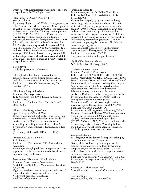which fall within its jurisdiction, making 'Vanso' the accepted name for 'Blue Light' there.

#### 'Blue Pirouette' AMENDED ENTRY Syn. of 'Zobluepi'.

Etymology: Registered in 2003 (see *1st Supplement*) as 'Blue Pirouette' but, when European PBR were granted to 'Zobluepi' in November 2004, this took precedence as the accepted name for ICRA registration purposes (ICNCP, 1995: Art. 27.2); BLUE PIROUETTE was<br>then treated as a trade designation in Europe. However, the cultivar was later granted Japanese PBR (No. 15972; 18/12/2007) as 'Blue Pirouette'. For ICRA registration purposes the first-granted PBR name has priority (ICNCP, 2004: Principles 3 & 5 and Art. 24.4), so 'Blue Pirouette' is regarded as a synonym of 'Zobluepi'. However, the Japanese PBR still take legal effect within the countries which fall within their jurisdiction, making 'Blue Pirouette' the accepted name there.

Blue River Trade designation of 'Zoblueriver'.

'Blue Splendor' Late Large-flowered Group Fls single or, on old wood, semi-double. Sepals mid-blue. Stamens yellow. FL: May–June & Sept. Published ref.: *Arnold's Clematis Nursery Cat.* undated, *c.*1978.

'Blue Sprite' Integrifolia Group Parentage: Parentage unknown. <sup>R</sup>: K. Sugimoto (pre-2007), <sup>I</sup>: Kasugai Garden Centre (*c.*2007). Published ref.: Sugimoto *Total Cat. of Clematis* 2007–2008.

'Bluish Violet' Integrifolia Group Syn.: *C. integrifolia* 'Bluish Violet'. Fls bell-shaped, nodding. Sepals 4, blue-violet, gappy, tips recurved. Stamens pale yellow. Fruit-heads persistent, silky. Herbaceous perennial with scrambling or trailing stems to 1 m. FL: Jun–Sept. Etymology: Name contravenes ICNCP, 2004: Rec. 19D.1.

(Apparently originated in UK before 1995.)

'Boneza' DELETED ENTRY R: S. Franczak. Published ref.: *The Clematis* 1996: 090, without description. Etymology: Though published in *Register 2002*, this appears to have been an unintended misspelling and duplicate entry for 'Bozena'.

*brevicaudata* 'Vladivostok' Vitalba Group Parentage: Selection from *brevicaudata*. S: M. Johnson? (*c.*2001), I: M. Johnson's Plantskola AB (2001). Vigorous, free-flowering and very hardy selection of the species, raised from seed collected in the Vladivostok area of eastern Russia. Published ref.: Johnson 2001: 426.

#### 'Buckland Cascade'

Parentage: *songarica* (s)  $\times$  'Bells of Emei Shan'. <sup>R</sup>: E. Leeds (2006), G: E. Leeds (2006), REG: E. Leeds (2006).

Fls open-bell-shaped, 2.5–3 cm across, nodding, borne singly, with a sweet almond scent. Sepals 4, white with a slight tinge of green outside near the stalk,  $15-20 \times 8-10$  mm, overlapping only at base and with obtuse reflexed tips. Filaments yellow; anthers white with magenta connective. Fruit-heads persistent. Much-branched, semi-evergreen subshrub with creeping or scrambling stems 0.5–1 m. Lvs mid-green, simple, regularly toothed. FL: July–Sept on current year's growth. Nomenclatural Standard: flowering herbarium specimen supplied by registrant (WSY0100271). Published ref.: *Clem. Int. 2007*: 22. (Suggested as suitable for hanging baskets.)

'By The Way' Montana Group N: V. Le May Neville-Parry (*c*.2007).

'Cadmy' Montana Group Parentage: 'Sunrise'? X unknown. R: R.C. Mitchell (1998), G: R.C. Mitchell (1999), N: R.C. Mitchell (1999), REG: R.C. Mitchell (2000) Syn.: *C. montana* 'Morning Yellow'; 'Morning Yellow'. Fls semi-double, *c.*6 cm across, solitary. Outer sepals 4, primrose-yellow, *c.*3 × 2 cm, ovate, blunt but apiculate; inner sepals shorter and narrower. Filaments yellow; anthers white. Fruit-heads persistent. Deciduous climber, new growth brownish. Lvs ternate; lflets toothed. FL: Oct (in southern hemisphere) on previous year's growth. Nomenclatural Standard: flowering herbarium specimen supplied by registrant (WSY0096998). Published ref.: *Clem. Int. 2001*: 45. Etymology: Initially registered as 'Morning Yellow'. However, European PBR (No. 21748) were granted to this cultivar in February 2008 under the name 'Cadmy', so that name must take precedence (ICNCP, 2004: Art. 28.2). The registrant has decided its previously registered name, 'Morning Yellow', should henceforward become a trade designation. Trade designation: Morning Yellow

#### Campanella Group

Parentage: Cultivars derived from species belonging<br>to the botanical section *Campanella*. Woody climbers flowering on young shoots in autumn or winter. Flowers nodding to drooping, campanulate, up to 4 cm across. Sepals 4, cream, white, yellow or purplish. Leaves compound, ternate or pinnate, deciduous or evergreen. Published ref.: Snoeijer in *J. van Zoest B.V. cat.* 2002. Etymology: Unacceptable name, ICNCP, 2004: Arts 20.4 & 19.13.

× *cartmanii* 'White Avandance' Misspelling of *C.* × *cartmanii* 'White Abundance'.

'Cartmarni Joe' Syn./misspelling of *C.* × *cartmanii* 'Joe'.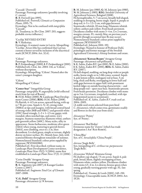'Cascade' (Fretwell) Parentage: Parentage unknown (possibly involving *C. viorna*). R: B. Fretwell (pre-1995). Published ref.: Fretwell, *Clematis as Companion Plants*, 1995: 75. Etymology: Not to be confused with *integrifolia* 'Cascade'. (K. Treadaway, in *The Clem.* 2007: 203, suggests probable *viorna* influence.)

'Cecīlija' REVISED ENTRY R: V. Riekstiņa. Etymology: A women's name in Latvia. Misspelling: 'Cecilija'. Aivars Irbe has confirmed that Latvian custom is better served by inclusion of the diacritical mark (ICNCP, 2004: Art. 32.6).

#### 'Céleste'

Parentage: Parentage unknown. R: P. Zwijnenburg jr (2000), I: P. Zwijnenburg jr (2001). Published refs: *Clem. Int. 2004*: 116, as 'Cèleste', without description. Etymology: Misspelling: 'Cèleste'. Named after the raiser's youngest daughter.

'Cèleste' Misspelling of 'Céleste'.

'Center Star'™ Integrifolia Group Parentage: *integrifolia*×*angustifolia* (wild-collected stock from far east of Russia). R: H.M. Pellett (2000), N: Landscape Plant Development Center (2006), REG: H.M. Pellett (2008). Fls flattish, 4–6.5 cm across, upward-facing, with up to 7 fls per cyme. Sepals  $4-5(-6)$ , strong violet (N88A) at tips and margins, with broad central band of strong violet (86B and 93B/C) and greenish white (155C) basal triangle,  $2-3 \times 1-1.5$  cm, gappy, with rounded, often notched tips, and entire, wavy margins. Stamens numerous; filaments white; anthers pale greenish yellow (160C). Many styles, silky in appearance. Stems herbaceous, moderate olive-green  $(146A)$  when young, maturing to greyish brown (166A), non-climbing, erect to *c*.1 m, then decumbent. Lvs dark green, simple or ternate, slightly downy on lower surface. FL: Mainly June–July, with scattered blooms throughout remainder of summer. Nomenclatural Standard: colour print supplied by registrant (WSY0101980).

Published ref.: First described, without name, in Landscape Plant Development Center newsletter, *Landscape Plant News* 15(2): 5 (2004); name first established in *Landscape Plant News* 17(3): 11 (2006).

'Cerise Double' Atragene Group Parentage: Parentage unknown. R: K. Sugimoto (pre-2007), I: Kasugai Garden Centre (*c.*2007). Published ref.: Sugimoto *Total Cat. of Clematis* 2007–2008.

'C.G. Dahl' Atragene Group Parentage: *chiisanensis* (s) ×*koreana*. R: M. Johnson (pre-1980), G: M. Johnson (pre-1980), N: M. Johnson (*c*.1985), REG: Swedish University of Agricultural Sciences, Balsgård (2008). Fls hermaphrodite, 5–7 cm across, broadly bell-shaped, nodding or drooping, borne singly. Sepals 4, purple or deep red,  $4-5 \times 1.5-2$  cm, with gaps between. Staminodes whitish, 20 mm long. Filaments whitish yellow; anthers pale yellow. Fruit-heads persistent. Deciduous climber with stems 3–4 m. Lvs 2-ternate, margins crenate. FL: mainly May, on previous year's growth (though occasional later fls may occur). Nomenclatural Standard: colour print supplied by registrant (WSY0101979) Published ref.: Johnson 2001: 192. Etymology: Named in honour of Professor Dahl, pomologist and former manager of the Swedish Agricultural University's Alnarp Institute and estate.

*chiisanensis* 'Korean Beauty' Atragene Group Parentage: *chiisanensis* self-pollinated. S: K. Sahin, Zaden B.V. (pre-2001), N: E. Sahin (2001), I: K. Sahin, Zaden B.V. (2001), REG: K. Sahin, Zaden B.V. (2007). Fls bell-shaped, nodding, on long deep violet or purple

stalks, borne singly or in 3-fld cymes, scented. Sepals 4, pale lemon-yellow, mahogany-red at base, 5 cm long, thick and fleshy, overlapping in lower half and with gaps between in upper half, with prominent keeled ridges on outside bearing characteristic – and deep purple-red – spurs near base. Staminodes present. Fruit-heads persistent. Deciduous climber with stems up to 3 m. Lvs ternate, irregularly toothed, with tips long-pointed (acute to acuminate).

Published ref.: *K. Sahin, Zaden B.V. trade seed cat.* 2004–2005.

(A stable seed-strain selected from pure-bred *C. chiisanensis*, which comes true, germinates readily and flowers in the first year from seed.)

*chiisanensis* 'Pointy' Syn. of 'Pointy'.

*chiisanensis* 'Red Robin' Erroneous name for 'Zorero' (which has trade designation I AM® RED ROBIN).

'China Blue' Syn. of *C. heracleifolia* 'China Purple'.

*chirrosa* 'Jingle Bells' Syn./misspelling of *C. cirrhosa* var. *purpurascens* 'Jingle Bells'.

*chrysocoma* 'Hybrid' Montana Group Fls shallow cup-shaped, 7.5 cm across. Sepals 4, pale pink, broad, blunt, slightly overlapping at base. Filaments white; anthers yellow. Deciduous climber with stems 4.5–6 m. Lvs downy, bronze-green when young, gradually turning greener with age. FL: late spring.

Published ref.: Toomey & Leeds (2001): 149–150. Etymology: Unacceptable name, ICNCP, 2004: Art. 19.20.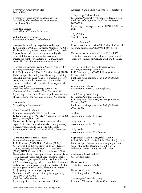*cirrhosa* var. *purpurascens* 'Hie' Syn. of 'Hie'.

*cirrhosa* var. *purpurascens* 'Lansdamne Gem' Misspelling of *C. cirrhosa* var. *purpurascens* 'Lansdowne Gem'.

'Claude le Sorrain' Misspelling of 'Claude de Lorrain'.

Columbia virgin's bower A common name for *C. columbiana*.

'Congratulations' Early Large-flowered Group R: J. Link (pre-2006), I: Haybridge Nurseries (*c*.2006). Fls flat to flattish, upward- or outward-facing. Sepals 6, pink, broad, with wavy margins, tips slightly reflexed. Filaments white; anthers crimson. Deciduous climber with stems 1.5–2 m. Lvs dark green. FL: May–June on previous year's growth.

'Constantijn' Atragene Group AMENDED ENTRY Parentage: Parentage unknown. R: P. Zwijnenburg jr (2000), I: P. Zwijnenburg jr (2001). Fls bell-shaped, becoming broadly so. Sepals shining reddish pink with paler veins, 6–8 cm long, narrowly ovate, long-pointed, tips recurved. Staminodes considerably shorter than sepals. FL: Apr–June, with occasional fls later.

Published ref.: *Gartenpraxis* 9/2002: 41, as 'Constantin'. Illustrated in *Clem. Int. 2004*: 117. Etymology: Named after Constantijn Rozendaal, son of a customer of the raiser. Misspelling: 'Constantin'.

'Constantin' Misspelling of 'Constantijn'.

'Cora' Integrifolia Group Parentage: *integrifolia* 'Alba' X unknown. R: P. Zwijnenburg jr (1999), I: P. Zwijnenburg jr (2002). Syn.: *C. integrifolia* 'Cora'. Fls narrowly bell-shaped, *c*.4 cm across, nodding. Sepals 4, lilac-blue, sometimes twisted, margin wavy, tips recurved. Stems to 0.5 m. FL: July–Sept. Etymology: Named after Cora Verdoold, the raiser's niece.

'Cornish Spirit' Viticella Group Parentage: Parentage unknown. R: C. Pridham (2003), G: C. Pridham (2004), S: Cornwall Blind Association (2006), N: Tregolls County Primary School (2006), I: C. Pridham (2006), REG: Cornwall Blind Association (2006). Fls male, female and hermaphrodite on the same plant, 7.5 cm across, broadly bell-shaped, nodding, borne singly. Sepals 4, rose-purple paling to white at base, 3 × 2.5 cm, oblong, gappy, with recurved tip. Filaments and anthers yellow-green. Climber with stems 3–4 m. Lvs pale green, pinnate with 7 lflets which are ternate. FL: July–Sept on current year's growth. Nomenclatural Standard: colour print supplied by raiser (WSY0096708). Published ref.: *Clem. Int. 2007*: 22. Etymology: Selected by the Cornwall Blind

Association and named via a schools' competition.

'Crispa Angel' Viorna Group Parentage: Presumably hybrid derived from *crispa*. Published ref.: Sugimoto *Total Cat. of Clematis* 2007–2008. Etymology: Unacceptable name, ICNCP, 2004: Art. 19.13.

*crispa* 'Titipu' Syn. of 'Titipu'.

'Crystal Fountain' Erroneous name for 'Evipo038'/'Fairy Blue' (which has trade designation CRYSTAL FOUNTAIN)

Crystal Fountain AMENDED ENTRY Trade designation of 'Fairy Blue' in Japan, and of 'Evipo038' in Europe, Canada and New Zealand.

'Crystal Pink' Early Large-flowered Group Parentage: Parentage unknown. R: K. Sugimoto (pre-2007), I: Kasugai Garden Centre (*c.*2007). Published ref.: Sugimoto *Total Cat. of Clematis* 2007–2008.

Cunningham's clematis A common name for *C. cunninghamii*.

'Cupid' Integrifolia Group Parentage: Parentage unknown. R: K. Sugimoto (pre-2007), I: Kasugai Garden Centre (*c.*2007). Published ref.: Sugimoto *Total Cat. of Clematis* 2007–2008.

curlflower A common name for *C. crispa*.

curly clematis A common name for *C. crispa*.

curly-heads A common name for *C. ochroleuca*.

× *cylindrica* 'Aladdin' Integrifolia Group S: F.M. Westphal (2004), I: F.M. Westphal (*c.*2008). Fls bell-shaped, 3–4 cm across, drooping, scented. Sepals blue-violet. Deciduous climber with herbaceous stems 1–1.5 m. FL: July–Sept.

× *cylindrica* 'Swedish Bells' See 'Swedish Bells'.

Dancing King Trade designation of 'Zodaki'.

Dancing Queen Trade designation of 'Zodaque'.

'Dancing Star' Viticella Group Parentage: 'Oonagare Ichigoo' X unknown.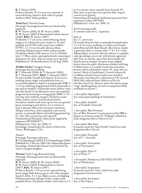#### R: T. Hirota (1995).

Fls flat to flattish, 10–13 cm across, upward- or outward-facing. Sepals 6, dark violet or purple. Anthers yellow. Stems pendent.

'Dark Eyes' Viticella Group

Parentage: Parentage known but not disclosed by registrant.

R: W. Straver (2001), G: W. Straver (2003), N: W. Straver (2003), I: Baumschule Adrian Straver (2006), REG: W. Straver (2007) Fls flattish, 5–7 cm across, outward-facing, borne singly or in 3-flowered cymes. Sepals  $4(-5)$ , dark purplish red (N79A) with centre more reddish  $(N79C)$ ,  $3 \times 2.4$  cm, broadly obovate, blunt, touching. Filaments green-violet; anthers purple. Deciduous climber with stems to 2 m. Lvs divided into 3–7 lflets, entire, opening brownish, maturing to dark green. FL: July–Sept on current year's growth. Published ref.: *De Boomkwekerij* 34 (25 Aug. 2006).

#### 'Debbie Fischer' Atragene Group

Parentage: *koreana* seedling.

R: T. Hannink (2004), G: T. Hannink (2004), N: T. Hannink (2007), REG: T. Hannink (2007). Fls semi-double, broadly bell-shaped, 10 cm across, nodding, borne singly, with peduncles hairy or occasionally glabrous. Sepals 4, strong purple (80B), 5 × 2.5 cm, touching, long-pointed, downy (especially at tips and on margins). Staminodes many, downy; inner ones like broad, cream filaments; outer ones sepaloid, progressively maturing to strong purple (80B), 3–4.5 cm long, with undulate margins. Filaments creamwhite; anthers cream. Fruit-heads persistent. Deciduous climber with stems up to 4 m, new growth green, maturing to pale brown. Lvs 2-ternate to semi-2-pinnate; lflets with narrowed, sometimes oblique, entire base, then irregularly and coarsely serrate, occasionally lobed, and with long-pointed tip. FL: Apr–May on previous year's growth. Nomenclatural Standard: colour print supplied by registrant (WSY0100177). Published ref.: *Clem. Int. 2008*: 12. Etymology: Named after the owner of Silver Star Vinery, Washington, USA.

#### 'Denise'

Parentage: Parentage unknown. R: P. Zwijnenburg jr (2000), I: P. Zwijnenburg jr (2001). Published ref.: *Clem. Int. 2004*: 116, without description. Etymology: Named after Denise Loef, friend of the raiser's youngest daughter.

'Destiny' Early Large-flowered Group Parentage: Parentage known but not disclosed by registrant. R: W. Straver (2001), G: W. Straver (2002), N: W. Straver (2003), I: Baumschule A. Straver (2007), REG: W. Straver (2007). Fls flat or flattish, 7–10 cm across, upward-facing, borne singly. Buds downy, green with white margins. Sepals 6, white,  $5 \times 3$  cm, elliptic, acute, overlapping. Filaments greenish, fading to white; anthers pale purplish brown. Deciduous climber with stems to 1.5 m. Lvs ternate, entire, sparsely hairy beneath. FL: May–June on previous year's growth, July–Aug on current year's growth. Nomenclatural Standard: herbarium specimen from registrant (Leiden 20070185). Published ref.: *Clem. Int. 2008*: 13.

devil's darning-needle A common name for *C. virginiana*.

#### *dioica* L.

Syn.: *C. americana*.

Fls usually dioecious but occasionally hermaphrodite, 1.2–1.5 cm across, nodding, in axillary and usually multi-flowered infl. Buds densely silky downy. Sepals 4, greenish white to creamy white,  $7-8 \times 2.5-3$  mm, oblong-elliptic to narrow-obovate, obtuse or cuspidate, wide-spreading to recurved, with densely appressed silky hairs on outside, sparse fine down inside and densely downy margins. Stamens many, slightly shorter than the sepals. Deciduous climber with long, 6-ribbed stems. Lvs usually ternate but sometimes pinnate, thick and leathery, entire. FL: Aug–May (in nature). Mexico (Guadeloupe), Central America & Caribbean islands (Greater and Lesser Antilles). (Recently reintroduced to cultivation in UK via stock F&M 100, collected from 2600 m on Pico de Orizaba, Vera Cruz, Mexico, where this species made "large, climbing plants covered in conspicuous fluffy seedheads in autumn".)

× *diversifolia* 'Aljonushka' Syn./unaccepted spelling of 'Alionushka'.

× *diversifolia* 'Arabella' Syn. of 'Arabella' (Fretwell).

× *diversifolia* 'Blue Pirouette' Syn. of 'Blue Pirouette' (a name protected by PBR in Japan) or erroneous name for 'Zobluepi' (which has trade designation BLUE PIROUETTE).

× *diversifolia* 'Blue Rain' Erroneous name for 'Sinii Dozhd' (which has trade designation BLUE RAIN).

× *diversifolia* 'Durandii' Syn. of *C.* × *durandii*.

× *diversifolia* 'Fascination' Syn. of 'Fascination'.

× *diversifolia* 'Floris V' Syn. of 'Floris V'.

× *diversifolia* 'Hendryetta' REVISED ENTRY Syn. of 'Hendryetta'.

× *diversifolia* 'Inspiration' Erroneous name for 'Zoin' (which has trade designation INSPIRATION).

× *diversifolia* 'Jan Fopma' Syn. of 'Jan Fopma'.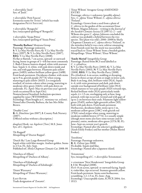× *diversifolia* 'Juuli' Syn. of 'Juuli'.

× *diversifolia* 'Petit Faucon' Erroneous name for 'Evisix' (which has trade designation PETIT FAUCON).

× *diversifolia* 'Rouguchi' Syn./unaccepted spelling of 'Rooguchi'.

× *diversifolia* 'Sizaja Ptitza' Syn./unaccepted spelling of 'Sizaia Ptitsa'.

#### 'Dorothy Barbara' Montana Group

Parentage: Parentage unknown. S: V. Le May Neville-Parry, G: V. Le May Neville-Parry (1997), N: V. Le May Neville-Parry (2007), REG: V. Le May Neville-Parry (2008). Fls flat or flattish, 7 cm across, upward- or outwardfacing, borne in groups of 1–4 fls but most commonly 2. Buds Chinese-lantern-shaped, white with maroon base. Sepals 4–6, white, with pale down inside and out, and with gaps between. Filaments pale yellowgreen (149D); anthers brilliant yellow-green (149B). Fruit-heads persistent. Deciduous climber, with stems up to 9 m, greyish purple (N77A) when young, maturing to pale yellow (161D). Lvs irregularly toothed, of various colours when young, maturing to moderate olive-green (146A), with pale down on underside. FL: April–May on previous year's growth (with occasional fls in Sept/Oct). Nomenclatural Standard: herbarium specimen supplied by raiser (WSY0100832). Etymology: Plant bought as *C. montana* var. *wilsonii*. Named after Dorothy Barbara, the late Mrs Mike Brown.

'Double Cross' R: G. Hutchins (pre-2007), I: County Park Nursery (2007). (Offered online without a description.)

*douglasii* Hook. var. *bigelovii* (Torr.) M.E. Jones Syn. of *C. bigelovii*.

'Dr Ruppell' Misspelling of 'Doctor Ruppel'.

'Dutch Sky' Late Large-flowered Group Sepals white with blue margin. Anthers golden. Stems to 2.5 m. FL: July–Sept. Published ref.: *Sheila Chapman Clematis Cat.* 2008: 09.

'Dutchess of Albany' Misspelling of 'Duchess of Albany'.

'Dutchess of Edinburgh' Misspelling of 'Duchess of Edinburgh'.

'Dzieti Warszawy' Misspelling of 'Dzieci Warszawy'.

East River Trade designation of 'Zoeastri'. 'Einar Wibom' Atragene Group AMENDED ENTRY

Parentage: *sibirica* × unknown (possibly *alpina*). Syn.: *C. alpina* 'Einar Wibom'; *C. alpina sibirica* 'Finland'.

Etymology: Grown from a seed from a plant of *C. sibirica* in the garden of the accountant Einar Wibom. Magnus Johnson – writing in the *Journal of the Swedish Clematis Society IX* (1997:1): 2 – said Wibom also grew *C. alpina*; Johnson concluded the cultivar was probably a hybrid between the two species. This plant was sold *c*.2006–2008 by Sheila Chapman Clematis as *C. alpina sibirica* 'Finland', in the mistaken belief it was a new cultivar emanating from Finnish seed, but the stock was successfully traced back to 'Einar Wibom' from a Swedish garden. Misspellings: 'Dinar Wibom'; 'Elnar Wibom'.

#### 'Emily Meriol' Integrifolia Group

Parentage: Raised from BCS seed labelled as *C.* × *cylindrica*.

S: V. Le May Neville-Parry (2003), G: V. Le May Neville-Parry (2003), N: V. Le May Neville-Parry (2008), REG: V. Le May Neville-Parry (2008). Fls cylindrical, 4 cm across, nodding or drooping, borne in threes at tips of stem or singly in lower axils. Buds 4 cm long, slim, brilliant violet (92A). Sepals 4–6, with veins prominent and dark, pale down outside over background of brilliant violet (92A) which matures to very pale purple (92D) towards tips, flecked brilliant violet (92A) particularly inside sepals,  $4 \times 1.5$  cm, overlapping only at base, longpointed, with tips recurved, twisted and with gaps of up to 2 cm between their ends. Filaments light yellowgreen (154D), anthers light greenish yellow (5D), both with pale down. Fruit-heads persistent. Herbaceous, deciduous habit; stems up to 1 m, moderate yellow-green (138C) with greyish red (178A) raised stripes when young, maturing to moderate reddish brown (177A). Lvs usually simple (though most stems also have some ternate and/or pinnate), entire, moderate olive-green (137A/B). FL: June–Sept on current year's growth. Etymology: Named after the selector's goddaughter (Sarah Emily Fookes) and her mother (Helen Meriol Fookes).

'Enoshima' Parentage: Parentage unknown. R: K. Ochiai (pre-2008) Fls double. Sepals mid-blue. Etymology: Named after a Japanese island.

'Eriosternon' Syn./misspelling of *C.* × *diversifolia* 'Eriostemon'.

× *eriostemon* 'New Hendersonii' Integrifolia Group I: F.M. Westphal (2008). Fls 6–8 cm across, upward- or outward-facing. Sepals 4, violet-blue, tips recurved. Stamens greenish yellow. Fruit-heads persistent. Stems semi-herbaceous, scrambling, 1.2–1.5 m. FL: June–Aug. Etymology: Unacceptable name, ICNCP, 2004: Art. 19.13.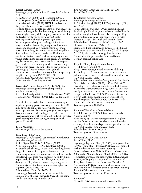#### 'Esprit' Atragene Group

Parentage: 'Jacqueline du Pré' × possibly 'Clochette Pride'.

R: B. Rogerson (2002), G: B. Rogerson (2002), N: B. Rogerson (2004), I: Friends of the Rogerson Clematis Collection (2007), REG: Friends of the Rogerson Clematis Collection (2007). Fls semi-double or double, broadly bell-shaped, *c.*9 cm across, nodding at first but becoming outward-facing, borne singly, on rosy violet, slightly downy peduncles. Buds relatively large, slightly downy. Sepals 4, opening rosy violet with a grey margin, then becoming somewhat paler with age;  $4.5 \times 2$  cm, long-pointed, with touching margins and recurved tips. Staminodes at least four, slightly paler than sepals, 4.5 cm long. Filaments cream; anthers yellow. Styles yellow. Fruit-heads persistent. Deciduous climber with stems to 2.5 m, brownish purple when young, maturing to bronze or dull green. Lvs ternate, regularly toothed, with occasional basal lobes; pale green with dark violet margins when first opening, turning mid-green. FL: Apr–May on previous year's growth, July–Oct on current year's growth. Nomenclatural Standard: photographic transparency supplied by registrant (WSY0100417). Published ref.: *Friends of the Rogerson Clematis Collection Newsletter* August 2005

'Essex Star' Forsteri Group REVISED ENTRY Parentage: Parentage unknown (but probably involving *paniculata*).

R: G. Hutchins (pre-2004), N: G. Hutchins (*c*.2004), I: County Park Nursery (2004), REG: G. Hutchins (2008).

Fls male, flat or flattish, borne in few-flowered cymes. Sepals 6, opening green, maturing to white,  $40 \times 10$ mm, obtuse to sub-acute, narrowing to base, with wide gaps between. Filaments green; anthers purplish. Receptacle domed, with a ring of reddish hairs. Evergreen climber with stems to 0.6 m. Lvs bi-ternate, green or purplish when young, turning purplish, sparse. FL: April.

'Étoile Malicorne' Misspelling of 'Étoile de Malicorne'.

'Etta' Integrifolia Group

Parentage: *C. × diversifolia* 'Eriostemon' X unknown (probably *integrifolia* 'Alba').

R: T. Löfgren (2001), G: T. Löfgren (2003), N: T. Löfgren (2006), REG: T. Löfgren (2006). Fls broadly bell-shaped, 3–4 cm across, nodding, borne singly. Sepals 4, white, gappy, with recurved tip. Filaments greenish yellow; anthers yellow. Fruit-heads persistent. Stems erect, non-climbing, *c.*2 m. Lvs simple or pinnately divided into 5–7 lflets, entire, mid- to dark green. FL: July–Oct on current year's growth. Nomenclatural Standard: colour print supplied by registrant (WSY0096717). Published ref.: *Clem. Int.* 2007: 22.

Etymology: Named after the nickname of Ethel Löfgren, wife of raiser's father. In Swedish, the name also has the meaning "Number one".

'Eva' Atragene Group AMENDED ENTRY Syn. of 'Eva Bärster'.

'Eva Bärster' Atragene Group Parentage: Parentage unknown. R: P. Zwijnenburg jr (2000), I: P. Zwijnenburg jr (2001). Syn.: 'Eva'.

Fls broadly bell-shaped, 8–10 cm across, nodding. Sepals 4, light bluish red, with pale veins and yellowish or white margins, broadly lanceolate, tips spreading. Staminodes many, paler than sepals and distinctly shorter. FL: Apr–June, with occasional fls later. Published ref.: *Gartenpraxis* 9/2002: 41, as 'Eva'. Illustrated in *Clem. Int. 2004*: 117. Etymology: First published as 'Eva'. Described in *1st Supplement* as an unacceptable name (ICNCP, 1995: Art. 26.1.), this was later changed by the raiser. Named after the girlfriend of Andreas Bärster, German garden book author.

'Evipo016' Early Large-flowered Group R: R.J. Evison (pre-2007).

Fls 15–20 cm across, upward- or outward-facing. Sepals deep red. Filaments cream; connectives red to pale chocolate brown. Deciduous climber with stems to 2.5 m. FL: May–Sept.

Published ref.: *Amateur Gardening* issue 17 Mar 2007: 24, as 'Rebecca'; Evison (2007): 155, as 'Evipo016'. Etymology: First published as a cultivar called 'Rebecca' in *Amateur Gardening* issue 17/3/2007: 24. This was clearly an error and contrary to the raiser's intention as expressed in Evison (2007): 155, where Rebecca is given as the trade designation of 'Evipo016', so it must be rejected (under ICNCP, 2004: Art. 28.4). Named after the raiser's eldest daughter. Trade designation: Rebecca.

'Evipo037' Early Large-flowered Group R: R.J. Evison (pre-2007), I: Guernsey Clematis Nursery (2007). Fls in spring 15–17.5 cm across; autumn fls slightly smaller. Sepals mauve to deep blue, pointed. Anthers creamy yellow. Fruit-heads persistent, spherical. Stems to 2.5 m. FL: May–June and Aug–Oct. Published ref.: Evison, 2007: 74. Trade designation: Kingfisher.

'Evipo038' AMENDED ENTRY Syn. of 'Fairy Blue'.

Etymology: Japanese PBR (No. 7053) were granted in 1999 to 'Fairy Blue'. However, PBR were later granted to this cultivar under the name 'Evipo038' – in Europe in November 2004, in Canada in November 2005, and in New Zealand in March 2008. For ICRA registration purposes the first-granted PBR name has priority, so 'Evipo038' is regarded as a synonym of 'Fairy Blue'. However, the European, Canadian & New Zealand PBR still take legal effect within the countries which fall within their jurisdiction, making 'Evipo038' the accepted name there. Trade designation: CRYSTAL FOUNTAIN.

'Evipo039' Fls double, 10–15 cm across, with fountain-like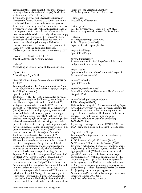centre, slightly scented or not. Sepals more than 25, mauve (with some lavender and purple). Bushy habit with stems up to 2 m. FL: early. Etymology: This was first effectively published in *Thorncroft Clematis Nursery Cat.* 2008 as the name for the red-flowered cv. with the trade designation Rebecca, and strictly therefore should be treated as a synonym of 'Evipo016' (which the raiser intends as the proper name for that cultivar). However, it has now been established that that original use was simply an error; further, European PBR (no.22956) have been awarded to the cultivar described here. It is hoped that publishing this entry will clarify a confused situation and confirm the accepted use of 'Evipo039' for the cultivar here described. Trade designation: BLUE FOUNTAIN (tentatively, 2007). 'Evison' CORRECTED ENTRY Syn. of *C. florida* var. *normalis* 'Evipure'. 'Eximea' Misspelling of 'Eximia', a syn. of 'Ballerina in Blue'. 'Eyers Gifts' Misspelling of 'Eyres' Gift'. 'Fairy Blue' Early Large-flowered Group REVISED ENTRY Parentage: Sport of 'H.F. Young', found at the Anjo Clematis Garden in Aichi Prefecture, Japan, May 1994. S: H. Hayakawa (1994). Syn.: 'Evipo038'. Fls double,  $(7-)10-12(-15)$  cm across, flat, outwardfacing, borne singly. Buds elliptical, 35 mm long, 8–10 mm diameter. Sepals *c*.8, inside vivid violet (87A) with paler bar, outside vivid violet (87A) to vivid purple (87B) with strongly marked pale yellow-green (155A) bar,  $6 \times 2.7$  cm, elliptic, margins entire with weak undulations, tip abruptly pointed and slightly recurved. Staminodes many  $(100+)$ , thread-like, petaloid, opening light purple (87D) on young fls but yellowish green on older fls, maturing to very pale purple (84D) or white; usually persisting after sepals have been shed. Deciduous climber with stems 1–2 m, green when young, greyish brown (166A) when mature. Lvs ternate. FL: May–June, Sept–Oct. Published ref.: *Clematis* (JCS Journal) 1997. Etymology: There has been much confusion in Western literature about the name of this cultivar. It has often been given as 'Fairly Blue', but Hiroshi Takeuchi has established the selector intended the name to be 'Fairy Blue': 'Fairly Blue' is therefore considered to be an unaccepted spelling. Further, Japanese PBR (no. 7053) were granted to 'Fairy Blue' in March 1999 (as was USPP No. 18,223 in Nov. 2007). However, PBR were later granted to this cultivar under the name 'Evipo038' – in Europe in November 2004, in Canada in November 2005, and in New Zealand in March 2008. For ICRA registration purposes the first-granted PBR name has priority, so 'Evipo038' is regarded as a synonym of 'Fairy Blue'. However, the European, Canadian & New Zealand PBR still take legal effect within the countries which fall within their jurisdiction, making 'Evipo038' the accepted name there. Trade designation: Crystal Fountain. 'Fairy Dust' Misspelling of 'Fairydust'. 'Fairy Queen' Cited as a synonym for 'Evipo038' CRYSTAL Fountain, apparently in error for 'Fairy Blue'. 'Falsetto' Parentage: Parentage unknown. R: M. Udagawa (pre-2008). Sepals white with a pale pink bar. *fargesii* 'Paul Farges' Syn. of 'Paul Farges'. *fargesii* 'Summersnow' Erroneous name for 'Paul Farges' (which has trade designation SUMMER SNOW). *fargesi* 'Souliei' Syn./misspelling of *C. fargesii* var. *souliei*, a syn. of *C. potaninii* var. *potaninii*. *fauriei* 'Cinderella' Syn. of 'Cinderella'. *fauriei* 'Hyazinthina Plena' Misspelling of *fauriei* 'Hyacinthina Plena', a syn. of 'Sapphire Pride'. *fauriei* 'Polarlight' Atragene Group I: F.M. Westphal (2008). Fls broadly bell-shaped, 5–6 cm across, nodding. Sepals 4, violet, narrow, with wide gaps between. Staminodes greenish white, some with a violet margin towards top. Fruit-heads persistent. Deciduous climber with stems 2.3–3.3 m. FL: May–June and Aug. Published ref.: *F.M. Westphal Hauptkatalog* 2008–2009: 080. Etymology: Unacceptable name, ICNCP, 2004: Art. 19.25, being too similar to 'Polarlicht', already used. 'Fay' Viticella Group Parentage: Parentage known but not disclosed by registrant. R: W. Straver (2003), G: W. Straver (2004), N: W. Straver (2005), REG: W. Straver (2007). Fls broadly bell-shaped, 4 cm across, nodding, borne singly or in 3–5-fld dichasial cymes. Sepals 4, inside light purplish pink (65B) with moderate purplish pink (65A) veins and a paler base, outside deep purplish red (71A) with pale pink margins,  $4 \times 1.5$ cm, touching, with tips curled. Filaments greenish; anthers green-yellow. Deciduous climber with stems to 2 m, green when young, maturing to purple. Lvs divided into 5–7 lflets, lflets simple or ternate, entire. FL: July–Sept on current year's growth. Nomenclatural Standard: herbarium specimen from registrant (Leiden 20070203). Published ref.: *Clem. Int. 2008*: 14.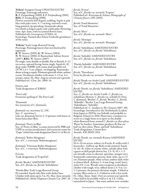'Felicia' Atragene Group UPDATED ENTRY Parentage: Parentage unknown. R: P. Zwijnenburg (2000), I: P. Zwijnenburg (2001), REG: P. Zwijnenburg (2008). Flowers narrowly bell-shaped, nodding. Sepals 4, pale lilac with paler veins, 5–7 cm long, narrowly ovate, long-pointed, tip spreading. Staminodes about two-thirds as long as sepals, only a little paler. Flowering time: Apr–June, with occasional flowers later. Published refs: *Gartenpraxis* 9/2002: 41. Etymology: Named after Felicia Verdoold, grandniece of the raiser.

'Felicity' Early Large-flowered Group Parentage: Parentage known but not disclosed by registrant. R: W. Straver (2003), G: W. Straver (2004), N: W. Straver (2006), I: Baumschule Adrian Straver (2007), REG: W. Straver (2007) Fls single, semi-double or double, flat or flattish, 8–12 cm across, upward-facing, borne singly. Sepals 6(–8), deep violet (N89B) with centre dark purplish red (N79C), 6 × 3 cm, elliptic, overlapping. Staminodes about as long as sepals. Filaments greenish white; anthers cream. Deciduous climber with stems 1–1.5 m. Lvs ternate, entire. FL: May–Aug on current year's growth. Published ref.: *Clem. Int. 2008*: 14.

Fireflame Trade designation of 'KBK01'.

'First Lady' Erroneous spelling of 'The First Lady'.

'Flammula' See synonymy of *C. flammula*.

*flammula* var. *maritima* (L.) DC. Syn.: *C. maritima* L. Like var. *flammula* but lvs 2-/3-pinnate with linear to linear-lanceolate lflets.

*flammula* 'Pretty in Blue'

Syn. of 'Pretty in Blue' (a name protected by PBR and USPP in certain jurisdictions) and erroneous name for 'Zopre' (which has trade designation Pretty in Blue).

*flammula* 'Rubro Marginata' Syn. of *C*. × *triternata* 'Rubromarginata'.

*flammula* 'Triternata Rubro Marginata' Syn. of *C*. × *triternata* 'Rubromarginata'.

Fleuri Trade designation of 'Evipo042'.

*florida* 'Bicolor' AMENDED ENTRY Syn. of *C. florida* var. *florida* 'Sieboldiana'.

'Florida Blue' Early Large-flowered Group Fls rounded. Sepals inky blue with darker base. Climber with stems up to 3 m. FL: May–June onwards. Published ref.: *Sheila Chapman Clematis Cat.* 2007: 10. *florida* 'Evison' Syn. of *C. florida* var. *normalis* 'Evipure'. Published ref.: Kuriyama & Aihara, *Photographs of Clematis flowers*, 091 (2003).

*florida* 'Fond Memories' Syn. of 'Fond Memories'.

*florida* 'Merv' Syn. of *C. florida* var. *normalis* 'Merv'.

*florida* 'Monique' Syn. of *C. florida* var. *normalis* 'Monique'.

*florida* 'Sieboldiana' AMENDED ENTRY Syn. of *C. florida* var. *florida* 'Sieboldiana'.

*florida* 'Sieboldii' AMENDED ENTRY Syn. of *C. florida* var. *florida* 'Sieboldiana'.

'Florida Sieboldii' AMENDED ENTRY Syn. of *C. florida* var. *florida* 'Sieboldiana'.

*florida* 'Thornhayes' Error for *florida* var. *normalis* 'Thorncroft'.

*florida* Thunb. var. *bicolor* Lindl. AMENDED ENTRY Syn. of *C. florida* var. *florida* 'Sieboldiana'.

*florida* Thunb. var. *florida* 'Sieboldiana' AMENDED ENTRY

Syn.: *C. florida* var. *bicolor* Lindl.; *C. florida* var. *sieboldiana* Morren; *C. florida* var. *sieboldii* D. Don; *C. flammula* 'Bicolor'; *C. florida* 'Bicolor'; *C. florida* 'Sieboldii'; 'Bicolor' Late Large-flowered Group; 'Sieboldiana'; 'Sieboldii'.

Published ref.: C. Sanders in *The Clematis* 2007: 185. Etymology: Introduced to the Netherlands (Leiden) from Japan in 1829 by von Siebold, and probably to Belgium (Ghent) in 1830. Plants have a tendency to revert to a single form or to sport to the double white-flowered form, termed *C. florida* var. *flore-pleno* 'Plena' by Sanders. Sometimes produces fls that are half var. *flore-pleno* 'Plena' and half 'Sieboldiana'. Trade designation: CHOIR BOY. Awards: AM (RHS) 1914

*florida* Thunb. var. *normalis* Kuntze AMENDED ENTRY

Fls 4–10 cm across, solitary in lf-axils, fl.-stalks with 2 bracteoles *c.* halfway up. Buds ovoid, pointed. Sepals  $(4-)6(-8)$ , white or creamy white, outside often with a green or dull purple downy bar,  $2.5-5(-8) \times 1-3$ cm, broadly ovate to obovate, apiculate, margin wavy. Staminodes sometimes present, dark violet, up to 2.5 cm. Filaments purple, white at base; anthers dark violet to almost black. Achenes 3–4 mm long, ovoid, hairy; styles 0.8–1 cm. Woody semi-evergreen to deciduous climber with tough, wiry, ribbed stems 2.5–5 m. Lvs 1–2-pinnate, the primary divisions simple, 3-lobed or ternate; lflets entire or 2–3-lobed or with a few teeth. FL: (May–)June–Sept(–Oct) on current year's growth. Once held to be possibly wild in S. & S.E. China, naturalised in Japan – but some authors now consider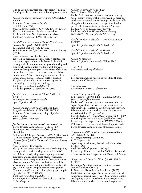it to be a complex hybrid of garden origin (cultigen) from Japan, always naturalised if found apparently wild.

*florida* Thunb. var. *normalis* 'Evipure' AMENDED ENTRY Parentage: Selection from *florida*. S: R.J. Evison (1998). Syn.: *C. florida* 'Evipure'; *C. florida* 'Evison'; 'Evison'. Fls 10–12.5 cm across. Sepals creamy white. FL: June–Sept (to Nov if grown under glass). Published ref.: Evison 1998: 141, as 'Evison'.

*florida* Thunb. var. *normalis* 'Evirida' Late Largeflowered Group AMENDED ENTRY Parentage: Sport of *florida* 'Evipure'. S: R.J. Evison (1992), I: Guernsey Clematis Nursery (1999).

Syn.: *C. florida* 'Evirida'; 'Evirida'. Fls  $8-12$  cm across, sometimes slightly scented, the stalks with a pair of bracteoles below fl. Sepals 6, creamy white in summer, creamy green in spring and autumn, broadly elliptic, overlapping. Filaments white; anthers pinkish grey. In the centre of the fl are green aborted stigmas that remain after sepals have fallen. Stems 2–3 m. Lvs mid-green, ternate; lflets lanceolate, sometimes lobed or further divided. FL: (May–)June–Oct on current year's growth, continuing to Nov if grown under glass. Published ref.: *Clem. Int. 2000*: 54. Trade designation: *C. florida* Pistachio.

*florida* Thunb. var. *normalis* 'Merv' AMENDED ENTRY Parentage: Selection from *florida*. Syn.: *C. florida* 'Merv'.

*florida* Thunb. var. *normalis*'Monique' Late Large-flowered Group AMENDED ENTRY Parentage: Selection from seedlings of *florida* var. *normalis*. Syn.: *C. florida* 'Monique'

*florida* Thunb. var. *normalis* 'Thorncroft' Late Large-flowered Group AMENDED ENTRY Parentage: Selection from *florida* var. *florida* 'Sieboldiana'.

S: Thorncroft Clematis Nursery (1989), N: Thorncroft Clematis Nursery (2004), I: Thorncroft Clematis Nursery (2004), REG: Thorncroft Clematis Nursery  $(2004).$ 

Syn.: *C. florida* 'Thorncroft'.

Fls 7.5–10 cm across, solitary in the lf-axils. Sepals 6, creamy white, outside with pale green bar,  $3.8-5 \times$ 2.5–3.8 cm, broadly elliptic, overlapping, pointed. Filaments and anthers purple-black. Fruit-heads persistent. Semi-evergreen climber (evergreen under glass) with stems 2–2.6 m. Lvs dark green, reddish when young, ternate to bipinnate; lflets usually with big teeth. FL: June–Aug on current year's growth. Nomenclatural Standard: colour photograph supplied by registrant (WSY0070562).

Published ref.: *Clem. Int. 2005*: 34. Etymology: First offered in *Thorncroft Cat.* 1994 as *C. florida* species.

*florida* var. *normalis* 'White Flag' Syn.: *C. florida* 'White Flag'.

Fls flat, 5–7 cm across, upward- or outward-facing. Sepals creamy white, with pronounced pale green bar on the outside which shows through inside, especially along the veins and towards the tips. Staminodes purple. Deciduous climber with stems 2.5–4 m. FL: Jun–Oct. on current year's growth. Published ref.: *F.M. Westphal Hauptkatalog* 2006–2007: 132, as *C. florida* 'White Flag'.

*florida* Thunb. var. *sieboldii* D. Don AMENDED ENTRY Syn. of *C. florida* var. *florida* 'Sieboldiana'.

*florida* Thunb. var. *sieboldiana* Morren Syn. of *C. florida* var. *florida* 'Sieboldiana'.

*florida* 'White Flag' Syn. of *C. florida* var. *normalis* 'White Flag'.

'Floris Vijf Unaccepted spelling of 'Floris V'.

'Flueri' Erroneous name and misspelling of Fleuri, trade designation of 'Evipo042'.

forest clematis A common name for *C. glycinoides*.

'Forever' Integrifolia Group R: B. Fretwell (*c*.1995), I: F.M. Westphal (2008). Syn.: *C. integrifolia* 'Forever'. Fls flat, 4–5 cm across, upward- or outward-facing. Sepals 6, pale blue, suffused red-purple at base and along midveins, elliptic, pointed, with gaps between. Filaments red-purple; anthers cream. Herbaceous stems 0.6–0.8 m. FL: June–Aug. Published ref.: *F.M. Westphal Hauptkatalog* 2008–2009: 104 (though in index, p.9, as *integrifolia* 'Forever'). Etymology: Unacceptable name, ICNCP, 2004: Art. 27.1. Not to be confused with Fretwell's pink, Early Large-flowered Group cultivar of the same name.

'Forget-me-not' (Cripps) Late Large-flowered Group AMENDED ENTRY Parentage: Parentage unknown. R: T. Cripps (1866). Sepals very broad, silvery lavender with bluish bar. FL: July–Oct. Published ref.: *Fl. & Pom.* 1866: 254. Etymology: This was renamed in 2008 to distinguish it more clearly from 'Forget-me-not' (New Leaf Plants). 'Forget-me-not' (New Leaf Plants) AMENDED ENTRY

Parentage: Parentage unknown (but might have involved 'Błękitny Anioł').

R: New Leaf Plants, I: New Leaf Plants (2003). Fls 8–10 cm across. Sepals  $4(-5)$ , pale mauve-blue with lighter bar, outside paler,  $3-3.5 \times 2$  cm, broadly elliptic, overlapping at base, shortly apiculate, margin wavy. Filaments white; anthers pale yellow. Lvs pinnate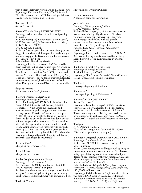with 5 lflets; lflets with wavy margins. FL: June–July. Etymology: Unacceptable name, ICNCP, 2004: Art. 27.1. This was renamed in 2008 to distinguish it more clearly from 'Forget-me-not' (Cripps).

'Fortunei Plena' Syn. of 'Fortunei'.

'Foxtrot' Viticella Group REVISED ENTRY Parentage: 'Alba Luxurians' X unknown (possibly 'Minuet').

R: T. Bennett (1989), G: Bennett & Brown (1990), N: T. Bennett (1995), I: Bennett & Brown (1998), REG: T. Bennett (2008). Syn.: *C. viticella* 'Foxtrot'.

Fls flat or flattish, upward- or outward-facing, borne singly. Sepals white with blue-purple crinkly margin. Stamens deep purple. Deciduous climber with stems 2.5–4 m. FL: July–Sept.

Published ref.: Howells 1998: 093.

Etymology: Credited in *Register 2002* as raised by Barry Fretwell, but he later refuted this. An article by Colin Brown in *The Clematis 2007* led to its true origin. Tom Bennett recorded (*in litt.* 5/3/08) that he sold stock to Mr Jones of Ilford to be named 'Marjory Mary Jones' after his wife – but he doubts this was distributed commercially; instead, he thinks it was probably Vince Denny who promoted 'Foxtrot' commercially.

fragrant clematis A common name for *C. flammula*.

'Fragrant Oberon' Forsteri Group Parentage: Parentage unknown. R: G. Hutchins (pre-1995), N: V. Le May Neville-Parry (2005), I: County Park Nursery (*c*.2002). Fls male, 3.3–4 cm across, cup-shaped in bud, opening to star-shaped, strongly scented, borne in axillary cymes of 2–6 fls on 3–4 cm stalks. Sepals (5–)6(–8), lemon-white flushed lime, with a satin sheen inside and out and a dense white down outside, pointed, gappy, with tips recurved. Filaments white with pale lime-green tips and a maroon base; anthers cream. Compact evergreen subshrub with purplish stems up to  $\overline{0.5}$  m. Lvs strong yellow-green  $(144A)$ , 3-ternate, with lflets irregularly lobed. FL: Mar–May. Etymology: Originally sold by County Park Nursery under the seedling code "9100 male".

'Frances Rivas' Misspelling of 'Frances Rivis'.

'Francis Rivas' Misspelling of 'Frances Rivis'.

'Freda's Daughter' Montana Group Parentage: 'Freda' ×*spooneri*. R: P. Sorensen (2003), I: Yaku Nursery (*c*.2008). Syn.: *C. montana* 'Freda's Daughter'. Sepals 4, near white at centre shading to porcelain-pink margins. Anthers pale yellow. Stigmas green. Young lvs

pale bronze. Deciduous climber with stems up to 6 m.

'Frederyk Chopin'

Misspelling of 'Fryderyk Chopin'.

Fremont's crowfoot A common name for *C. fremontii*.

*fruticosa* 'Anna' Parentage: ? Selection from *fruticosa*. I: F.M. Westphal (2006). Fls broadly bell-shaped, 2.5–3.5 cm across, outwardto downward-facing, slightly scented. Sepals 4, yellow, with wide gaps between, tips recurved. Filaments greenish yellow with red-purple connective; anthers creamy white. Subshrub with stems 1–1.4 m. FL: (Jul–)Aug–Oct. Published ref.: *F.M. Westphal Hauptkatalog* 2006–2007: 133. Etymology: Unacceptable name, ICNCP, 2004: Art. 27.1, 'Anna' having already been used for an Early Large-flowered Group cultivar raised by Magnus Johnson.

'Fujikahori' probably Viorna Group Parentage: Parentage unknown. R: M. Chikuma (pre-2008). Etymology: "Fuji" means "wisteria", "kahori" means "scent". Unaccepted spelling: 'Fujikaori'.

'Fujikaori' Unaccepted spelling of 'Fujikahori'.

'Fujimisumi' Unaccepted spelling of 'Fujimusume'.

'Fujizono' AMENDED ENTRY

Syn. of 'Fukuzono'.

Etymology: Included in *Register 2002* as a distinct cultivar, this is now understood to be the original epithet for the cultivar later renamed 'Fukuzono'. 'Fukuzono' was granted PBR in Japan, so that name now takes priority as the accepted name (ICNCP, 2004: Art. 28.2) and 'Fujizono' becomes its synonym.

'Fukigome' R: K. Ozawa (pre-2001).

(This cultivar was granted Japanese PBR 8770 in 2001. A description is being sought.)

'Fukuzono' Integrifolia Group AMENDED ENTRY Parentage: *C. × durandii* × unknown. R: T. Hirota (1997), I: Hayakawa Nursery (1999) Syn.: 'Fujizono'.

Fls 10–13 cm across, semi-nodding in bud, opening to a star-shape, upward- or outward-facing. Sepals 4–6, indigo-purple fading to mid-blue, narrowly elliptic, deeply ribbed, pointed, with wavy margins. Filaments white or purplish; anthers yellow. Plant herbaceous with stems 1–3 m. FL: June–Sept.

Published ref.: *The Clematis* 1999: 112, as 'Fujizono'; Kuriyama & Aihara, *Photographs of Clematis flowers*, 145 (2003), as 'Fukuzono'.

Etymology: Originally named 'Fujizono', this cultivar was granted PBR in Japan in 2002 as 'Fukuzono'. 'Fukuzono' therefore takes priority as the accepted name (ICNCP, 2004: Art. 28.2) and 'Fujizono'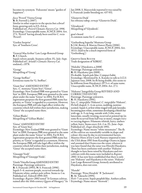becomes its synonym. 'Fukuzono' means "garden of happiness".

*fusca* 'Peveril' Viorna Group R: B. Fretwell (*c*.2007). Similar in other respects to the species but a dwarf form, growing only to 0.5–0.6 m. Published ref.: *Peveril Clematis Nursery Cat.* 1996. Etymology: Unacceptable name, ICNCP, 2004: Art. 27.1, 'Peveril' having already been used for *C. recta*  'Peveril'.

'Garden Surprise' Syn. of 'Southern Cross'.

'General MacArthur' Late Large-flowered Group R: F. Church. Sepals velvety purple. Stamens yellow. FL: July–Sept. Published ref.: *Arnold's Clematis Nursery Cat.* undated, *c.*1978.

'George' Misspelling of 'Georg'.

'George Steffner' Erroneous name for 'G. Steffner'.

'Giant Star' AMENDED ENTRY Syn.: *C. montana* 'Giant Star'; 'Gistar'. Etymology: New Zealand PBR were granted to 'Giant Star' in 2001. European PBR were granted to the same plant under the name 'Gistar' in 2004. For ICRA registration purposes the first-granted PBR name has priority, so 'Gistar' is regarded as a synonym. However, the European PBR still take legal effect within the countries which fall within their jurisdiction, making 'Gistar' the accepted name there.

'Gilian Blades' Misspelling of 'Gillian Blades'.

'Gistar' AMENDED ENTRY Syn. of 'Giant Star'. Etymology: New Zealand PBR were granted to 'Giant Star' in 2000. European PBR were granted to the same plant under the name 'Gistar' in 2004. For ICRA registration purposes the first-granted PBR name has priority, so 'Gistar' is regarded as a synonym. However, the European PBR still take legal effect within the countries which fall within their jurisdiction, making 'Gistar' the accepted name there.

'Giuseppi Verdi' Misspelling of 'Giuseppi Verde'.

'Gizela' Viticella Group AMENDED ENTRY Parentage: Parentage unknown. R: S. Franczak (1993), N: S. Franczak (1996). Sepals 5–6, maroon-purple, recurved towards tip. Filaments white; anthers pale yellow. Stems to 1 m. Published ref.: Feltwell 1999: 019. Etymology: *Register 2002* noted "A German cultivar, named after the 10th-century Queen of Hungary." In Jan 2008, S. Marczyński reported it was raised by S. Franczak (under breeding no. 437-93).

'Glasnevin Dusk' See *tibetana* subsp. *vernayi* 'Glasnevin Dusk'.

'Glyndereck' Misspelling of 'Glynderek'.

goat's-beard A common name for *C. aristata*.

'Gothenburg Superba' Montana Group S: J.M. Brown, I: Marcus Dancer Plants (2006). Etymology: Unacceptable name, ICNCP, 2004: Art. 19.13. (Said to be a much improved form of 'Gothenburg'.)

Grefve Erik Ruuth Trade designation of 'KBK02'.

'Hakuba' (Hayakawa, *c.*2008) Parentage: Parentage unknown. R: H. Hayakawa (pre-2008). Fls double. Sepals pale blue. Compact habit. Etymology: Mentioned by A. Kaneko in talk to I.Cl.S Japanese tour, 2008. Its fls being double, this seems to be different from Hayakawa's 1973 cv. of same name. Unacceptable name, ICNCP, 2004: Art. 27.1.

'Hakuree' Integrifolia Group REVISED AND CORRECTED ENTRY Parentage: Parentage unknown. R: H. Hayakawa (1991). Syn.: *C. integrifolia* 'Hakurai'; *C. integrifolia* 'Hakurei'. Fls bell-shaped, 3–4 cm across, nodding, jasminescented. Sepals 4, at first white tinged with pale lavender, becoming pure white, sometimes developing a bluish bar

with age,  $4-5$  cm long, outside with  $3$  ribs, ovatelanceolate, usually twisting, recurved at pointed tip (in some fls recurved from half way or more), margin wavy to varying degrees. Filaments whitish, hairy; anthers yellow, hairy. Stems erect, 0.6–1 m. FL: June–Sept. Published ref.: *Engei shinchisiki* 1992. Etymology: Name means "white mountains". The fls of the cultivar are remarkably variable in shape and colour: this may be due to environmental factors. Maurice Horn of Joy Creek Nursery imported it into the USA about 1991 from Kazushige Ozawa in Japan and assumed that Ozawa was the raiser, whereas it was later found that the raiser was Hiroshi Hayakawa. There has been confusion with another 'Hakuree' thought to have been raised by Hayakawa and two cultivars with this name were included in *Register 2002*. It has now been established that there is only one 'Hakuree' and Hayakawa is the raiser. 'Hakuree' Late Large-flowered Group, formerly attributed to Hayakawa, does not exist.

#### 'Hanabi'

Parentage: 'Prins Hendrik' X 'Jackmanii'. R: M. Takeuchi (1995). Fls 6–7 cm across. Sepals purplish blue. Anthers yellow. Etymology: Name means "firework".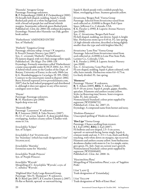'Hanneke' Atragene Group Parentage: Parentage unknown. R: P. Zwijnenburg jr (2000), I: P. Zwijnenburg jr (2001). Fls broadly bell-shaped, nodding. Sepals 5, inside flushed pale pink on a white background, outside with a broad red-purple bar and broad whitish margins. Staminodes yellowish green flushed pink. Published ref.: *Clem. Int. 2004*: 116, without description. Etymology: Named after Hanneke van Dijk, garden book author.

'Hatherliensis' AMENDED ENTRY Syn. of 'Hatherly'.

'Hatherly' Tangutica Group Parentage: *tibetana* subsp. *vernayi* ? *× tangutica*. I: Peveril Clematis Nursery (pre-2007). Syn.: *C. orientalis* 'Hatherly'; 'Hatherliensis'. Fls lantern-shaped, with very thick orange-yellow sepals. Published ref.: *The Magic Tree* 1989: 119. Etymology: Formerly sometimes called 'Hatherliensis', a name unacceptable under ICNCP, 2004: Art. 19.13. A hybrid which arose in the Garden of the Dept. of Botany, University of Exeter, in the early 1960s (see K.G. Shambulingappa in *Caryologia* 19: 395, 1966). Contrary to the uncertainty noted in *Register 2002*, Barry Fretwell reported [www.peverilclematis.com, 2007] that he had indeed propagated and distributed it, although it does not appear in any of his nursery catalogues seen to date.

'Hayate' Parentage: Parentage unknown. R: H. Hayakawa (pre-2008). Sepals deep wine-red.

'Heavenly Blue' Parentage: 'Lasurstern' X unknown. R: P. Sorensen (2002), I: Yaku Nursery (2007). Fls 12–17 cm across. Sepals 6–8, deep purplish blue, overlapping. Anthers creamy yellow. Climber with stems to 3 m.

*heracleifolia* 'Eclipse' Syn. of 'Eclipse'.

*heracleifolia* I Am® Stanislaus See 'Stanislaus' (which has trade designation I Am® STANISLAUS).

*heracleifolia* 'Marinka' Erroneous name for 'Marinka'.

*heracleifolia* 'Purple Princess' Syn. of 'Purple Princess'.

*heraclifolia* 'Wyevale' Misspelling of *C. heracleifolia* 'Wyevale', a syn. of *C. tubulosa* 'Wyevale'.

'Highland Mist' Early Large-flowered Group Parentage: 'Mrs N. Thompson'? X unknown. R: D. Baird (pre-2007), I: Corachie Clematis (*c.*2007). Fls flat or flattish, upward- or outward-facing.

Sepals 8, bluish purple with a reddish purple bar, blunt, overlapping at base. Stamens greenish yellow.

*hirsutissima* 'Bergen Park' Viorna Group Parentage: Selected from *hirsutissima* raised from seed collected at *c.*8,000ft in Bergen Park Open Space, Jefferson Co., Colorado, USA. S: K. Fieseler (*c*.1990), I: Laporte Avenue Nursery (pre-2008). Syn.: *C. hirsutissima* 'Bergen Park Form'. Fls bell-shaped, nodding, not downy. Sepals 4, bright blue. Herbaceous stems up to 0.45 m. FL: late spring. (A high-altitude selection, described as being slightly smaller than the type and with brighter blue fls.)

*hirsutissima* 'Lone Pine' Viorna Group Parentage: Selected from *hirsutissima* raised from seed collected at *c.*6,000ft in Lone Pine State Park, Larimer Co., Colorado, USA. S: K. Fieseler (*c*.1990), I: Laporte Avenue Nursery (pre-2008). Syn.: *C. hirsutissima* 'Lone Pine Form'. Fls urn-shaped, nodding. Sepals 4, plum-coloured, with silky hairs outside. Herbaceous stems 0.6–0.75 m. Lvs finely divided. FL: late spring.

#### 'Hornessy'

Parentage: 'Hornet' X unknown. R: Y. Aihara (2005), REG: Y. Aihara (2006). Fls 9–10 cm across. Sepals 6, purple, gappy, rhombic, apiculate. Filaments and anthers creamy yellow. Styles (at flowering time) brown. Semi-evergreen habit. FL: July onwards. Nomenclatural Standard: colour print supplied by registrant (WSY0096721). Published ref.: *Clem. Int. 2007*: 23. Etymology: A compound name from hornet and nessy.

'Hoshino-Flamenco' Unaccepted spelling of 'Hoshi-no-flamenco'.

#### 'Hot Lips' Viorna Group

Parentage: Chance seedling from *texensis*. S: J. Earl (1996), REG: J. Earl (2007). Fls bulbous and urn-shaped, 2.5–3 cm across, upward- or outward-facing, borne singly. Sepals 4, crimson inside and out,  $3-3.5 \times 2$  cm, thick and fleshy, touching, with white down on margins, tips recurved. Filaments and anthers creamy yellow. Semi-herbaceous deciduous climber with stems to 2 m. Lvs simple, entire, grey-green. FL: July–Sept on current year's growth. Nomenclatural Standard: colour print supplied by registrant (WSY0100483). Published ref.: *Clem. Int. 2008*: 14.

'Hyacintchina Plena' Misspelling of 'Hyacinthina Plena', a syn. of 'Sapphire Pride'.

I Am<sup>®</sup> Lady Q Trade designation of 'Zoiamladyq'.

I Am® Yellow Trade designation of 'Bells of Emei Shan'.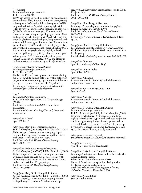#### 'Ice Crystal'

Parentage: Parentage unknown.

R: F. Hansen (2001).

Fls 9.9 cm across, upward- or slightly outward-facing, terminal or axillary. Buds  $2.4 \times 1.3$  cm, ovate, strong yellow-green (145A) with light yellow-green (145D) longitudinal stripes. Sepals 6, opening light violet (91B) to very pale purple (91C), maturing to light violet (92B/C), pale yellow-green (155A) at centre and towards the base, margins opening light violet (91A) and maturing to brilliant violet (92A),  $5.1 \times 2.8$  cm, smooth, glabrous, broadly elliptic, long-pointed, with entire, undulate margins. Stamens *c.*50; filaments 1 cm, greenish white (155C); anthers 4 mm, light greenish yellow (5D); pollen scarce, light greenish yellow (5D). Pistils *c.*60, 9 mm; styles 6 mm, slightly paler than moderate yellow-green (146D); stigmas conical, pale yellow-green (157A/B); ovary pale yellow-green (157A). Climber. Lvs ternate,  $10 \times 12$  cm, glabrous, with acute tips and entire margins. FL: June to Sept.

'Igaguri' Early Large-flowered Group Parentage: Parentage unknown.

R: T. Hirota (1995).

Fls flattish, 15 cm across, upward- or outward-facing. Sepals 6–8, white flushed pale pink with a pale green bar, somewhat overlapping, tips mucronate. Filaments pale green; anthers red-purple. FL: May–June. Etymology: Name means "prickles of a chestnut", describing the unfurled boss of stamens.

'Inge'

Parentage: Parentage unknown. R: P. Zwijnenburg jr (2000), I: P. Zwijnenburg jr

 $(2001)$ .

Published ref.: *Clem. Int. 2004*: 116, without description.

Etymology: Named after Inge Verwolf, the raiser's sister-in-law.

*integrifolia* Athena' Syn. of 'Athena'.

*integrifolia* 'Baby Blue' Integrifolia Group S: F.M. Westphal (pre-2008), I: F.M. Westphal (2008). Fls bell-shaped, 3–4 cm across, drooping. Sepals lavender-blue, tips recurved. Anthers yellow. Stems herbaceous, to 0.8 m. FL: Jun–Sept. Published ref.: *F.M. Westphal Hauptkatalog* 2008–2009: 103.

*integrifolia* 'Baby Rose' Integrifolia Group S: F.M. Westphal (pre-2006), I: F.M. Westphal (2006). Fls bell-shaped, 3–4 cm across, drooping, scented, with red-purple pedicels. Sepals 4, rose-pink with paler margins, tips recurved. Anthers yellow. Stems herbaceous, to 0.8 m. FL: Jun–Sept. Published ref.: *F.M. Westphal Hauptkatalog* 2006–2007: 088.

*integrifolia* 'Baby White' Integrifolia Group S: F.M. Westphal (pre-2006), I: F.M. Westphal (2006). Fls bell-shaped, 3–4 cm across, drooping, scented, with yellow-green pedicels. Sepals 4, white, tips

recurved. Anthers yellow. Stems herbaceous, to 0.8 m. FL: Jun–Sept. Published ref.: *F.M. Westphal Hauptkatalog* 2006–2007: 088.

*integrifolia* 'Blue' Integrifolia Group Parentage: Presumably selection from *integrifolia*. I: Kasugai Garden Centre (*c.*2007). Published ref.: Sugimoto *Total Cat. of Clematis* 2007–2008. Etymology: Name contravenes ICNCP, 2004: Rec. 19D.1.

*integrifolia* 'Blue Fizz' Integrifolia Group Parentage: Apparently a selection from *integrifolia*. Fls double. Sepals mid-blue. Herbaceous stems to 1 m. FL: July–Sept. Published ref.: *Sheila Chapman Clematis Cat.* 2007: 40.

*integrifolia* 'Blueboy' Syn. of *C.* × *diversifolia* 'Blue Boy'.

*integrifolia* 'Bluish Violet' Syn. of 'Bluish Violet'.

*integrifolia* 'Chinook' Erroneous name for 'Evipo013' (which has trade designation CHINOOK).

*integrifolia* 'Cora' REVISED ENTRY Syn. of 'Cora'.

*integrifolia* 'Gazelle' Erroneous name for 'Evipo014' (which has trade designation GAZELLE).

*integrifolia* 'Harlekin' Integrifolia Group Parentage: Parentage unknown. R: F.M. Westphal (pre-2008), I: F.M. Westphal (2008). Fls broadly bell-shaped, 3–4 cm across, nodding, slightly scented. Sepals 4, pale pink with rose-purple bar inside, margins wavy, long-pointed, tips twisted and recurved. Herbaceous stems 0.8–1.2 m. FL: Jun–Sept. Etymology: Unacceptable name, ICNCP, 2004: Art. 19.25, 'Harlequin' having already been used.

*integrifolia* 'Heather Herschel' Syn./misspelling of *C.* × *diversifolia* 'Heather Herschell'.

*integrifolia* 'Hendryetta' Syn. of *C.* × *diversifolia* 'Hendryetta'.

*integrifolia* 'Lake Baikal' Integrifolia Group Parentage: Collected near Lake Baikal, Russia, by the Czech collector Piatek. I: Northwest Garden Nursery (*c*.2003). Fls small. Sepals deep purple-blue, flaring at tips. FL: late summer to early autumn. Published ref.: *Friends of the Rogerson Clematis Collection Newsletter* December 2006.

*integrifolia* 'Orchid Blue' Syn. of 'Orchid Blue'.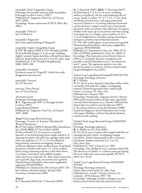*integrifolia* 'Pink' Integrifolia Group Parentage: Presumably selection from *integrifolia*. I: Kasugai Garden Centre (*c.*2007). Published ref.: Sugimoto *Total Cat. of Clematis* 2007–2008. Etymology: Name contravenes ICNCP, 2004: Rec. 19D.1.

*integrifolia* 'Pink Ice' Syn. of 'Pink Ice'.

*integrifolia* 'Rogouchii' Syn./unaccepted spelling of 'Rooguchi'.

*integrifolia* 'Saphir' Integrifolia Group S: F.M. Westphal (2005), I: F.M. Westphal (2008). Fls broadly bell-shaped, 4–5 cm across, nodding, slightly scented. Sepals dark blue, reflexed from about half-way. Stems herbaceous, 0.8–1.5 m. FL: June–Sept. Published ref.: *F.M. Westphal Hauptkatalog* 2008–2009: 108.

*integrifolia* 'Savannah' Erroneous name for 'Evipo015' (which has trade designation SAVANNAH).

*integrifolia* 'Seeryuu' Syn. of 'Seeryuu'.

*intricata* 'Vince Denny' Syn. of 'Vince Denny'.

'Invitation Letter' Parentage: Parentage unknown. R: K. Sugimoto (pre-2007), I: Kasugai Garden Centre (*c.*2007). Large-flowered hybrid. Published ref.: Sugimoto *Total Cat. of Clematis* 2007–2008.

'Irene' Early Large-flowered Group Parentage: 'Corona' (s) ×*patens* 'Manshuu Ki' Wada's Primrose. R: J.P. Van Laeken (2003), I: Spring Valley Greenhouse, Inc. (2008), REG: J.P. Van Laeken (2008). Fls flat or flattish, 12–15 cm across, rounded, upward- or outward-facing, borne singly. Sepals 6–8, opening rose-pink with paler bar, ageing to pale pink with rose-pink bar,  $6-7.5 \times 3-3.5$  cm, elliptical, long-pointed, somewhat overlapping. Stamens numerous; filaments white; anthers cream. Fruit-heads persistent. Climber with stems 1.2–1.8 m, reddish when young, maturing to brown; with white down. Lvs ternate, sometimes with reddish margins, white-downy on underside. FL: May–June on previous year's growth, Aug–Sept. on current year's growth. Nomenclatural Standard: colour print supplied by registrant (WSY0101984). Published ref.: Illustrated in *The Clematis* 2007: 110, but without verbal description; *Spring Valley Greenhouse Introductions 2008*.

#### 'Irisevi'

S: T. Hannink (2004), G: T. Hannink (2005),

N: T. Hannink (2007), REG: T. Hannink (2007) . Fls bell-shaped,  $5-5.5(-6)$  cm across, nodding, solitary, on pedicels >10 cm, and producing a lot of nectar. Sepals 4, yellow,  $3.5-3.7 \times 1.5-1.7$  cm, thick and fleshy, joined at base, with tips pointed and recurved. Stamens 3–4 cm long; filaments brownish red, broad, hairy; anthers cream, hairy. Fruit-heads persistent; styles on achenes with silky hairs. Evergreen climber with stems up to 4 m, brown-red when young, turning brown. Lys simple, entire, leathery,  $8-11 \times$ 4–6 cm, bright brown-red when young, maturing to mid-green; petioles remain blackish maroon. FL: Feb–Mar (under glass), on previous year's growth. Nomenclatural Standard: colour print supplied by registrant (WSY0100201).

Published ref.: Reported in *Clem. Int. 2006*: 157 & 160, asTON001; published in *Clem. Int. 2008*: 14. Etymology: Plant material received from China in 2004 as *C. urophylla*, but later considered to be possibly a natural hybrid between *C. kweichowensis* and *C. repens*. The registrant opted to treat this distinctive plant as a cultivar, and has named it after his granddaughters Iris and Evi.

'Isehara' Late Large-flowered Group REVISED ENTRY Parentage: Parentage unknown.

R: Y. Nishibe.

Fls 15–25 cm across. Sepals 8, deep blue or blue-violet, eventually with paler bar, elliptic, overlapping, pointed. Filaments greenish white; anthers pale yellow. Lvs ternate. FL: May–Oct. Published ref.: Clematis 1967.

Etymology: Named after a Japanese district. *Register 2002* cited a second cultivar of this name, apparently raised by Kiosi Kasimoto [*sic.*]. Hiroshi Takeuchi has shown this was cited in error by Johnson (1997). p.741, whose reference to Ino & Nakamura (1986) misled the Registrar: Ino & Nakamura were in fact referring to Nishibe's cultivar; Kiyoshi Kashimoto raised no such seedling.

'Ishobel' Early Large-flowered Group AMENDED ENTRY

Parentage: Parentage unknown.

R: A. Medlycott, I: J. Fisk (1985).

Fls 15–20 cm across. Sepals white tinged with blue on opening, bar pale yellow, overlapping, margin crenulated. Anthers deep purple-violet or maroon. Deciduous climber with stems 2.5–4 m. FL: May–June, Sept.

Published ref.: *Fisk's Clematis Cat.* 1985.

Etymology: Alec Medlycott was a customer of Jim Fisk. The discovery of 'Isobel' as a cultivar name pre-dating this now makes this name unacceptable (ICNCP, 2004: Art. 19.25).

'Isobel' Late Large-flowered Group AMENDED ENTRY

Parentage: Parentage unknown. Sepals satiny mauve-pink. FL: July–Aug. Published ref.: *Arnold's Clematis Nursery Cat.* undated, *c.*1978; Johnson 1997: 740. Etymology: Although Arnold's catalogue was not dated, research shows that this must have been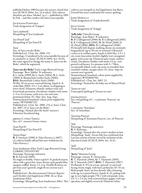| published before 1980 because the nursery closed that      |
|------------------------------------------------------------|
| year (ICNCP, 2004: Art. 23.4 refers). This cultivar        |
| therefore pre-dates 'Ishobel' $(q.v.)$ – published in 1985 |
| by Fisk – and thus renders the latter unacceptable.        |
|                                                            |

Jackmanii Purpurea Trade designation of 'Zojapur'.

'Jan Landmark' Misspelling of 'Jan Lindmark'.

'Jan Powell 2nd' Misspelling of 'Jan Paweł II'.

'Jana'

Syn. of 'Jana von der Birke'. Published ref.: *Clem. Int. 2006*: 174. Etymology: Considered to be unacceptable because of its similarity to 'Janus' (ICNCP, 2004: Art. 19.25), the raiser agreed to change the name to 'Jana von der Birke', which he registered.

'Jana von der Birke' Early Large-flowered Group Parentage: 'Bees' Jubilee' X unknown. S: L. Sachs (1999), G: L. Sachs (2004), N: L. Sachs (2006), I: Baumschule Lothar Sachs (2006), REG: Baumschule Lothar Sachs (2006). Fls flat, 16 cm across, outward-facing. Sepals 6–8, violet-blue (90D), 5.5 × 3 cm, blunt, overlapping in lower third. Filaments whitish; anthers wine-red. Fruit-heads persistent. Deciduous climber with stems 2–3 m. Lvs ternate, with wavy rim and veins prominent below. FL: May–Jun, Aug–Sept. Nomenclatural Standard: colour print supplied by namer (WSY0096723). Published ref.: *Clem. Int. 2006*: 174, as 'Jana'; *Clem. Int. 2007*: 23 as 'Jana von der Birke'. Etymology: Named after the Sachs' nursery's Schweizer Sennhund dog.

*japonica* f. *cremea* Tamura Syn. of *C. tosaensis* forma *cremea*.

'Jean-Paul II' Misspelling of 'Jan Paweł II'.

'Jenna Hope' R: P. Sorensen (1998), I: Yaku Nursery (*c.*2007). (A cultivar briefly offered but now withdrawn by Yaku Nursery.)

'Joan Sandeman-Allen' Early Large-flowered Group CORRECTED ENTRY Parentage: Parentage unknown. R: B. Fretwell (2005). Fls single or double. Outer sepals 6–8, pinkish mauve, often with a green bar, inner shorter, pale purple-blue, margins ruffled. Stems 1.5–2 m. Double fls borne on previous year's growth, single fls on current year's growth. Published ref.: *The International Clematis Register and Checklist 2nd Supplement* 2006: 16, as 'Joan Sanderman-Allen'.

cultivar was misspelt in *2nd Supplement*, but Barry Fretwell has since confirmed the correct spelling.

John Howells Trade designation of 'Zojohnhowells'.

Jolly Good Trade designation of 'Zojogo'.

'Jolly Jake' Viticella Group Parentage: 'Joan Baker' X unknown. R: B. Collingwood (2000), G: B. Collingwood (2003), S: B. Collingwood (2005), N: M. Floyd (2006), I: M. Floyd (2006), REG: B. Collingwood (2006). Fls broadly bell-shaped, nodding, borne on extremely long pedicels (up to 30 cm) in terminal 3-flowered cymes or in axillary pairs. Sepals 4, dark lilac,  $2.5 \times 1$ cm, ovate-lanceolate, keeled, slightly wavy-margined, gappy, with acute tip. Filaments pale cream; anthers cream. Deciduous climber with stems 3.5 m., new growth red-brown. Lvs pinnate with 3–7 lflets, occasionally lobed; ovate, tip acute to rounded, base rounded-cordate, margin entire. FL: June–Sept on current year's growth. Nomenclatural Standard: colour print supplied by registrant (WSY0096750). Published ref.: *Clem. Int. 2007*: 23. Etymology: Named for the baby son of Marcel Floyd.

'Josan-no-sato' Unaccepted spelling of 'Joozan-no-sato'.

*jouiana praecox* Syn./misspelling of *C.* × *jouiniana* 'Praecox': see 'Praecox'.

× *jouiniana* 'Stanislaus' Syn. of 'Stanislaus'.

'Jouinina Praecox' Misspelling of 'Jouiniana Praecox', syn. of 'Praecox'.

'Jūle' Parentage: Parentage unknown. R: V. Riekstiņa. Etymology: Named after the raiser's mother-in-law. Misspelling: 'Juule'. Aivars Irbe has confirmed that Latvian custom is better served by inclusion of the diacritical mark (ICNCP, 2004: Art. 32.6).

'Julli' Misspelling of 'Juuli'.

Etymology: Misspelling 'Joan Sanderman-Allen'. This ∣apiculate and slightly recurved. Filaments white; 'Jurry' Montana Group Parentage: *venusta*× ?*chrysocoma*. R: T. Hannink (2004), G: T. Hannink (2005), N: T. Hannink (2007), REG: T. Hannink (2007). Fls flattish, 8–9.5 cm across, upward- or outwardfacing, borne singly, with hairy peduncles 10–25 cm. Buds purple, hairy (at first densely silky, thinning with age to scattered hairs). Sepals  $4(-6)$ , paling with age to very light purple (75C) with red-purple veins,  $4.5-5 \times 2.5$  cm, with scattered hairs, gappy, with tips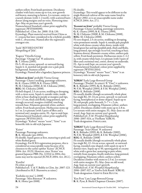anthers yellow. Fruit-heads persistent. Deciduous climber with hairy stems up to 4 m, new growth red-brown, maturing to brown. Lvs ternate, entire to coarsely dentate (with 1–2 teeth), with scattered hairs denser along margins and on veins. Flowering time: Apr–May on previous year's growth. Nomenclatural Standard: colour print supplied by registrant (WSY0100190). Published ref.: *Clem. Int. 2008*: 15 & 130. Etymology: Plant material received from China as *C. venusta* but later considered to be a hybrid, possibly with *C. chrysocoma*. Named after the registrant's youngest son.

'Juule' REVISED ENTRY Misspelling of 'Jūle'.

'Kaguya' Viticella Group Parentage: 'Orange Gal<sup>3</sup> X unknown. R: T. Hirota (2005). Fls 5–10 cm across, upward- or outward-facing. Sepals 4–6, mottled red-purple over a pale pink background. Stamens yellow. Etymology: Named after a legendary Japanese princess.

'Kahori no kimi' probably Viorna Group Parentage: Chance seedling, parentage unknown. G: K. Ozawa (1999), S: K. Ozawa (1999), N: M. Chikuma (2006), I: M. Chikuma (2006), REG: M. Chikuma (2008).

Fls bell-shaped, 2.5 cm across, nodding or drooping, with a citrus scent. Sepals 4, outside violet, inside white at base shading to purple at margins and tips,  $3.5 \times 1.5$  cm, thick and fleshy, long-pointed, tips strongly recurved, margins crinkled, touching towards base. Filaments greenish white; anthers yellow. Fruit-heads persistent. Herbaceous stems up to 1 m. Lvs pinnate (with 3 pairs of lflets and a terminal one), margins entire. FL: Apr to mid-Sept. Nomenclatural Standard: colour print supplied by registrant (WSY0112013). Etymology: "Kahori" means "scent", "kimi" is an

honorific title in old-style Japanese.

'Kaiser' Parentage: Parentage unknown. R: K. Miyazaki (pre-2004). Fls double. Sepals green at first, maturing to pink and white flushed green. Etymology: For ICRA registration purposes, this is considered an unacceptable name because of its closeness to the earlier epithet 'Kaisee' (ICNCP, 2004: Art. 19.25). However, since 'Kaiser' was granted Japanese PBR (No. 12334) in 2004, this name may not be rejected (ICNCP, 2004: Art. 28.2.).

'Kareliia' Fls white or pearl. Published ref.: T. & V. Bubliy in *Clem. Int. 2007*: 123. (Attributed to M.F. Sharonova as raiser.)

'Kashoku-no-mai' (*c*.2008) Parentage: 'Miss Bateman' X unknown. R: K. Hotta (pre-2008).

Fls double.

Etymology: This would appear to be different to the single-flowered cultivar of the same name listed in *Register 2002*, so is an unacceptable name under ICNCP, 2004: Art. 27.1.

'Kasumi no kimi' probably Viorna Group Parentage: Chance seedling, parentage unknown. G: K. Ozawa (1999), S: K. Ozawa (1999), N: M. Chikuma (2008), I: M. Chikuma (2008), REG: M. Chikuma (2008). Fls urn-shaped, 2.5 cm across, nodding or drooping, veins prominent outside. Sepals 4, outside pale purplish

white with dense creamy white down, inside with broad green bar and tips purplish pink, thick and fleshy, long-pointed, tips strongly recurved, touching at base. Stamens downy; filaments creamy white; anthers pale yellow. Fruit-heads persistent. Herbaceous stems 1–1.2 m, with creamy white hairs. Lvs pinnate (with 3 pairs of lflets and a terminal one), entire, downy on underside. FL: Apr to mid-Sept. on current year's growth. Nomenclatural Standard: colour print supplied by registrant (WSY0112014). Etymology: "Kasumi" means "haze", "kimi" is an honorary title in old-style Japanese.

'KBK01' Early Large-flowered Group Parentage: ('Poulala' ALABAST X 'Vino') × unknown. R: K. Bolinder (1995), G: K. Bolinder (2002), N: F.M. Westphal (2005), I: F.M. Westphal (2006), REG: K. Bolinder (2008). Fls usually double (though occasionally whole plant has single fls), 10–14 cm across, upward- to outwardfacing, hemispherical or dome-shaped. Sepals up to 50, red-purple, paler beneath, 5–7 × *c.*2 cm, long-pointed, overlapping. Filaments yellow; anthers yellow. Deciduous climber with stems up to 2.8 m. Lvs ternate with entire margins. FL: May–June on old wood, Aug–Sept on current year's growth. Published ref.: *F.M. Westphal Hauptkatalog* 2006–2007: 024, as 'Fireflame' KBK 01. Trade designation: FIREFLAME.

'KBK02' Early Large-flowered Group Parentage: 'Ivan Olsson' X unknown R: K. Bolinder (1995), G: K. Bolinder (2002), N: F.M. Westphal (2005), I: F.M. Westphal (2006), REG: K. Bolinder (2008) Fls usually double (though occasionally whole plant has single fls), 12–14 cm across, upward- or outwardfacing, rounded cone-shaped, with sepals in up to 5 distinct tiers. Sepals up to 50, opening pink or creamy white with a green bar, maturing to pure white, initially from margins, finally midveins; long-pointed, overlapping. Filaments yellow; anthers yellow. Deciduous climber with stems to 2.5 m. Lvs ternate with entire margins. FL: May–June on old wood, Aug–Sept on current year's growth. Published ref.: *F.M. Westphal Hauptkatalog* 2006–2007: 027, as 'Grefve Erik Ruuth' KBK 02. Trade designation: GREFVE ERIK RUUTH.

'Ken Pyne' Late Large-flowered Group R: K. Pyne, I: Sheila Chapman Clematis (2007).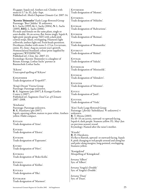Fls gappy. Sepals red. Anthers red. Climber with stems to 3.7 m. FL: July–Sept. Published ref.: *Sheila Chapman Clematis Cat.* 2007: 14.

'Kerstin Thümmler' Early Large-flowered Group Parentage: 'Bees' Jubilee'  $\dot{\mathsf{X}}$  unknown. S: L. Sachs (1999), G: L. Sachs (2004), N: L. Sachs (2005), REG: L. Sachs (2006). Fls male and female on the same plant, single or semi-double, 16 cm across, flat, borne singly. Sepals 8, light pink (purple group 76D) with a dark pink central stripe, blunt, overlapping. Filaments light yellowish; anthers light red. Fruit-heads persistent. Deciduous climber with stems 2–2.5 m. Lvs ternate, entire. FL: June–Aug on current year's growth. Nomenclatural Standard: colour print supplied by registrant (WSY0096738). Published ref.: *Clem. Int. 2007*: 23. Etymology: Kerstin Thümmler is a daughter of Renate Ansorge, Lothar Sachs' partner at Baumschule Lothar Sachs.

'Kikyou' Unaccepted spelling of 'Kikyoo'

Kingfisher Trade designation of 'Evipo037'.

'King's Dream' Viorna Group Parentage: Parentage unknown. R: K. Sugimoto (pre-2007), I: Kasugai Garden Centre (*c.*2007). Published ref.: Sugimoto *Total Cat. of Clematis* 2007–2008.

'Kitahama' Parentage: Parentage unknown. R: K. Hazekawa (pre-2007). Sepals, opening yellow, mature to pure white. Anthers yellow. Habit compact.

Kiviain Trade designation of 'Aino'.

Kivieks Trade designation of 'Ekstra'.

Kiviespe Trade designation of 'Esperanto'.

Kivihu Trade designation of 'Huvi'.

Kivikoll Trade designation of 'Roko Kolla'.

Kivikul Trade designation of 'Küllus'.

Kivilka Trade designation of 'Ilka'.

Kivimarm Trade designation of 'Marmori'. Kivimemm Trade designation of 'Memm'.

**KIVIMIKEL** Trade designation of 'Mikelite'.

Kivirah Trade designation of 'Rahvarinne'.

Kivireim Trade designation of 'Reiman'.

Kivirom Trade designation of 'Romantika'.

Kiviruut Trade designation of 'Rüütel'.

Kivisak Trade designation of 'Sakala'.

Kiviseelik Trade designation of 'Miniseelik'.

Kivisilm Trade designation of 'Silmakivi'.

Kivister Trade designation of 'Minister'.

Kiviuu Trade designation of 'Juuli'.

Kiviviol Trade designation of 'Viola'.

'Kiyo' Early Large-flowered Group Parentage: (*florida* 'Sieboldiana' X unknown) × unknown. R: T. Hirota (2003). Fls 10–15 cm across, outward- to upward-facing. Sepals 6, dark purple. Stamens yellow. FL: May–Jun on previous season's wood. Etymology: Named after the raiser's mother.

'Kizashi' R: H. Hayakawa. Fls flat to flattish, upward- or outward-facing. Sepals 8, pink changing to red-purple around and along bar and paler along margins, long-pointed, overlapping. Stamens yellow.

'Konigekind' Misspelling of 'Königskind'.

*koreana* 'Albert' Syn. of 'Albert'.

*koreana* 'Angela's Double' Syn. of 'Angela's Double'.

*koreana* 'Daan' Syn. of 'Daan'.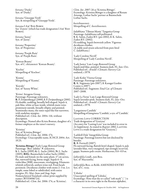*koreana* 'Dusky' Syn. of 'Dusky'. *koreana* 'Giuseppe Verdi' Syn. & misspelling of 'Giuseppi Verde'. *koreana* I Am® Red Robin See 'Zorero' (which has trade designation I Am® RED ROBIN). *koreana* 'Janny' Syn. of 'Janny'. *koreana* 'Propertius' Syn. of 'Propertius'. *koreana* 'Purple Rain' Syn. of 'Purple Rain'. 'Korean Beauty' Syn. of *C. chiisanensis* 'Korean Beauty'. 'Kochio' Misspelling of 'Kochoo'. 'Kosmu' Misspelling of 'Kasmu'. 'Koyuki' Syn. of 'Sunny White'. 'Krista' Atragene Group Parentage: Parentage unknown. R: P. Zwijnenburg jr (2000), I: P. Zwijnenburg jr (2001). Fls double, nodding, broadly bell-shaped. Sepals 4, pale blue, white at base inside, whitish main veins prominent outside, broadly elliptic and pointed. Staminodes many, the outer sepal-like but narrower, with undulate margins. Published ref.: *Clem. Int.* 2004: 116, without description. Etymology: Named after Krista Bontan, daughter of a former employee at the raiser's nursery. 'Kristina' Syn. of 'Kristina Böttger'. Published ref.: *Clem. Int.* 2006: 174. Etymology: Unacceptable name, ICNCP, 2004: Art. 19.25. 'Kristina Böttger' Early Large-flowered Group Parentage: 'Bees' Jubilee' X unknown. S: L. Sachs (1999), G: L. Sachs (2004), N: L. Sachs (2005), REG: Baumschule Lothar Sachs (2006). Fls male and female on the same plant, 17 cm across, flat, outward-facing, borne singly. Sepals 6–8, violet-blue (90B), mucronate, overlapping. Filaments whitish yellowish; anthers wine-red. Fruit-heads persistent. Deciduous climber with stems 2–3 m. Lvs simple, some lobed or subdivided, with entire margins. FL: May–June and Aug–Sept. Nomenclatural Standard: colour print supplied by namer (WSY0096724). Published ref.: *Clem. Int.* 2006: 174, as 'Kristina'; *Clem. Int. 2007*: 26 as 'Kristina Böttger'. Etymology: Kristina Böttger is a daughter of Renate Ansorge, Lothar Sachs' partner at Baumschule Lothar Sachs. *kweichouwensis* Misspelling of *C. kweichowensis*. *ladakhiana* 'Tibetan Mystic' Tangutica Group Parentage: *ladakhiana* self-pollinated. S: K. Sahin, Zaden B.V. (pre-2002), I: K. Sahin, Zaden B.V. (2002). Fls nodding. Sepals brownish yellow. Vigorous deciduous climber. (A stable seed-strain selected from pure-bred *C. ladakhiana*.) 'Lady Coroline Nevill' Misspelling of 'Lady Caroline Nevill'. 'Lady Janice' Late Large-flowered Group Sepals mid-blue, pointed. Stamens dark. FL: Jun–Oct. Published ref.: *Arnold's Clematis Nursery Cat.* undated, *c.*1978. 'Lady Keiko' Viorna Group Parentage: Parentage unknown. <sup>R</sup>: K. Sugimoto (pre-2007), <sup>I</sup>: Kasugai Garden Centre (*c.*2007). Published ref.: Sugimoto *Total Cat. of Clematis* 2007–2008. 'Lady La Verne' Late Large-flowered Group Sepals lavender-pink. Stamens dark. FL: Jun–Oct. Published ref.: *Arnold's Clematis Nursery Cat.* undated, *c.*1978. 'Languinosa Candida' Misspelling of *lanuginosa* 'Candida', a syn. of 'Candida'. Lasting Love CORRECTION Trade designation of 'Grażyna' (An entry for 'Lasting Love' was included in error in *1st Supplement*. As stated in *Register 2002*, LASTING Love is a trade designation for 'Grażyna'.) 'Lathkill Dale' Integrifolia Group Parentage: Parentage known but not disclosed by breeder. R: B. Fretwell (2007). Fls outward-facing, flattish bowl-shaped. Sepals 4, pale lavender-blue, wavy-margined, tips strongly recurved, gappy. Stamens pale cream. Herbaceous, 0.6–0.9 m. *lathyrifolia* Lindl., non Bess. Syn. of 'Macrantha'. *lathyrifolia* Bess. ex Rchb. AMENDED ENTRY Syn. of *C. recta*. 'L'dinka' Unaccepted spelling of 'Ľdinka'. Etymology: Note that the so-called "soft mark" ( ʹ ) is a character in its own right in the Russian alphabet,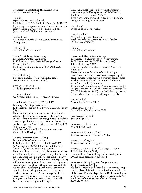not merely an apostrophe (though it is often mistransliterated as such).

'Ľdinka' Sepals white or pearl-coloured. Published ref.: T. & V. Bubliy in *Clem. Int. 2007*: 123. Etymology: Perhaps named after the Kiev ice-hockey team Льдинка. Unaccepted spelling: 'L'dinka'. (Attributed to M.F. Sharonova as raiser.)

leather flower A common name for *C. versicolor*, *C. viorna* and *C. virginiana*.

'Littele Bell' Misspelling of 'Little Belle'.

'Little Artist' Integrifolia Group Parentage: Parentage unknown. R: K. Sugimoto (pre-2007), I: Kasugai Garden Centre (*c.*2007). Published ref.: Sugimoto *Total Cat. of Clematis* 2007–2008.

'Little Duckling' Erroneous name for 'Piilu' (which has trade designation LITTLE DUCKLING).

Little Duckling Trade designation of 'Piilu'.

'Lorcan O'Brien' See *tibetana* subsp. *vernayi* 'Lorcan O'Brien'.

'Lord Herschell' AMENDED ENTRY Parentage: Parentage unknown. R: B. Fretwell (pre-1998), I: Peveril Clematis Nursery (1998). Fls bell-shaped, down-facing to erect. Sepals 4, rich velvety reddish purple inside, with paler margin outside, elliptic, narrowed at base, pointed, spreading towards tips. Stamens pale yellow-green. Fruit-heads persistent, golden. Stems herbaceous, 0.5–0.75(–1.2) m. FL: May–Oct. Published ref.: Fretwell, *Clematis as Companion Plants*, 1995: 103 (fig. p.102).

'Louise Pummell' Forsteri Group

Parentage: 'Fairy' (s) × ? *paniculata*. R: G. Hutchins (1993), G: G. Hutchins (1995), N: G. Hutchins (2005), I: County Park Nursery (pre-2007), REG: G. Hutchins (2007). Fls male and female on separate plants, 4.6 cm across, with short red hairs on receptacle and peduncles 5–9 cm long; drooping bells at first, opening into nearly flat, outward-facing fls, about 5 per cyme. Sepals 5–8; suffused with pale green when young, darker green at base, maturing to white with pale green veins;  $2.4 \times$ 1.6 cm, blunt, overlapping, with very slightly wavy margins. Staminodes present, green, *c.*6 mm long. Anthers brown, infertile. Styles in large head, pale green, densely clothed in long white silky hairs. Evergreen climber with stems to 2 m. Lvs usually 2-ternate, shiny, dark green. FL: Apr.

Nomenclatural Standard: flowering herbarium specimen supplied by registrant (WSY0100222). Published ref.: *Clem. Int. 2008*: 15. Etymology: Some were distributed before naming, using the seedling number 0693.

'Love Jerry' Misspelling of 'Love Jewelry'.

'Lucy Lemoine' Misspelling of 'Lucie Lemoine'. Published ref.: *The Garden* 1876: 487 (under *C.* 'Princess of Wales').

'Luloni' Misspelling of 'Lulonii'.

'Luxuriant Blue' Viticella Group Parentage: 'Alba Luxurians' X 'Neodynamia'. S: W. Stastny (1985), N: W. Stastny (2007), REG: W. Stastny (2007). Syn.: *C. viticella* 'Caerulea Luxurians'; 'Caerulea Luxurians'. Fls  $4-5$  cm across. Sepals  $4(-5)$ , white or light mauve-blue with blue veins towards margin, tip often green, outside sometimes with greenish bar, rhombic. Anthers deep purple-red. Deciduous climber with stems 2–3.8 m. FL: June–Sept. Etymology: Originally named 'Caerulea Luxurians' by Magnus Johnson in 1996. This name was unacceptable (ICNCP, 2002: Art. 19.13), so in 2007 Stastny renamed it 'Luxuriant Blue' and formally registered this.

'Maate Juulija' Misspelling of 'Māte Jūlija'.

'Macksimilian Kolbe' Misspelling of 'Maksymilian Kolbe'.

*macropetala* 'Big Bird' Syn. of 'Big Bird'.

*macropetala* 'Blue Stream' Syn. of 'Blue Stream'.

*macropetala* 'Clochette Pride' Erroneous name for 'Clochette Pride'.

*macropetala* 'Cragside' Erroneous name for 'Cragside'.

*macropetala* 'Honey Schmidt' Atragene Group I: P. Zwijnenburg (*c*.2007). Available from Zwijnenburg's online catalogue in 2007, but no description published.

*macropetala* 'It's Springtime' Atragene Group I: F.M. Westphal (2008). Fls double, broadly bell-shaped, 6–8 cm across, drooping. Sepals 4, bluish-violet. Staminodes petaloid, pale

bluish violet. Fruit-heads persistent. Deciduous climber with stems 2–3 m. FL: Apr–May and occasionally Aug. Published ref.: *F.M. Westphal Hauptkatalog* 2008–2009: 083.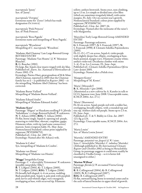*macropetala* 'Janny' Syn. of 'Janny'.

*macropetala* 'Octopus' Erroneous name for 'Zooct' (which has trade designation Octorus).

*macropetala* 'Pink Princess' Syn. of 'Pink Princess'.

*macropetala* 'Rosa Pagoda' Erroneous name and misspelling of 'Rosy Pagoda'.

*macropetala* 'Wesseleton' Misspelling of *C. macropetala* 'Wesselton'.

'Madame Abel Chatenay' Late Large-flowered Group REVISED ENTRY Parentage: 'Madame Van Houtte' (s) × 'Monsieur Blanchet'. R: G. Boucher (1901). Fls large, flat. Sepals clear mauve tinged with sky blue. Published ref.: *Journ. Soc. Nationale d'Horticulture de France* 1902: 174 Etymology: Patrice Huet, great-grandson of M & Mme Abel Chatenay, reported in 2003 that the Chatenay

family has no â – as published in *Register 2002* – so the misspelling 'Madame Abel Châtenay' has been corrected.

'Madame Baron Viellard' Misspelling of 'Madame Baron-Veillard'.

'Madame Eduard Andre' Misspelling of 'Madame Édouard André'.

'**Madame Kayo'**<br>Parentage: 'Shiguri' or Hayakawa seedling F-5 (*florida* 'Sieboldiana' × a large-flowered hybrid) × unknown. N: Y. Aihara (2006), REG: Y. Aihara (2006). Fls flat, borne singly. Sepals 6, opening red- purple, maturing to violet-blue, obovate, cuspidate, gappy. Filaments white, with tip (and some connectives) maroon. Semi-evergreen habit. FL: May–June. Nomenclatural Standard: colour print supplied by registrant (WSY0096753). Published ref.: *Clem. Int. 2007*: 26. Etymology: Named after Mr Aihara's wife.

'Madame le Coltré' Syn./misspelling of 'Madame le Coultre'.

'Madame van Houte' Misspelling of 'Madame van Houtte'.

'Magga' Integrifolia Group Parentage:  $\widetilde{C} \times \textit{diversifolia}$  'Eriostemon' X unknown (possibly *integrifolia* 'Alba') R: T. Löfgren (2001), G: T. Löfgren (2005), N: T. Löfgren (2006), REG: T. Löfgren (2006) Fls broadly bell-shaped, 4–6 cm across, nodding. Buds purplish pink. Sepals 4, pale pink with purplish pink nerves and whitish edges, wavy-margined, overlapping at base, with recurved tip. Filaments

yellow; anthers brownish. Stems erect, non-climbing, up to 1.5 m. Lvs simple or divided into a few lflets (which are sometimes irregularly lobed), with entire margins. FL: July–Oct on current year's growth. Nomenclatural Standard: colour print supplied by registrant (WSY0096726). Published ref.: *Clem. Int. 2007*: 26. Etymology: Named after the nickname of the raiser's wife Margaretha.

'Marcelina' Early Large-flowered Group AMENDED ENTRY

Parentage: Parentage unknown. G: S. Franczak (1997), S: S. Franczak (1997), N: S. Franczak (1998), I: Clematis Szkólka Pojemnikowa (2005).

Fls 12–15 (–17) cm across. Sepals 6, violet-purple with slightly deeper bar, elliptic, overlapping at base, finely pointed, margin wavy. Filaments creamy white; anthers violet-red. Deciduous climber with stems 3–4(–5) m. Lvs 2-ternate. FL: June–Sept. Published ref.: *Clematis Szkólka Pojemnikowa Oferta* Lato–Jesień 2005. Etymology: Named after a Polish river.

'Margaret Koster' Misspelling of 'M. Koster'.

'Maria' (Miyazaki?) R: K. Miyazaki ? (pre-2008). (Mentioned as a new cultivar by A. Kaneko in talk to I.Cl.S. Japanese tour, June 2008. Unacceptable name, ICNCP, 2004: Art. 27.1.)

```
'Maria' (Sharonova)
```
Fls 16 cm across. Sepals purple-red with a redder bar, overlapping, broadly elliptic, with a rounded top and tiny tip. Anthers dark red-purple. Stems up to 2.5 m. FL: June–Sept. Published ref.: T. & V. Bubliy in *Clem. Int. 2007*: 123, fig. p.124. Etymology: Unacceptable name, ICNCP, 2004: Art. 27.1.

'Maria Louise' Syn. of 'Maria Louise Jensen'.

#### 'Marinka' AMENDED ENTRY

Parentage: *potaninii* var. *fargesii* (s) × ? *stans*. Syns: *C. heracleifolia* 'Marinka'; *C. tubulosa* 'Marinka'. (Although published in *The International Clematis Register and Checklist 2002* as being in Heracleifolia Group, its parentage suggests it could more readily be classified in Vitalba Group – so it is better left unassigned to either.)

#### 'Marion Willson'

Parentage: *florida* (s) **X** un-named Viorna Group hybrid. R: B. Collingwood (2004), G: B. Collingwood (2005), N: B. Collingwood (2007), REG: B. Collingwood (2007). Fls flat, outward-facing, borne in terminal cymes and in the axils of lateral branches in upper third of growth.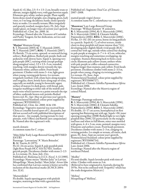Sepals  $4(-6)$ , blue, 2.5–5  $\times$  1.5–2 cm, broadly ovate or obovate, margin slightly wavy, with gaps between sepals. Filaments grey-white; anthers purple. Plant rapidly forms dense stand of upright, non-clinging, green, leafy vines, to 3 m long; deciduous; hardy; stems sparsely hairy at nodes. Lvs usually ternate; lflets irregularly and sparsely toothed, margins hairy. FL: July–Sept (under glass), on longer vines of current year's growth. Published ref.: *Clem. Int. 2008*: 16. Etymology: Named after the Treasurer of Coulsdon and Purley Tangent, for her dedication, service and commitment.

#### 'Marjan' Montana Group

S: T. Hannink (2003), G: T. Hannink (2005), N: T. Hannink (2007), REG: T. Hannink (2007). Fls flattish, 7.5 cm across, upward- or outward-facing, solitary. Buds globose, flushed pale purple; buds and peduncles with downy hairs. Sepals 4, opening very pale purple (69C), turning white (except perhaps along marginal veins),  $3.5 \times 2.5$  –3 cm, rounded, touching, with margins downy towards the tips. Filaments white; anthers yellow. Fruit-heads persistent. Climber with stems 3–4 m, light green when young, turning pale brown. Lvs ternate, irregularly toothed, with ciliate hairs along margins and irregular, short, bristly hairs along tops of veins, especially on midrib; young lvs brownish; upper surface of mature lvs dark green, with broad, pale, irregular marbling to either side of the midrib and main veins which narrows to a point towards the tips of lobes; underside brown-red; petioles flushed brown-red. FL: Apr–May on previous year's growth. Nomenclatural Standard: colour print supplied by registrant (WSY0100211).

Published ref.: *Clem. Int. 2008*: 16 & 130. Etymology: Vegetative material was received from China as a marble-leaved sport of *C. dasyandra*, but did not accord well with published descriptions of that species – for example, having ternate lvs (not pinnate, with 5 lflets) and flattish (not campanulate) fls. Named after the registrant's wife.

marsh clematis A common name for *C. crispa*.

'Māte Jūlija' Early Large-flowered Group REVISED ENTRY

Parentage: 'Lawsoniana' X 'Marie Boisselot'. R: M. Taurite, I: (1975).

Fls 22–24 cm across. Sepals 8, pale purplish pink (light Rose Purple HCC 533/3)(75D). Anthers greyish purple. Deciduous climber with stems 2–2.5

m. Lvs ternate. FL: June, July–Oct. Published ref.: Riekstiņa in *I.Cl.S. Newsl.* 3: 12 (1985). Etymology: Name means "Mother Julia" in Latvian. Misspellings: 'Maate Juulija'; 'Mate Julija'. Aivars Irbe has confirmed that Latvian custom is better served by inclusion of the diacritical marks (ICNCP, 2004: Art. 32.6).

'Matsuridaiko' Fls double. Sepals opening green with pinkish margins, maturing to blue with a greenish bar. Published ref.: Sugimoto *Total Cat. of Clematis* 2007–2008.

matted purple virgin's bower A common name for *C. columbiana* var. *tenuiloba*.

'Mazowsze' Late Large-flowered Group Parentage: 'William Kennett' X unknown. R: S. Marczyński (1994), G: S. Marczyński (1996), N: S. Marczyński (2006), I: Clematis Szkólka Pojemnikowa (2006), REG: S. Marczyński (2006). Fls flat, 13–15(–20) cm across, borne on long pedicels in a panicle. Sepals  $6(-7)$ , of velvet texture, inside claret to deep purplish red (more intense than 71A), developing paler slightly bluish vivid purple (81A) central bar with age, outside white central bar shading to pale purple at margins,  $6-7 \times 4-4.5$  cm, orbicular, margins touching and sometimes overlapping, tip cuspidate. Stamens flattening back to form a neat circle; filaments pale yellow-cream; anthers white with pale purple or coffee-coloured connective. Stigmas longer than stamens, pale yellow. Fruit-heads persistent. Deciduous climber with stems 2–3.5 m, purple when young, clinging via twining petioles. Lvs ternate. FL: June–Sept.

Nomenclatural Standard: colour print supplied by registrant (WSY0096727).

Published ref.: *Clematis Szkólka Pojemnikowa Oferta* Lato–Jesień 2006.

Etymology: Named after the Masovia region of central Poland.

#### 'Mazury'

Parentage: Parentage unknown. R: S. Marczyński (1994), G: S. Marczyński (1996), N: S. Marczyński (2006), I: Clematis Szkólka Pojemnikowa (2006), REG: S. Marczyński (2006). Fls double, 13–17 cm across, hemispherical on first opening but flattening out with age. Sepals >50, inner opening strong blue (100B) flushed light to very light purplish blue (100C/D) particularly on the margins and base and when in full bloom, outer ones mottled with green,  $4-6 \times 3$  cm, ovate, pointed, margins wavy. Filaments and anthers cream. Fruit-heads persistent. Deciduous climber with stems 2–3 m, clinging via twining petioles. Lvs simple or ternate, all entire, dark green. FL: June–Sept on current year's growth. Nomenclatural Standard: colour print supplied by registrant (WSY0096734). Published ref.: *Clematis Szkólka Pojemnikowa Oferta* Lato–Jesień 2006.

Etymology: Named after the Masuria region of northeast Poland.

#### 'Medley'

Fls semi-double. Sepals lavender-pink with tints of white. Climber with stems to 3 m. (Believed to have originated in Australia during the 1970s. Not to be confused with 'Evipo012' which has the trade designation MEDLEY.)

'Melissa' Misspelling of 'Mellissa'.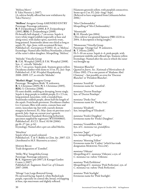'Melissa Merry' I: Yaku Nursery (*c.*2007). (A cultivar briefly offered but now withdrawn by Yaku Nursery.)

'Mellissa' Atragene Group AMENDED ENTRY Parentage: Parentage unknown. R: P. Zwijnenburg jr (2000), I: P. Zwijnenburg jr (2001), REG: P. Zwijnenburg jr (2008). Fls broadly bell-shaped, *c*.7 cm across. Sepals 4, ivory-white tinged reddish (especially at base and along veins), with darker spots, narrowly ovate, long-pointed. Staminodes about one-third as long as sepals. FL: Apr–June, with occasional fls later. Published ref.: *Gartenpraxis* 9/2002: 41, as 'Melissa'. Etymology: Named after Mellissa Noorlander, a friend of the raiser's eldest daughter. Misspelling: 'Melissa'.

'Melodie' Viticella Group R: F.M. Westphal (2005), I: F.M. Westphal (2008). Syn.: *C. viticella* 'Melodie'. Fls 5–7 cm across. Sepals pink. Stamens green-yellow. Deciduous climber with stems to 3.5 m. FL: Jun–Sept. Published ref.: *F.M. Westphal Hauptkatalog* 2008–2009: 127, as *viticella* 'Melodie'.

'Merlin's Magic' Atragene Group Parentage: 'Broughton Bride' X unknown. R: S. Christmas (2005), N: S. Christmas (2005), REG: S. Christmas (2008).

Fls semi-double, nodding or drooping, borne singly. Sepals 4, deep purple to reddish purple, 8 × 2.5 cm, long-pointed, lanceolate, with a rounded base. Staminodes reddish purple, about half the length of the sepals. Fruit-heads persistent. Deciduous climber. Lvs 2-ternate; lflets with entire, cuneate base and entire, lanceolate tip, but with coarsely dentate margins in between. FL: May–June on previous year's growth, July–Sept on current year's growth. Nomenclatural Standard: flowering herbarium specimen supplied by registrant (WSY0100863). Published ref.: *B.Cl.S. Newsl.* 01/06 (2006): pp.16–17 (pic. p.14). Etymology: Named after a pet cat called Merlin.

'Metelitza' Sepals white or pearl-coloured. Published ref.: T. & V. Bubliy in *Clem. Int. 2007*: 123. (Attributed to M.F. Sharonova as raiser.)

Mienie Belle Trade designation of 'Zomibel'.

'Milky Way' Integrifolia Group Parentage: Parentage unknown. R: K. Sugimoto (pre-2007), I: Kasugai Garden Centre (*c.*2007). Published ref.: Sugimoto *Total Cat. of Clematis* 2007–2008.

'Mirage' Late Large-flowered Group Fls outward-facing. Sepals 6, white flushed pale purple, especially on central ribs, broad, overlapping at base, tips mucronate and slightly reflexed.

Filaments greenish yellow, with purplish connectives. Stems up to 2 m. FL: July–Aug(–Sept). (Believed to have originated from Lithuania before 2006.)

'Miss Cholmondeley' Misspelling of 'Mrs Cholmondeley'.

'Moemiyabi' R: H. Harada (pre-2004). (This cultivar was granted Japanese PBR 12231 in 2004. A description is being sought.)

'Momozono' Viticella Group Parentage: 'Orange Gal' X unknown. R: T. Hirota (2005). Fls 5–10 cm across. Sepals 4–6, pink-purple, with prominent midribs and reflexed tips. Stamens yellow. Etymology: Named after the area in which the raiser was brought up.

'Monsieur Blanchet' Quoted in *Journ. Soc. Nationale d'Horticulture de France* 1902: 174 as one parent of 'Madame Abel Chatenay' – but possibly an error for 'Docteur Blanchet' or 'Président Blanchet'.

*montana* 'Annifrid' Erroneous name for 'Annifrid'.

*montana* 'Doctor Penelope' Syn. of 'Doctor Penelope'.

*montana* 'Dusky Star' Erroneous name for 'Dusky Star'.

*montana* 'Elisabeth' Syn./misspelling of 'Elizabeth'.

*montana* 'Freda's Daughter' Erroneous name for 'Freda's Daughter'.

*montana* 'Grandiflora Alba' Syn. of *C. montana* var. *grandiflora*.

*montana* 'Jaqui' Syn./misspelling of 'Jacqui'.

*montana* 'Morning Yellow' Erroneous name for 'Cadmy' (which has trade designation MORNING YELLOW).

*montana* 'Oderata' Misspelling of *C. montana* 'Odorata', a syn. of *C. montana* var. *rubens* 'Odorata'.

*montana* 'Pink Perfektion' Misspelling of *C. montana* 'Pink Perfection', syn. of *C. montana* var. *rubens* 'Pink Perfection'.

*montana* 'Pink Starlight' Erroneous name for 'Pink Starlight'.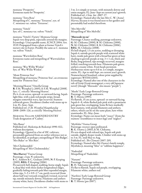*montana* 'Prosperity' Erroneous name for 'Prosperity'.

*montana* 'Tetra Rose' Misspelling of *C. montana* 'Tetrarose', syn. of *C. montana* var. *rubens* 'Tetrarose'.

*montana* 'Veitch' Syn. of *C. montana* var. *rubens* 'Veitch'.

*montana* 'Veitch's Variety' Montana Group Sepals very deep pink, especially around the margins. Etymology: Unacceptable name, ICNCP, 2004: Art. 19.19. Propagated from a plant at former Veitch's nursery site in Exeter. Possibly the same as *C. montana* var. *rubens* 'Veitch'.

*montana* 'Warwikshire Rose' Erroneous name and misspelling of 'Warwickshire Rose'.

*montana* 'Wee Willie Winkie' Syn. of 'Wee Willie Winkie'.

'Mont Primrose Star' Misspelling of *montana* 'Primrose Star', an erroneous name for 'Primrose Star'.

'Morning Heaven' Viticella Group R: F.M. Westphal (*c*.2005), I: F.M. Westphal (2008). Syn.: *C. viticella* 'Morning Heaven'. Fls 4–6 cm across, upward- or outward-facing. Sepals light blue, with a pale red-purple stripe, broad, margins somewhat wavy, tips recurved. Stamens yellowish green. Deciduous climber with stems up to 4 m. FL: June–Sept. Published ref.: *F.M. Westphal Hauptkatalog* 2008–2009: 126, as *viticella* 'Morning Heaven'.

Morning Yellow AMENDED ENTRY Trade designation of 'Cadmy'.

'Mrs Bauer' Published ref.: Riekstiņa & Riekstiņš 1990: 022, without description. Etymology: Quoted in a list of 19C cultivars; presumably garnered from an earlier reference not so far identified, or perhaps a misspelling of 'Mrs Badger', 'Mrs Baker' or 'Mrs Barr'.

'Mrs Cholmondely' Misspelling of 'Mrs Cholmondeley'.

#### 'Mrs Harvey' Viorna Group

Parentage: *crispa*× unknown. S: C. Andrew & C. Graham (1999), N: P. Keeping (2005), REG: P. Keeping (2006). Fls narrowly bell-shaped, nodding, borne singly. Sepals 4, deep blue with three darker longitudinal ridges, gradually fading towards pale blue expanded margin, white tips,  $3-5 \times 0.9-1.7$  cm, partly recurved (from about half way) towards irregularly twisted, recurved tip, outside minutely downy. Filaments and anthers creamy white, hairy. Deciduous climber with stems to  $\; \mid {\bf R} \cdot {\rm T}$ . Hirota (pre-2007).

3 m. Lvs simple or ternate, with minutely downy and entire margins. FL: June–Sept on current year's growth. Published ref.: *Clem. Int. 2007*: 27. Etymology: Named after the late Mrs C. W. (Anne) Harvey, because it was found next to her garden and presumably had seeded therefrom.

'Mrs Merville' Misspelling of 'Mrs Melville'.

#### 'Murasaki no ue'

Parentage: Chance seedling, parentage unknown. G: M. Chikuma (2000), S: M. Chikuma (2000), N: M. Chikuma (2006), I: M. Chikuma (2006), REG: M. Chikuma (2008).

Fls bell-shaped, 1.5 cm across, nodding or drooping. Sepals 4, outside greyish purple with scattered white hairs, inside pale green with a broad bar green at base shading to greyish purple at top,  $3 \times 1$  cm, thick and fleshy, long-pointed, tips strongly recurved, margins frilled, touching towards base. Filaments pale green; anthers creamy white. Fruit-heads persistent. Herbaceous stems up to 0.6 m. Lvs simple, margins entire. FL: Apr to mid-Sept. on current year's growth. Nomenclatural Standard: colour print supplied by registrant (WSY0112015).

Etymology: Named after one of the characters in the tale of Genji (Genji monogatari, a very old Japanese novel) [though "Murasaki" also means "purple"].

'Mushi' Early Large-flowered Group Parentage: Parentage unknown. R: T. Hirota (1995).

Fls flattish, 15 cm across, upward- or outward-facing. Sepals 6–8, white flushed pale pink with a prominent pale green bar, overlapping. Some fls have markedly bent stamens, with purple filaments and anthers; others, which can be on the same plant, have white staminodes. FL: May–June. Etymology: Name can mean both "insect" (from the

stamens' resemblance to insect legs) and "neglect".

'Myōfuku' Viorna Group Parentage: *texensis* open-pollinated. R: K. Ozawa (*c*.2003), I: M. Chikuma. Fls urn-shaped with relexed tips. Sepals soft pink outside, slightly deeper inside. Climber with stems up to 3 m. FL: mid-May to Aug. Published ref.: *The Clematis* 2007: 205. Etymology: Named after Mr Ozawa's family temple, Myofuku-ji, meaning "bliss" or "sublime happiness".

'Nadezdah' Misspelling of 'Nadezhda'.

'Nanami' Parentage: Parentage unknown. R: H. Takeyama (pre-2008). Fls flat to flattish. Sepals red-purple, overlapping. Filaments white; anthers red.

'Narihira' Early Large-flowered Group Parentage: Parentage unknown.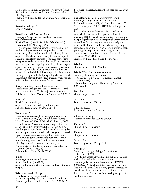Fls flattish, 15 cm across, upward- or outward-facing. Sepals 6, purple-blue, overlapping. Stamens yellow. FL: May–June.

Etymology: Named after the Japanese poet Narihara Ariwara.

'Natacha Cedergren' Syn. of 'Natacha'.

'Natalie Cottrell' Montana Group Parentage: Apparently derived from *montana* var.*glabrescens* hort. R: M. Olbrich (pre-1995), N: M. Olbrich (1995), I: Western Hills Nursery (1995). Fls flattish, 8 cm across, upward- or outward-facing. Buds ovoid, green (not flushed purple as in var. *glabrescens*). Buds and peduncles with downy hairs. Sepals (4–)6, white (though early fls may show pink streaks or pink flush towards sepal-tips), some veins pale green near base, broadly obovate, blunt, markedly wavy-margined, overlapping, touching. Filaments pale green when young (especially connectives), maturing white; anthers pale yellow. Deciduous climber. Lvs ternate, irregularly lobed, bronze-purple when young, turning dark green flushed purple, lightly coated with transparent hairs and with ciliate margins when young. Published ref.: *Exuberant Gardens cat.* 1990s.

'Neapolitan' Early Large-flowered Group Sepals cream with pink margins. Anthers red. Climber with stems to 2.4 m. FL: May–June and autumn. Published ref.: *Sheila Chapman Clematis Cat.* 2007: 17.

'Nevesta' R: M.A. Beskaravainaya. Sepals 4–5, white with deep pink margins. Published ref.: *Clem. Int. 2007*: 117–8.

#### 'New Prince'

Parentage: Chance seedling, parentage unknown. S: M. Chikuma (2003), G: M. Chikuma (2004), N: M. Toomey (2006), REG: M. Chikuma (2006). Fls bell-shaped, 3.5 cm across, nodding, with a citrus scent. Sepals 4, shiny purplish blue,  $5-6 \times < 2$  cm, touching at base, with markedly twisted and irregular, wavy margins, long-pointed, with divergent, recurved tips. Filaments cream, anthers yellow, both with creamy white down. Fruit-heads persistent. Stems non-climbing, erect, to 0.7 m. Lvs simple, entire. FL: May to mid-Sept on current year's growth. Nomenclatural Standard: colour print supplied by registrant (WSY0096736). Published ref.: *Clem. Int. 2007*: 30.

'Niida' Parentage: Parentage unknown. R: K. Hazekawa (pre-2007). Sepals red-purple with a white base and bar. Stamens purple.

'Nikko' Armandii Group R/S: Kazushige Ozawa (*c.*2003). Syn./unaccepted spelling of *C. armandii* 'Nikkou'. Etymology: Unacceptable name, ICNCP, 2004: Art. 27.1, since epithet has already been used for *C. patens* 'Nikko'.

'Nina Banham' Early Large-flowered Group Parentage: 'King Edward VII' × unknown. R: B. Collingwood (1998), G: B. Collingwood (2001), N: B. Collingwood (2005), REG: B. Collingwood (2005).

Fls 12–16 cm across. Sepals 6(–7)–8, mid-purple overlaid with intense red-purple, prominent bar dark purple,  $6-8 \times 2-3$  cm, broadly elliptic, overlapping, margin slightly wavy. Filaments greyish white; anthers pale yellow. Lvs ternate; lflets entire, sparsely hairy beneath. Deciduous climber with brown, sparsely hairy stems to 3.5 m. FL: Apr–May on previous year's growth, July–Sept on current year's growth. Nomenclatural Standard: colour print supplied by registrant (WSY0100545). Etymology: Named for a friend of the raiser.

'Nishibe I' Misspelling of 'Nishibi Number 1'.

'Nishiki' Early Large-flowered Group Parentage: Parentage unknown. R: K. Sugimoto (pre-2007), I: Kasugai Garden Centre (*c.*2007). Published ref.: Sugimoto *Total Cat. of Clematis* 2007–2008.

'Nistukou' Misspelling of 'Nitsukou'.

**Octopus** Trade designation of 'Zooct'.

old man's beard A common name for *C. vitalba*.

old man's whiskers A common name for *C. hirsutissima*.

'Omishiro' Misspelling of 'Omoshiro'.

'Omoshira' Misspelling of 'Omoshiro'.

Ooh La La Trade designation of 'Evipo041'.

'Orange Gal' Parentage: 'Oonagare Ichigoo' X unknown. R: T. Hirota (1998). Fls 5–10 cm across, upward-facing. Sepals 4–6, deep pink with a darker bar. Stamens yellow. Etymology: Name arguably contravenes ICNCP, 2004: Rec. 19E.1, which states that "A cultivar name should not be published if it may give the impression that the cultivar has one or more attributes that it does not possess" – such as, here, having any part of the flower orange.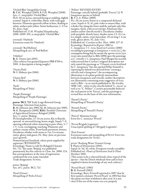'Orchid Blue' Integrifolia Group R: F.M. Westphal (2005), I: F.M. Westphal (2008). Syn.: *C. integrifolia* 'Orchid Blue'. Fls 8–10 cm across, outward-facing or nodding, slightly scented. Sepals 4, violet-blue, blunt, with wide gaps between. Filaments greenish yellow at base, shading to white; anthers pale yellow. Stems herbaceous, 1–1.5 m. FL: June–Sept.

Published ref.: *F.M. Westphal Hauptkatalog* 2008–2009: 105, as *integrifolia* 'Orchid Blue'.

*orientalis* 'Hatherly' Erroneous name for 'Hatherly'.

*orientalis* 'Red Balloon' Misspelling & syn. of 'Red Ballon'.

'Oshikiri' R: K. Ozawa (pre-2001). (This cultivar was granted Japanese PBR 8769 in 2001. A description is being sought.)

'Ozawa Pink' N: S. Shibuya (pre-2006).

'Ozawa Red' N: S. Shibuya (pre-2006).

'Parfa' Misspelling of 'Pafar'.

'Parple Flamingo' Misspelling of 'Purple Flamingo'.

*patens* 'BCL 721' Early Large-flowered Group Parentage: Selection from *patens*. R: M. Johnson (pre-1985), G: M. Johnson (pre-1985), N: K. Rumpunen (2008), REG: Swedish University of Agricultural Sciences, Balsgård (2008). Syn.: *C. patens* 'Beijing'. Fls hermaphrodite, 11–14 cm across, flat or flattish, upward- or outward-facing, borne singly. Sepals 7–9, opening yellowish white maturing to pure white, 5–7 × 3–4 cm, overlapping, touching. Filaments and anthers creamy white. Fruit-heads persistent, bronze. Deciduous climber with stems to 3 m. Lvs ternate, entire, glossy mid-green. FL: May–June on previous year's growth. Nomenclatural Standard: colour print supplied by registrant (WSY0101978). Etymology: Name is code for Balsgård Clematis No. 721. The name 'Beijing' was published prematurely for this cultivar in *Clem. Int. 2008*: 124, but correspondence at the time of registration confirmed the true name intended. Trade designation: Sunna.

*patens* 'Beijing' Syn. of *C. patens* 'BCL 721'.

'Pearl d'Azure' Misspelling of 'Perle d'Azur'. 'Pellieri' REVISED ENTRY Parentage: *viticella* hybrid (probably 'Erecta') (s) X *lanuginosa* species or hybrid. R: F.-J.-A. Pellier (1880). Fls *c*.10 cm across, borne in a compound dichasial cyme. Sepals 4–5(–6), pale violet or mauve-blue, with a darker bar along the lower midrib, and pale ashy lilac margins, thick, with recurved tips. Filaments lilac; anthers yellow (but fls sterile?). Deciduous climber

with purplish, shortly hairy, slender stems 1.5–2(+) m. Lvs simple, entire, ovate-lanceolate, 10 cm long  $\times$  4 cm wide, glossy above. FL: July–Oct.

Published ref.: Carrière in *Rev. Hort.* 1880: 227–8. Etymology: Reported in *Register 2002* as *C. lanuginosa* × *C. recta*, based on Carrière (1880) recording its parentage as *lanuginosa* × *erecta* [*sic.*], the assumption being that he meant the species *erecta* [syn. *recta*]; also noted that Le Bêle (1896) gave the parentage as *C. viticella* × *C. lanuginosa*. Paul Margot has recently rediscovered that Carriere's original description not only stated the parentage as "*Clematis erecta* fertilized by *C. lanuginosa*" but also quoted Pellier himself as reporting his hybrid was derived from "crossing a *viticella* and a *lanuginosa*"; the accompanying illustration is of a plant perfectly intermediate between *lanuginosa* and *viticella*, neither description nor illustration containing traits suggestive of *recta*; and Le Bêle – in an article published in *The Garden* 1898: 240 – refers to the *viticella* hybrid "C. erecta" as well as to "C. Pellieri". Carrière presumably believed the seed parent to be 'Erecta', and the parentage is revised here on the basis of this new information.

'Pennel's Purity' Misspelling of 'Pennell's Purity'.

'Pennels Purity' Misspelling of 'Pennell's Purity'.

'Perevil' Montana Group Error for *C. montana* 'Peveril'.

'Pervoj Brygady Legionow' Unaccepted spelling of 'I Brygady Legionów'.

'Petit Foucon' Erroneous name and misspelling of PETIT FAUCON, trade designation for 'Evisix'.

*petriei* 'Rushing Water' Forsteri Group I: Plants of Distinction (2001). Sepals  $(4-)6(-8)$ , white. Evergreen woody scrambler. Published ref.: *Plants of Distinction Seed & Plant Brochure* 2001. (This seems to be a selected female clone typical of the species – but the Dutch wholesale firm said to have supplied it denies knowledge of any such cultivar.)

'Peveril Peach' (1983) R: B. Fretwell (1983). Etymology: Barry Fretwell reported in 2007 that he first named a clematis 'Peveril Peach' in 1983 but that this plant was later withdrawn after trial. It is not clear if this use of the name was ever properly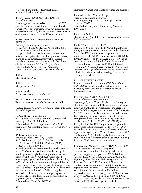established, but it is listed here just in case, to minimize further confusion.

'Peveril Peach' (1990) REVISED ENTRY Syn. of 'Sonnette'.

Etymology: According to Barry Fretwell in 2007, he gave this name to two different cultivars – but the earlier (1983) one was withdrawn, having never been released commercially. It was the later (1990) cultivar of this name that was renamed 'Sonnette' (*qv*).

'Peveril Profusion' Texensis Group AMENDED ENTRY

Parentage: Parentage unknown. R: B. Fretwell (*c*.2004), I: F.M. Westphal (2008). Syn.: *C. texensis* 'Peveril Profusion'. Fls open bell-shaped, 4–6 cm across, upward- or outward-facing. Sepals 4–6, plum-pink with silvery margins, paler outside, narrowly elliptic, longapiculate, tips recurved. Stamens pink. Deciduous climber with stems 2–2.5 m. FL: July–Sept. Published ref.: *F.M. Westphal Hauptkatalog* 2008–2009: 140, as *texensis* 'Peveril Profusion'.

'Pilliu' Misspelling of 'Piilu'.

'Pillu' Misspelling of 'Piilu'.

pine hyacinth A common name for *C. baldwinii*.

Pistachio AMENDED ENTRY Trade designation of *C. florida* var. *normalis* 'Evirida'.

*pitcheri* Torr. & A. Gray var. *bigelovii* (Torr.) B.L. Rob. Syn. of *C. bigelovii*.

*pitcheri* 'Rosea' Viorna Group Fls 2–3 cm across. Sepals rose-pink. Climber with stems up to 3 m. FL: July–Sept. Published ref.: *F.M. Westphal Sortenliste* 2005. Etymology: Unacceptable name, ICNCP, 2004: Art. 19.13 and 27.1.

'Poldice' Viticella Group Parentage: 'Black Prince' X ? 'Danae'. R: C. Pridham (2003), G: C. Pridham (2004), N: C. Pridham (2006), I: C. Pridham (2006), REG: C. Pridham (2006). Fls male, female and hermaphrodite on the same plant, 12–14 cm across, broad open bell-shaped, nodding, borne singly. Buds long and narrow with slight twist. Sepals 4–5, white, broadly edged blue-purple, ageing to white edged with denim blue,  $6-7 \times 3.5$  cm, elliptic, long-pointed, gappy. Filaments green-white; anthers green-purple. Climber with stems 3 m. Lvs pale green, pinnate, usually with 5 lflets each further subdivided into 2 or 3; lflets irregularly toothed. FL: July–Sept on current year's growth. Nomenclatural Standard: colour print supplied by registrant (WSY0096709). Published ref.: *Clem. Int. 2007*: 30.

Etymology: Named after a Cornish village and tin mine.

'Pompadour Pink' Viorna Group Parentage: Parentage unknown. R: K. Sugimoto (pre-2007), I: Kasugai Garden Centre (*c.*2007). Published ref.: Sugimoto *Total Cat. of Clematis* 2007–2008.

'Pope John Paul 11' Misspelling of 'Pope John Paul II', an erroneous name for 'Jan Paweł II'.

#### 'Poulvo' AMENDED ENTRY

Etymology: Syn. of 'Vino'. In 1995, US Plant Patent No. 9,290 was granted to this cultivar under the name 'Vino'. For ICRA registration purposes, the first-granted PBR/USPP name has priority (ICNCP, 2004: Principles 3 and 5, and Art.  $24.4$ ), so 'Vino' is the accepted name and 'Poulvo' must be regarded as a synonym. However, European PBR in 2000 and Canadian PBR in 2004 were granted to 'Poulvo', and these still take legal effect within the countries which fall within their jurisdiction, making 'Poulvo' the accepted name there.

#### 'Prairie' DELETED ENTRY

This was entered in error in the *RHS Plant Finder 2007–2008* as a cultivar, when in fact it refers to the marketing name used for a collection of Evison-Poulsen cultivars.

'Pretty in Blue' AMENDED ENTRY

Syn.: *C. flammula* 'Pretty in Blue'. Etymology: Syn. of 'Zopre'. Registered as 'Pretty in Blue' but, when European PBR were granted to 'Zopre' in July 2003, that took precedence as the accepted name for ICRA registration purposes (ICNCP, 1995: Art. 27.2); PRETTY IN BLUE became treated as a trade designation in Europe. However, the cultivar was later granted both USPP (No. 14,823; 25/5/2004) and Japanese PBR (No. 15969; 18/12/2007) as 'Pretty in Blue'. For ICRA registration purposes the first-granted PBR name has priority (ICNCP, 2004: Principles 3 & 5 and Art. 24.4), so 'Pretty in Blue' is regarded as a synonym of 'Zopre'. However, the USPP and Japanese PBR still take legal effect within the countries which fall within their jurisdiction, making 'Pretty in Blue' the accepted name there.

'Primrose Star' Montana Group AMENDED ENTRY Syn.: *C. montana* 'Primrose Star'; 'Star'. Nomenclatural Standard: flowering herbarium specimen supplied by registrant (WSY0096806). Published ref.: *Sheila Chapman Clematis Cat.* 2001. Etymology: New Zealand PBR were granted to 'Primrose Star' in 1997. European PBR were then granted under the name 'Star' in 2003, despite the objection that the name 'Star' had already been used for a different, Japanese cultivar. For ICRA registration purposes the first-granted PBR name has priority (ICNCP, 2004: Principles 3 & 5 and Art. 24.4), so 'Star' is regarded as a synonym. However, the European PBR still take legal effect within the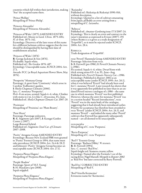| countries which fall within their jurisdiction, making<br>'Star' the accepted name there.                                                                                                                                                                                                         | `Rasiandra´<br>Published ref.: Riekstiņa & Riekstiņš 1990: 016,<br>without description.                                                                                                                                                       |
|---------------------------------------------------------------------------------------------------------------------------------------------------------------------------------------------------------------------------------------------------------------------------------------------------|-----------------------------------------------------------------------------------------------------------------------------------------------------------------------------------------------------------------------------------------------|
|                                                                                                                                                                                                                                                                                                   |                                                                                                                                                                                                                                               |
| 'Prince Phillips'<br>Misspelling of 'Prince Philip'.                                                                                                                                                                                                                                              | Etymology: Quoted in a list of cultivars emanating<br>from Japan; probably an error arising from a<br>misspelling of C. lasiandra.                                                                                                            |
| 'Princess Alexandra'                                                                                                                                                                                                                                                                              |                                                                                                                                                                                                                                               |
| Misspelling of 'Prinsesse Alexandra'.                                                                                                                                                                                                                                                             | 'Rebecca'<br>Published ref.: Amateur Gardening issue 17/3/2007: 24.                                                                                                                                                                           |
| 'Princess of Wales' (1875) AMENDED ENTRY<br>Published ref.: Moore in <i>Gard. Chron.</i> 1875: 684;<br>Fl. & Pom. 1875: 142.<br>Etymology: Discovery of the later reuse of this name<br>for a different Jackman cultivar suggests that the two<br>should be distinguished by having their date of | Etymology: This is clearly an error and contrary to the<br>raiser's intention as expressed in Evison (2007): 155<br>(where REBECCA is given as a trade designation of<br>'Evipo016'), so it must be rejected under ICNCP,<br>2004: Art. 28.4. |
| establishment attached.                                                                                                                                                                                                                                                                           | <b>REBECCA</b>                                                                                                                                                                                                                                |
|                                                                                                                                                                                                                                                                                                   | Trade designation of 'Evipo016'.                                                                                                                                                                                                              |
| 'Princess of Wales' (1876)                                                                                                                                                                                                                                                                        |                                                                                                                                                                                                                                               |
| <b>R</b> : George Jackman & Son (1876).                                                                                                                                                                                                                                                           | recta 'Peveril' Flammula Group AMENDED ENTRY                                                                                                                                                                                                  |
| Fls double. Sepals white.                                                                                                                                                                                                                                                                         | Parentage: Selection from recta.                                                                                                                                                                                                              |
| Published ref.: <i>The Garden</i> 1876: 487.                                                                                                                                                                                                                                                      | S: B. Fretwell (pre-1986), I: Peveril Clematis Nursery                                                                                                                                                                                        |
| Etymology: Unacceptable name, ICNCP, 2004: Art.                                                                                                                                                                                                                                                   | $(c.1986)$ .                                                                                                                                                                                                                                  |
| 27.1.                                                                                                                                                                                                                                                                                             | Fls scented. Sepals 4-6, white. Dwarf form with                                                                                                                                                                                               |
| Awards: FCC (at Royal Aquarium Flower Show, May                                                                                                                                                                                                                                                   | thick strong stems 0.9–1 m. FL: June–Aug.                                                                                                                                                                                                     |
| 1876).                                                                                                                                                                                                                                                                                            | Published refs: Peveril Clematis Nursery Cat. c.1986.                                                                                                                                                                                         |
|                                                                                                                                                                                                                                                                                                   | Etymology: Published in <i>Register 2002</i> as an                                                                                                                                                                                            |
| 'Prosperity' Montana Group                                                                                                                                                                                                                                                                        | unacceptable name (under ICNCP, 1995: Art. 26.1),                                                                                                                                                                                             |
| Parentage: A sport from 'Continuity' which arose in                                                                                                                                                                                                                                               | when it was believed 'Peveril' had already been used                                                                                                                                                                                          |
| Caroline Todhunter's garden.                                                                                                                                                                                                                                                                      | for <i>C. montana</i> 'Peveril'. Later research has shown that                                                                                                                                                                                |
| <b>I</b> : Sheila Chapman Clematis (2006).                                                                                                                                                                                                                                                        | it was apparently first published no later than in an un-                                                                                                                                                                                     |
| Syn.: <i>C. montana</i> 'Prosperity'.                                                                                                                                                                                                                                                             | dated Peveril nursery catalogue of $c$ . 1986 – the same                                                                                                                                                                                      |
| Fls 6–8 cm across, scented. Sepals 4–6, white. Climber                                                                                                                                                                                                                                            | one in which montana 'Peveril' was first published.                                                                                                                                                                                           |
| with stems to 2 m. Lvs like <i>C. chrysocoma</i> . FL: June.                                                                                                                                                                                                                                      | However, whereas the entry for montana 'Peveril' was                                                                                                                                                                                          |
| Published ref.: <i>Sheila Chapman Clematis Cat.</i> 2007: 29.                                                                                                                                                                                                                                     | in a section headed "Recent Introductions", recta                                                                                                                                                                                             |
|                                                                                                                                                                                                                                                                                                   | 'Peveril' was in the main body of the catalogue,                                                                                                                                                                                              |
| 'Pruiniana'                                                                                                                                                                                                                                                                                       | suggesting that it had already been introduced earlier.                                                                                                                                                                                       |
| Misspelling of 'Pruinina': see 'Plum Beauty'.                                                                                                                                                                                                                                                     | Priority for acceptance has therefore been awarded to                                                                                                                                                                                         |
|                                                                                                                                                                                                                                                                                                   | <i>recta</i> 'Peveril' (under ICNCP, 2004: Art. 26.3), and                                                                                                                                                                                    |
| 'Pure Heart'                                                                                                                                                                                                                                                                                      | <i>montana</i> 'Peveril' - and indeed the many other 'Peveril'                                                                                                                                                                                |
| Parentage: Parentage unknown.                                                                                                                                                                                                                                                                     | cultivars that Fretwell has apparently subsequently                                                                                                                                                                                           |
| R: K. Sugimoto (pre-2007), I: Kasugai Garden                                                                                                                                                                                                                                                      | named – are all deemed to be unacceptable.                                                                                                                                                                                                    |
| Centre (c.2007).                                                                                                                                                                                                                                                                                  |                                                                                                                                                                                                                                               |
|                                                                                                                                                                                                                                                                                                   |                                                                                                                                                                                                                                               |
| Large-flowered hybrid.                                                                                                                                                                                                                                                                            | recta purplea                                                                                                                                                                                                                                 |
| Published ref.: Sugimoto Total Cat. of Clematis                                                                                                                                                                                                                                                   | Misspelling of C. recta 'Purpurea'.                                                                                                                                                                                                           |
| 2007–2008.                                                                                                                                                                                                                                                                                        |                                                                                                                                                                                                                                               |
|                                                                                                                                                                                                                                                                                                   | 'Recta Purpurae'                                                                                                                                                                                                                              |
| 'Purity' Atragene Group AMENDED ENTRY                                                                                                                                                                                                                                                             | Misspelling of C. recta 'Purpurea'.                                                                                                                                                                                                           |
| Etymology: Because New Zealand PBR were granted                                                                                                                                                                                                                                                   |                                                                                                                                                                                                                                               |
| to 'Purity' Forsteri Group in 1994, that name must                                                                                                                                                                                                                                                | 'Red 5' Texensis Group                                                                                                                                                                                                                        |
| take precedence (ICNCP, 2004: Art. 24.4 & 28.2)                                                                                                                                                                                                                                                   | Parentage: 'Barbara Dibley' X texensis.                                                                                                                                                                                                       |
| and Johnson's 'Purity' Atragene Group becomes an                                                                                                                                                                                                                                                  | $\mathbf{R}$ : B. Fretwell (1994).                                                                                                                                                                                                            |
| unacceptable name (ICNCP, 2004: Art. 27.1).                                                                                                                                                                                                                                                       | Syn.: C. texensis 'Red Five'.                                                                                                                                                                                                                 |
|                                                                                                                                                                                                                                                                                                   | Sepals bright red. Stamens creamy yellow.                                                                                                                                                                                                     |
| 'Purperea Plenas Elagens'                                                                                                                                                                                                                                                                         | Etymology: Named after the Formula 1 car of the                                                                                                                                                                                               |
| Misspelling of 'Purpurea Plena Elegans'.                                                                                                                                                                                                                                                          | racing driver, Nigel Mansell. Misspelt in Register 2002                                                                                                                                                                                       |
|                                                                                                                                                                                                                                                                                                   | as 'Red Five' but later corrected by Barry Fretwell.                                                                                                                                                                                          |
| 'Purple Shadow'                                                                                                                                                                                                                                                                                   |                                                                                                                                                                                                                                               |
| Parentage: Sport of 'H.F. Young'.                                                                                                                                                                                                                                                                 | 'Red Five' CORRECTED ENTRY                                                                                                                                                                                                                    |

Parentage: Sport of 'H.F. Young'. S: H. Hayakawa (pre-2008). Sepals stippled.

'Purpurea Plena Elegance' Misspelling of 'Purpurea Plena Elegans'. 'Red Viticella Kermesina' Erroneous name for 'Kermesina'.

Misspelling of 'Red 5'.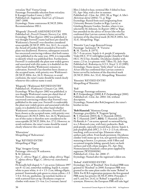*reticulata* 'Red' Viorna Group Parentage: Presumably selection from *reticulata*. I: Kasugai Garden Centre (*c.*2007). Published ref.: Sugimoto *Total Cat. of Clematis* 2007–2008. Etymology: Name contravenes ICNCP, 2004: Recommendation 19D.1.

'Rhapsody' (Fretwell) AMENDED ENTRY Published ref.: *Peveril Clematis Nursery Cat.* 1991. Etymology: When *Register 2002* was published, it was thought Fretwell's name had been pre-dated by Watkinson's; Fretwell's was therefore considered unacceptable (ICNCP, 1995: Art. 26.1). As a result, the Award of Garden Merit awarded to Fretwell's plant was disallowed. However, subsequent research has uncovered convincing evidence that both names were published in the same year, 1991; it is impossible to identify which was published first. Furthermore, Fretwell's is undeniably the plant now widely grown and associated with this name; it is doubtful on the other hand whether Watkinson's remains in cultivation. Fretwell's has therefore been chosen as the accepted name, with priority over Watkinson's (ICNCP, 2004: Art. 26.3). However, to avoid confusion, the raiser's name should be stated clearly whenever this cultivar name is used.

'Rhapsody' (Watkinson) REVISED ENTRY Published ref.: *Watkinson's Clematis Cat.* 1991. Etymology: When *Register 2002* was published, it was thought Watkinson's name pre-dated that of Fretwell. However, subsequent research has uncovered convincing evidence that Fretwell's was published in the same year. Fretwell's is undeniably the plant now widely grown and associated with this name; it is doubtful on the other hand whether Watkinson's remains in cultivation. Fretwell's has been chosen as the accepted name, with priority over Watkinson's (ICNCP, 2004: Art. 26.3); Watkinson's use of this name is therefore now considered to be unacceptable (ICNCP, 2004; Art. 27.1). However, to avoid confusion, the raiser's name should be stated clearly whenever this cultivar name is used.

'Rhavarinne' Misspelling of 'Rahvarinne'.

'Riga' REVISED ENTRY Misspelling of 'Rīga'.

'Rīga' Atragene Group Parentage: *sibirica*(s) **X** unknown. S: M. Johnson. Syn.: *C. sibirica* 'Riga'; *C. alpina* subsp. *sibirica* 'Riga'; *C. alpina sibirica* 'Riga'; *C. sibirica* var. *tianschanica* 'Riga'. Fls broadly bell-shaped, 5–7 cm across (Johnson 1997

says 8–12 cm), somewhat nodding. Sepals 4, creamy white to pure white,  $4-6 \times 1.5-2$  cm, oblong-elliptic, pointed. Staminodes pale green to citron-yellow, *c.*1.5 × 0.4–0.6 cm, spathulate, tip notched, hairless or with scattered hairs at tip. Deciduous creeper or climber with stems 1.5–4 m. Lvs 2-ternate; lateral

lflets 2-lobed to base, terminal lflet 3-lobed to base. FL: Apr–May, with a few in summer. Published ref.: *Clem. Int*. *1992*: 30, as 'Riga'; A. Irbe's *Mežvīteņi dārtā* (2004): 72, as 'Rīga' Etymology: Raised from seed (originating from University Botanic Garden in Rīga, Latvia) at Göteborg Botanic Garden, Sweden, where it was selected by M. Johnson. In *Register 2002* as 'Riga', but amended on the advice of Aivars Irbe who has confirmed that Latvian custom is better served by inclusion of the diacritical mark (ICNCP, 2004: Art. 32.6). Misspelling: 'Riga'.

'Ritenītis' Late Large-flowered Group Parentage: 'Jackmanii' X 'Victoria'. R: M. Taurite, I: (1975). Fls 7–9 cm across. Sepals 4–6, purple (Campanula Violet HCC 37/1) with lighter purple (Amethyst Violet HCC 35/2) bar, rhombic. Deciduous climber with stems *c.*2.5 m. Lvs pinnate with 7 lflets. FL: July–Sept. Published ref.: Riekstiņa in *I.Cl.S. Newsl.* 3: 12 (1985). Etymology: Name means "little wheel" in Latvian. Aivars Irbe has confirmed that Latvian custom is better served by inclusion of the diacritical mark (ICNCP, 2004: Art. 32.6). Misspelling: 'Riteniitis'.

'Riteniitis' REVISED ENTRY Misspelling of 'Ritenītis'.

#### 'Rob'

Parentage: Parentage unknown. R: P. Zwijnenburg jr (2000), I: P. Zwijnenburg jr (2001). Published ref.: *Clem. Int. 2004*: 116, without description. Etymology: Named after Rob Jongeneel, the raiser's

brother-in-law.

#### 'Rob Hannink' Montana Group

Parentage: *gracilifolia*× 'Fragrant Spring'. R: T. Hannink (2003), G: T. Hannink (2004), N: T. Hannink (2007), REG: T. Hannink (2007). Fls flattish, 6–7 cm across, upward- or outward-facing, in a 3-flowered cyme, with hairy peduncles. Buds pink-purple, especially towards base; downy. Sepals 4, pale purplish pink  $(65C)$ ,  $3-3.5 \times 2-2.5$  cm, obovate, touching, with recurved tips. Filaments white; anthers pale yellow. Fruit-heads persistent. Deciduous climber with stems up to 4 m, new growth red-brown, maturing to brown. Lvs pinnate, with 5 lflets and occasional irregular lobing, sparsely hairy on both surfaces and with ciliate margins. FL: Apr–May. Nomenclatural Standard: colour print supplied by registrant (WSY0100196). Published ref.: *Clem. Int. 2008*: 17. Etymology: Named after the registrant's eldest son.

#### 'Robud' AMENDED ENTRY

Etymology: Syn. of 'Rosebud'. New Zealand PBR were granted to 'Rosebud' in 2000. European PBR were granted to the same plant under the name 'Robud' in 2004. For ICRA registration purposes the first-granted PBR name has priority (ICNCP, 2004: Principles 3 and 5, and Art. 24.4), so 'Robud' is regarded as a synonym. However, the European PBR still take legal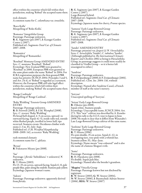| effect within the countries which fall within their<br>jurisdiction, making 'Robud' the accepted name there.                                                                                                                                                             | R: K. Sugimoto (pre-2007), I: Kasugai Garden<br>Centre $(c.2007)$ .<br>Large-flowered hybrid.                                                                                                                                                              |
|--------------------------------------------------------------------------------------------------------------------------------------------------------------------------------------------------------------------------------------------------------------------------|------------------------------------------------------------------------------------------------------------------------------------------------------------------------------------------------------------------------------------------------------------|
| rock clematis<br>A common name for C. columbiana var. tenuiloba.                                                                                                                                                                                                         | Published ref.: Sugimoto Total Cat. of Clematis<br>2007-2008.<br>Etymology: Japanese name for cherry, Prunus species.                                                                                                                                      |
| 'Roco Kolla'<br>Misspelling of 'Roko-Kolla'.                                                                                                                                                                                                                             | 'Samurai' Early Large-flowered Group<br>Parentage: Parentage unknown.                                                                                                                                                                                      |
| 'Romance' Integrifolia Group<br>Parentage: Parentage unknown.<br>R: K. Sugimoto (pre-2007), I: Kasugai Garden<br>Centre (c.2007).                                                                                                                                        | R: K. Sugimoto (pre-2007), I: Kasugai Garden<br>Centre $(c.2007)$ .<br>Published ref.: Sugimoto Total Cat. of Clematis<br>2007–2008.                                                                                                                       |
| Published ref.: Sugimoto <i>Total Cat. of Clematis</i><br>2007–2008.                                                                                                                                                                                                     | 'Sander' AMENDED ENTRY                                                                                                                                                                                                                                     |
| `Romantica´<br>Misspelling of 'Romantika'.                                                                                                                                                                                                                               | Parentage: <i>potaninii</i> var. fargesii (s) X ? heracleifolia.<br>Syns: C. heracleifolia 'Sander'; C. tubulosa 'Sander'.<br>(Although published in The International Clematis<br><i>Register and Checklist 2002</i> as being in Heracleifolia            |
| 'Rosebud' Montana Group AMENDED ENTRY<br>Syn.: <i>C. montana</i> 'Rosebud'; 'Robud'.<br>Etymology: New Zealand PBR were granted to                                                                                                                                       | Group, its parentage suggests it could more readily be<br>classified in Vitalba Group – so it is better left<br>unassigned to either.)                                                                                                                     |
| 'Rosebud' in 2000. European PBR were granted to<br>the same plant under the name 'Robud' in 2004. For<br>ICRA registration purposes the first-granted PBR<br>name has priority (ICNCP, 2004: Principles 3 and 5,<br>and Art. 24.4), so 'Robud' is regarded as a synonym. | `Sandrine'<br>Parentage: Parentage unknown.<br>R: P. Zwijnenburg jr (2000), I: P. Zwijnenburg jr (2001).<br>Published ref.: Clem. Int. 2004: 116, without                                                                                                  |
| However, the European PBR still take legal effect<br>within the countries which fall within their<br>jurisdiction, making 'Robud' the accepted name there.                                                                                                               | description.<br>Etymology: Named after Sandrine Cassel, a French<br>member of staff at the raiser's nursery.                                                                                                                                               |
| 'Rouge Cardinale'<br>Misspelling of 'Rouge Cardinal'.                                                                                                                                                                                                                    | 'Seiryuu'<br>Unaccepted spelling of 'Seeryuu'.                                                                                                                                                                                                             |
| 'Ruby Wedding' Texensis Group AMENDED<br>ENTRY                                                                                                                                                                                                                           | 'Seizan' Early Large-flowered Group<br><b>R</b> : Oikawa (pre-2008).                                                                                                                                                                                       |
| Parentage: Parentage unknown.<br><b>R</b> : B. Fretwell (2005), <b>I</b> : F.M. Westphal (2008).<br>Syn.: <i>C. texensis</i> 'Ruby Wedding'.<br>Fls broad bell-shaped, 4–5 cm across, upward- to<br>outward-facing. Sepals 4(–5), inside ruby-red, outside               | Sepals white. Stamens purple.<br>Etymology: Unacceptable name, ICNCP, 2004: Art.<br>27.1. This "new" cultivar was described by A. Kaneko<br>during his talk to the I.Cl.S. tour to Japan in June<br>2008. He made it clear that it differs from Watanabe's |
| white flushed purple, inrolled in lower half, tips<br>recurved. Stamens cream. Deciduous climber with                                                                                                                                                                    | Late Large-flowered Group cultivar of the same name.                                                                                                                                                                                                       |
| stems 2–3 m. FL: July–Sept.<br>Published ref.: <i>F.M. Westphal Hauptkatalog</i><br>2008–2009: 142, as <i>texensis</i> 'Ruby Wedding'.                                                                                                                                   | 'Senhime' Early Large-flowered Group<br>Parentage: Parentage unknown.<br><b>R</b> : T. Hirota (1996).                                                                                                                                                      |
| rush-stemmed clematis<br>A common name for C. afoliata.                                                                                                                                                                                                                  | Fls semi-double, 15 cm across. Sepals 6–12, in<br>overlapping tiers, rose-pink with a whitish bar.<br>Stamens yellow. FL: May-June.<br>Etymology: Name means "rose-coloured" and is also                                                                   |
| 'Ryuan'<br><b>R</b> : Fukutaroo Miyata (pre-2008).                                                                                                                                                                                                                       | the name of a famous Shogun's wife.                                                                                                                                                                                                                        |
| 'Sae'<br>Parentage: ( <i>florida</i> 'Sieboldiana' × unknown) <b>×</b><br>unknown.<br><b>R</b> : T. Hirota (2003).                                                                                                                                                       | 'Senta'<br>Parentage: Parentage unknown.<br>$R$ : H. Hayakawa (pre-2008).<br>Fls double. Sepals pale blue.<br>Etymology: Named after the breeder's grandson.                                                                                               |
| Fls 13–15 cm across, upward-facing. Sepals 6–8, pale<br>purple-blue, paler along the midrib. Stamens pale yellow.<br>Etymology: Japanese woman's name.                                                                                                                   | <b>'Shapira'</b> Viticella Group<br>Parentage: Parentage known but not disclosed by<br>registrant.                                                                                                                                                         |

'Sakura' Parentage: Parentage unknown: apparently derived from *florida*.

R: W. Straver (2003), G: W. Straver (2004), N: W. Straver (2006), I: Baumschule Adrian Straver

(2006), REG: W. Straver (2007)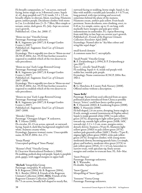Fls broadly campanulate, to 7 cm across, outwardfacing, borne singly or in 3-flowered cymes. Sepals 4(–6), deep purplish red (71A) inside, 3.5  $\times$  3.5 cm, broadly elliptic to obovate, blunt, touching. Filaments green; anthers purple. Deciduous climber with stems to 2 m. Lvs divided into (3–)5–7 lflets, lflets simple or ternate, entire, dark green. FL: July–Sept on current year's growth.

Published ref.: *Clem. Int. 2008*: 17.

'Shino-no-mai' Viticella Group Parentage: Parentage unknown. R: K. Sugimoto (pre-2007), I: Kasugai Garden Centre (*c.*2007). Published ref.: Sugimoto *Total Cat. of Clematis* 2007–2008. Etymology: This is arguably too close to 'Shion-no-mai' (ICNCP, 2004: Art. 19.25) but further research is required to establish which of the two deserves to take precedence.

'Shion-no-mai' Early Large-flowered Group Parentage: Parentage unknown. R: K. Sugimoto (pre-2007), I: Kasugai Garden Centre (*c.*2007). Published ref.: Sugimoto *Total Cat. of Clematis* 2007–2008. Etymology: This is arguably too close to 'Shino-no-mai' (ICNCP, 2004: Art. 19.25) but further research is required to establish which of the two deserves to take precedence.

'Shisen-no-mai' Early Large-flowered Group Parentage: Parentage unknown. R: K. Sugimoto (pre-2007), I: Kasugai Garden Centre (*c.*2007). Published ref.: Sugimoto *Total Cat. of Clematis* 2007–2008.

'Shizuka' (Hirota) Parentage: 'Oonagare Ichigoo' X unknown. R: T. Hirota (2000). Fls circular, 10–13 cm across, upward- or outwardfacing. Sepals 6, dark blue background stippled with white. Stamens creamy white. Etymology: Japanese woman's name. Unacceptable name, ICNCP, 2004: Art. 27.1.

'Sineja Plamja' Unaccepted spelling of 'Sinee Plamja'.

'Skinner's Pink' Viticella Group I: Clearview Horticultural Products (*c.*2006). Fls nodding, pedicels deep red-purple. Sepals 4, purplish pink, gappy, with ragged margins in upper half.

'Skylark' Integrifolia Group Parentage: *integrifolia*× unknown. S: B. Rogerson (2004), G: B. Rogerson (2004), N: L. Beutler (2004), I: Friends of the Rogerson Clematis Collection (2006), REG: Friends of the Rogerson Clematis Collection (2006). Fls 7.5 cm across, broadly bell-shaped to nearly flat, outward-facing or nodding, borne singly. Sepals 4, sky blue with midrib a variable pale lavender,  $6 \times 0.75$  cm, long-pointed, with tips twisting and recurved, sometimes behind the plane of the stamens. Filaments cream, anthers pale yellow. Fruit-heads persistent. Stems deciduous, non-climbing, erect, to 0.45 m. Lvs simple, entire, up to 11 cm long, with markedly hairy margins and pale grey-white indumentum on undersides. FL: repeat flowering from mid-May to late Sept on current year's growth. Published ref.: *Friends of the Rogerson Clematis Collection Newsletter* April 2005. Etymology: Named after its "sky-blue colour and wing-like sepal shape".

small-leaved clematis A common name for *C. microphylla*.

'Small Purple' Viticella Group R: P. Zwijnenburg jr (*c*.1994), I: P. Zwijnenburg jr (pre-2007). Syns: *C. viticella* 'Small Purple'. Fls nodding. Sepals 4–6, inside red-purple with redder bar, outside pale purple. Etymology: Name contravenes ICNCP, 2004: Rec. 19D.1.

'Smokie'

R: G. Hutchins, I: County Park Nursery (2008). Offered online without a description.

#### 'Snow Bells'

Parentage: Raised from seed collected from an openpollinated plant introduced from China as possibly *henryi*; 'Irisevi' could have been a pollen parent. R: T. Hannink (2002), I: Gardening Express (2008), REG: T. Hannink (2008). Fls bell-shaped, 2.6 cm across, drooping, borne singly in lf axils, strongly scented (reminiscent of *Daphne odora*). Sepals 4, inside greenish white (155C) to pale yellowgreen (157A), deepening to light yellow-green (150D) towards tip, outside light yellow-green (145B; 145C towards tip),  $2.2 \times 1.2$  cm, ovate, margins entire, densely downy. Stamens *c.*55 per fl.; filaments light yellow-green (150D) to pale yellow-green (157A); anthers pale greenish yellow (160C). Pistils *c.*75 per fl.; stigmas light yellow-green (150D); styles pale yellowgreen (157A). Evergreen climber, with young stems moderately downy, becoming sparsely hairy. Lvs simple, glossy and leathery, moderate olive-green (137A) to pale yellow-green (193A),  $11 \times 4.5$  cm, lanceolate to narrow-ovate, with apiculate tip, finely serrate margins and cordate to truncate base. FL: Feb–Mar.

'Snow Princess' Parentage: Parentage unknown. R: T. Watanabe. Fls double. Sepals white.

'Snow Quenn' Misspelling of 'Snow Queen'.

'Sonnette' Viorna Group Parentage: Parentage unknown.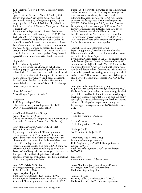R: B. Fretwell (1996), I: Peveril Clematis Nursery (1996).

Syn.: *C. viorna* 'Sonnette'; 'Peveril Peach' (1990). Fls urn-shaped, 2.5 cm across. Sepals 4, at first peach-pink, changing to bright mid-pink, 2–3 cm long, tip reflexed. Stems 1.2–3.3 m. FL: July–Sept. Published ref.: *Peveril Clematis Nursery Cat.* 1996, as 'Peveril Peach'.

Etymology: In *Register 2002*, 'Peveril Peach' was given as an unacceptable name (ICNCP, 1995: Art. 17.13). In 2004/05 this cultivar was promoted in North America by Pride of Place Plants under the name 'Sonnette' (although the connection to 'Peveril Peach' was not mentioned). In normal circumstances the name Sonnette would be regarded as a trade designation of 'Peveril Peach', but, because the latter name had been termed unacceptable, Barry Fretwell agreed that the name 'Sonnette' should replace it.

#### 'Sophie M'

R: M. Chikuma (pre-2005).

Fls 1.5–2 cm across, urn-shaped to bell-shaped, nodding. Sepals 4, glossy reddish purple, with some yellow inside,  $2 \times 1$  cm, thick and fleshy, touching, tip recurved and with a whitish margin. Filaments cream, hairy; anthers yellow, hairy. Fruit-heads persistent. Lvs mid-green, divided into 5 lflets. Herbaceous perennial with erect stems to 90 cm. FL: April–Sept on current year's growth.

'Special Occation' Misspelling of 'Special Occasion'.

'Stagioone' R: K. Miyazaki (pre-2004). (This cultivar was granted Japanese PBR 12233 in 2004. A description is being sought.)

*stans* 'Ibuki' Heracleifolia Group Sepals blue. FL: July–Sept. (On sale in Europe, this might be the same cultivar as that sold as "*stans* from Mount Ibuki" in Japan.)

'Star' Montana Group AMENDED ENTRY Syn. of 'Primrose Star'.

Etymology: New Zealand PBR were granted to 'Primrose Star' in 1997. European PBR were then granted under the name 'Star' in 2003, despite the objection that the name 'Star' had already been used for a different, Japanese cultivar. For ICRA registration purposes the first-granted PBR name has priority (ICNCP, 2004: Principles 3 & 5 and Art. 24.4), so 'Star' is regarded as a synonym. However, the European PBR still take legal effect within the countries which fall within their jurisdiction, making 'Star' the accepted name there.

'Star' AMENDED ENTRY Parentage: Parentage unknown. R: M. Takeuchi (1996). Sepals deep bluish purple. Published ref.: *Clematis* (JCS Journal) 1998. Etymology: As described under 'Primrose Star', New Zealand PBR were granted to that cultivar in 1997;

European PBR were then granted to the same cultivar under the name 'Star' in 2003, despite the objection that that name had already been used for this, different, Japanese cultivar. For ICRA registration purposes the first-granted PBR name has priority (ICNCP, 2004: Principles 3 & 5), so 'Star' Montana Group is regarded as a synonym of 'Primrose Star'. However, the European PBR still take legal effect within the countries which fall within their jurisdiction, making 'Star' the accepted name for 'Primrose Star' there. Under ICNCP, 2004: Art. 24.4, that use of 'Star' takes priority, making its use for this Japanese cultivar unacceptable.

'Starfish' Early Large-flowered Group Sepals long-pointed, lavender-blue or violet-blue. Filaments white; anthers red. Climber with stems to 2.5 m. FL: May–June, Sept.

Etymology: Plants offered in the UK and Europe have violet-blue fls [*Sheila Chapman Clematis Cat*. 1999] or lavender-blue fls [Robin Savill *Cat*. 1999] – so unlike the white-flowered American plant of the same name as to be a different cultivar (or cultivars). The American name takes precedence, having been validly published no later than 1991, so use of the name for this European blue-flowered plant is unacceptable (ICNCP, 2004: Art. 27.1).

'Starlight' Early Large-flowered Group R: J. Link (pre-2007), I: Haybridge Nurseries (2007). Fls flat to flattish, upward- or outward-facing. Sepals 6, pale pink, central bar inside suffused with red-purple speckling, especially towards base, long-pointed, gappy, tips slightly recurved. Filaments greenish yellow; anthers crimson. FL: May–Jun on previous year's growth. Etymology: Unacceptable name, ICNCP, 2004: Art. 27.1.

Star River Trade designation of 'Zostarri'.

Still Waters Trade designation of 'Zostiwa'.

'Stolwijk Gold' See *C. alpina* 'Stolwijk Gold'.

'Strawberry Kiss' Viorna Group Parentage: Parentage unknown. R: K. Sugimoto (pre-2007), I: Kasugai Garden Centre (*c.*2007). Published ref.: Sugimoto *Total Cat. of Clematis* 2007–2008.

sugarbowl A common name for *C. hirsutissima*.

'Suisei Number 2' Early Large-flowered Group Parentage: Sport from 'The President'. Fls double. Sepals deep blue.

'Summer Breeze' I: Spring Valley Greenhouse, Inc. (*c*.2007). Fls flat or flattish, 18–23 cm across, upward-to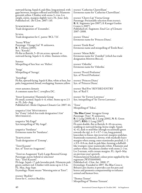| outward-facing. Sepals 6, pale blue, long-pointed, with<br>gaps between, margins reflexed and frilled. Filaments<br>greenish yellow. Climber with stems 3–4 m. Lvs                                                                                                                                                   | texensis 'Catherine Clanwilliam'<br>Erroneous name for 'Catherine Clanwilliam'.                                                                                                                                                                                                                                                                                                                  |
|----------------------------------------------------------------------------------------------------------------------------------------------------------------------------------------------------------------------------------------------------------------------------------------------------------------------|--------------------------------------------------------------------------------------------------------------------------------------------------------------------------------------------------------------------------------------------------------------------------------------------------------------------------------------------------------------------------------------------------|
| simple, entire, margins slightly wavy. FL: June–July.<br>Published ref.: <i>The Clem. 2007</i> : 110.                                                                                                                                                                                                                | <i>texensis</i> 'Cherry Lip' Viorna Group<br>Parentage: Presumably selection from texensis.<br>R: K. Sugimoto (pre-2007), I: Kasugai Garden                                                                                                                                                                                                                                                      |
| SUMMERDREAM<br>Trade designation of 'Zosumdre'.                                                                                                                                                                                                                                                                      | Centre $(c.2007)$ .<br>Published ref.: Sugimoto Total Cat. of Clematis<br>2007–2008.                                                                                                                                                                                                                                                                                                             |
| SUNNA<br>Trade designation for <i>C. patens</i> 'BCL 721'.                                                                                                                                                                                                                                                           | <i>texensis</i> 'Diana'<br>Erroneous name for 'Princess Diana'.                                                                                                                                                                                                                                                                                                                                  |
| 'Sunny White'<br>Parentage: 'Orange Gal' X unknown.<br><b>R</b> : T. Hirota (2005).                                                                                                                                                                                                                                  | <i>texensis</i> 'Etoile Rosé'<br>Erroneous name and misspelling of 'Étoile Rose'.                                                                                                                                                                                                                                                                                                                |
| Syn.: 'Koyuki'.<br>Fls flat to flattish, 5–10 cm across, upward- to<br>outward-facing. Sepals 4–6, white. Stamens white.                                                                                                                                                                                             | <i>texensis</i> 'Miene Belle'<br>Erroneous name for 'Zomibel' (which has trade<br>designation MIENIE BELLE).                                                                                                                                                                                                                                                                                     |
| Sunstar<br>Misspelling of Sun Star: see 'Helios'.                                                                                                                                                                                                                                                                    | <i>texensis</i> 'Odoriba'<br>Erroneous name for 'Odoriba'.                                                                                                                                                                                                                                                                                                                                       |
| 'Surga'<br>Misspelling of 'Suruga'.                                                                                                                                                                                                                                                                                  | <i>texensis</i> 'Peveril Profusion'<br>Syn. of 'Peveril Profusion'.                                                                                                                                                                                                                                                                                                                              |
| 'Suzushige'<br>Fls flat, upward-facing. Sepals 8, blue, white at base, bar<br>paler, long-pointed, broad, overlapping. Stamens yellow.                                                                                                                                                                               | texensis 'Princess Diana'<br>Syn. of 'Princess Diana'.                                                                                                                                                                                                                                                                                                                                           |
| sweet autumn clematis<br>A common name for C. terniflora DC.                                                                                                                                                                                                                                                         | texensis 'Red Five' REVISED ENTRY<br>Syn. of 'Red 5'.                                                                                                                                                                                                                                                                                                                                            |
| 'Sweet Scentsation' Flammula Group<br>Fls small, scented. Sepals 4-6, white. Stems up to 2.5<br>m. FL: July–Aug.                                                                                                                                                                                                     | <i>texensis</i> 'Sir Trewor Lawrence'<br>Syn./misspelling of 'Sir Trevor Lawrence'.                                                                                                                                                                                                                                                                                                              |
| Published ref.: Sheila Chapman Clematis Cat. 2007: 44.                                                                                                                                                                                                                                                               | 'Texsa'<br>Misspelling of 'Teksa'.                                                                                                                                                                                                                                                                                                                                                               |
| <i>tangutica</i> I AM <sup>®</sup> MYSTERIOUS<br>See 'Zomy' (which has trade designation I Ам®<br>MYSTERIOUS).                                                                                                                                                                                                       | 'The Blue Cross' Atragene Group<br>Parentage: 'Foxy' X unknown.                                                                                                                                                                                                                                                                                                                                  |
| <i>tangutica</i> 'My Engel'<br>Syn/misspelling of 'My Angel'.                                                                                                                                                                                                                                                        | <b>R</b> : I. Lang (2000), <b>G</b> : I. Lang (2001), <b>N</b> : R. Green<br>(2007), <b>REG</b> : I. Lang (2007).<br>Fls semi-double, flat or flattish, 8–10 cm across,                                                                                                                                                                                                                          |
| <i>tangutica</i> 'Sundance'<br>Erroneous name for 'Sundance'.                                                                                                                                                                                                                                                        | nodding or outward-facing, borne singly. Sepals<br>$4(-6)$ , dark to mid-blue (though occasionally green<br>towards the tip), $4-5 \times 0.7-1$ cm, long-pointed,                                                                                                                                                                                                                               |
| TEMPTATION<br>Trade designation of 'Zotemp'.                                                                                                                                                                                                                                                                         | lanceolate to linear, tips recurved, margins undulate.<br>Staminodes numerous, downy, with markedly hairy<br>margins when young; outer staminodes petaloid, 1–2<br>$\times$ 0.5–0.8 cm, dark to pale blue, forming a daffodil-                                                                                                                                                                   |
| 'Tenri Kasumi'<br>Syn. of 'Tenri no Asagasumi'.                                                                                                                                                                                                                                                                      | like trumpet; inner staminodes white. Filaments and<br>anthers white. Deciduous climber with stems $2-3$ m.                                                                                                                                                                                                                                                                                      |
| 'Tenri no Asagasumi' Early Large-flowered Group<br>Parentage: <i>patens</i> hybrid or selection?<br>Syn.: 'Tenri Kasumi'.<br>Fls large. Sepals >7, pale lavender-pink. Filaments pale<br>green; anthers red. Climber with stems up to 2.5 m.<br>FL: May, Aug–Sept.<br>Etymology: Name means "Morning mist at Tenri". | Lvs 2-ternate, with crenate margins. FL: April–May<br>on previous year's growth.<br>Nomenclatural Standard: colour print supplied by the<br>registrant (WSY0100500).<br>Published ref.: Clem. Int. 2008: 17.<br>Etymology: Founded in 1897, The Blue Cross is<br>Britain's pet charity; it provides care for pets and<br>horses and promotes companionship to enhance<br>animal and human lives. |
| <i>texensis</i> 'Buckley'<br>Error for C. texensis Buckley.                                                                                                                                                                                                                                                          | 'Thomas Tennet'                                                                                                                                                                                                                                                                                                                                                                                  |

Misspelling of 'Thomas Tennant'.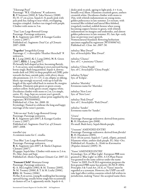'Tikorangi Pearl' Parentage: 'W.E. Gladstone' X unknown. R: P. Sorensen (2001), I: Yaku Nursery (2008). Fls 15–17 cm across. Sepals 6–8, pearly pink with pale pink bar, fading to near white, overlapping, margins crimpled. Anthers tan tinged with purple. Climber with stems to 3 m.

'Tiuu' Late Large-flowered Group Parentage: Parentage unknown. R: K. Sugimoto (pre-2007), I: Kasugai Garden Centre (*c.*2007). Published ref.: Sugimoto *Total Cat. of Clematis* 2007–2008.

'Together' Integrifolia Group Parentage: *C*. × *diversifolia* 'Heather Herschell' × unknown. R: I. Lang (2002), G: I. Lang (2004), N: R. Green  $(2007)$ ,  $\widetilde{\text{REG}}$ : I. Lang $(2007)$ Fls broadly bell-shaped at first, becoming flattish, 4–5 cm across, semi-nodding or erect,outward-facing, borne singly. Buds long-pointed. Sepals 4, downy; inside dark red (59A) to deep purplish red (59B), paler towards the base; outside paler, with silvery sheen, ribs prominent;  $2.5-3 \times 1.5-2$  cm; elliptic or oblong, blunt; tips strongly recurved, with up to half the length of the sepal rolled back in mature fls; margins undulate. Filaments pale green or green-cream; anthers yellow. Styles green-cream; stigmas white. Deciduous climber with stems to 2 m. Lvs simple, entire. FL: Aug–Sept on current year's growth. Nomenclatural Standard: colour print supplied by the registrant (WSY0100502). Published ref.: *Clem. Int. 2008*: 18. Etymology: Named to celebrate the long and happy marriage of the raiser's parents.

'Toki-no-mai' Early Large-flowered Group Parentage: Parentage unknown. R: K. Sugimoto (pre-2007), I: Kasugai Garden Centre (*c.*2007). Published ref.: Sugimoto *Total Cat. of Clematis* 2007–2008.

traveller's joy A common name for *C. vitalba*.

'True Blue' Late Large-flowered Group Parentage: Parentage unknown. <sup>R</sup>: K. Sugimoto (pre-2007), <sup>I</sup>: Sheila Chapman Clematis (2007). Fls gappy. Sepals blue. Climber with stems to 2.4 m. FL: May–June and Sept. Published ref.: *Sheila Chapman Clematis Cat.* 2007: 22.

'Tsunami Child' Montana Group Parentage: Parentage unknown. G: A. McLoughlin (1981), S: M. Toomey (2005), N: M. Toomey (2006), I: T. & M. Leahy (2006), REG: M. Toomey (2006). Fls flat, 8 cm across, young fls nodding but becoming upward-facing, usually borne singly but occasionally in clusters of  $\bar{2}$  or 3, apparently sterile. Sepals  $4-6$ ,

dusky pink to pink, ageing to light pink,  $4 \times 4$  cm, broadly oval, blunt. Filaments creamish green, anthers creamish white. Deciduous climber with stems to 15m, with whitish indumentum on young stems, golden pubescence in late summer. Lvs ternate, with terminal lflet trilobed and lateral lflets bilobed, irregularly toothed, reddish bronze when young becoming coppery bronze to green, with whitish indumentum on margins and undersides, and almost golden pubescence in late summer. FL: late Apr–early June on previous year's growth. Nomenclatural Standard: flowering herbarium specimen supplied by registrant (WSY0096741). Published ref.: *Clem. Int. 2007*: 30.

*tubulosa* 'Blue Dwarf ' Syn. of *heracleifolia* 'Blue Dwarf '.

*tubulosa* 'Chance' Syn. of *C.* × *jouiniana* 'Chance'.

*tubulosa* 'China Purple' Syn. of *C. heracleifolia* 'China Purple'.

*tubulosa* 'Eclipse' Syn. of 'Eclipse'.

*tubulosa* 'Marinka' Erroneous name for 'Marinka'.

*tubulosa* 'New Love' Syn. of 'New Love'.

*tubulosa* 'Pink Dwarf ' Syn. of *C. heracleifolia* 'Pink Dwarf '.

*tubulosa* 'Sander' Erroneous name for 'Sander'.

'Ururu' Parentage: Parentage unknown: derived from *patens*. R: H. Hayakawa (pre-2008). Fls small. Buds hairy. Sepals bluish-purple.

'Usuzumi' AMENDED ENTRY Parentage: Parentage unknown: derived from *florida*? R: H. Hayakawa (2005). Fls 6–10 cm across. Sepals 6–7, pink, elliptic, pointed. Filaments white; anthers dark purple. FL: May–Oct. Published ref.: Kaneko, A., *Ninki no Kurematisu* (Popular clematis) (2005): 35.

'Vanso' AMENDED ENTRY

Etymology: Syn. of 'Blue Light'. European PBR were granted to 'Blue Light' in 2001. A US Plant Patent was granted to the same cultivar under the name 'Vanso' in 2005. For ICRA registration purposes the first-granted PBR name has priority (ICNCP, 2004: Principles 3 & 5 and Art. 24.4), so 'Vanso' must be regarded as a synonym. However, the USPP can still take legal effect within countries which fall within its jurisdiction, making 'Vanso' the accepted name there.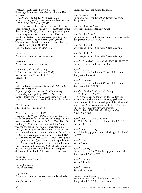'Varenne' Early Large-flowered Group Parentage: Parentage known but not disclosed by registrant. R: W. Straver (2002), G: W. Straver (2003), N: W. Straver (2006), I: Baumschule Adrian Straver (2007), REG: W. Straver (2007). Fls flat or flattish, 10–14 cm across, upward-facing, borne singly. Sepals 6, strong violet (86B) with centre deep purple (N $\hat{8}$ 1A), 5–7  $\times$  4 cm, elliptic, overlapping. Filaments green-violet; anthers cream. Deciduous climber with stems 1–2 m. Lvs ternate, entire, dark green. FL: June–Aug on current year's growth. Nomenclatural Standard: colour print supplied by H. Weihrauch (WSY0100498). Published ref.: *Clem. Int. 2008*: 18.

vase flower A common name for *C. hirsutissima*.

vase vine A common name for *C. viorna*.

'Venosa Rubra' Viticella Group I: Carole's Clematis Nursery (*c*.2007). Syn.: *C. viticella* 'Venosa Rubra'. Sepals red.

#### 'Veste'

Published ref.: Riekstiņa & Riekstiņš 1990: 022, without description. Etymology: Quoted in a list of 19C cultivars; presumably a misspelling of 'Vesta'. Not to be confused with the registered Late Large-flowered Group cultivar 'Veste' raised by the Kivistiks in 1983.

'Vill de Lyon' Misspelling of 'Ville de Lyon'.

'Vino' AMENDED ENTRY Etymology: In *Register 2002*, 'Vino' was cited as a trade designation (Vino) of 'Poulvo'. European PBR were granted to 'Poulvo' in 2000 and Canadian PBR similarly in 2004, and it was assumed that 'Poulvo' was the correct cultivar name. It was later found though that in 1995 US Plant Patent No. 9,290 had been granted to this plant under the name 'Vino'. For ICRA registration purposes the first-granted PBR/ USPP name has priority (ICNCP, 2004: Principles 3 and 5, and Art.  $24.4$ ), so 'Vino' is the accepted name and 'Poulvo' must be regarded as a synonym. However, the European and Canadian PBR still take legal effect within the countries which fall within their jurisdiction, making 'Poulvo' the accepted name there.

*viorna* 'Elf ' Erroneous name for 'Elf'.

*viorna* 'Sonnette' Syn. of 'Sonnette'.

virgin's bower A common name for *C. virginiana* and *C. viticella*.

*viticella* 'Amanda Marie'

Erroneous name for 'Amanda Marie'.

*viticella* 'Avante-Garde' Erroneous name for 'Evipo033' (which has trade designation AVANTE-GARDE).

*viticella* 'Blekidny Aniol' Syn./misspelling of 'Błękitny Anioł'.

*viticella* 'Blue Angel' Erroneous name for 'Błękitny Anioł' (which has trade designation BLUE ANGEL).

*viticella* 'Blue Bell' Syn./misspelling of 'Blue Belle' Viticella Group.

*viticella* 'Bluebell' Syn./misspelling of 'Blue Belle' Viticella Group.

*viticella* 'Caerulea Luxurians' AMENDED ENTRY Erroneous name for 'Luxuriant Blue'.

*viticella* 'Cassis' Erroneous name for 'Evipo020' (which has trade designation CASSIS).

*viticella* 'Confetti' Erroneous name for 'Evipo036' (which has trade designation CONFETTI).

*viticella* 'Hågelby Blue' Viticella Group I: F.M. Westphal (2006). Fls 4–5 cm across, nodding. Inside sepal tips and margins mainly blue, white suffusing up the centre from the all-white bases; outside pale bluish white with blue veins. Deciduous climber with stems 2.5–3 m. FL: Jun–Sept on current year's growth. Published ref.: *F.M. Westphal Hauptkatalog* 2006–2007: 104.

*viticella* I Am® A Little Beauty See 'Zolibe' (which has trade designation I Am® A LITTLE BEAUTY).

*viticella* I Am® LADY Q See 'Zoiamladyq' (which has trade designation I Am®  $L$ ADY $Q$ ).

*viticella* 'Justa' Syn. of 'Justa'.

*viticella* 'Lady Q' Erroneous name for 'Zoiamladyq' (which has trade designation I Am® LADY Q).

*viticella* 'Little Bas' Syn. of 'Little Bas'.

*viticella* 'Little Bass' Syn./misspelling of 'Little Bas'.

*viticella* 'Little Beauty' Erroneous name for 'Zolibe' (which has trade designation I AM® A LITTLE BEAUTY).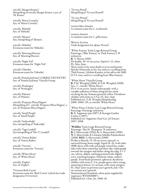*viticella* 'Margot Kostner' Misspelling of *viticella* Margot Koster, a syn. of 'M. Koster'.

*viticella* 'Maria Cornelia' Syn. of 'Maria Cornelia'.

*viticella* 'Melodie' Syn. of 'Melodie'.

*viticella* 'Menuet' Syn./misspelling of 'Minuet'.

*viticella* 'Mikelite' Erroneous name for 'Mikelite'.

*viticella* 'Morning Heaven' Syn. of 'Morning Heaven'.

*viticella* 'Night Veil' Erroneous name for 'Night Veil'.

*viticella* 'Odoriba' Erroneous name for 'Odoriba'.

*viticella* 'Pamela Jackman' CORRECTED ENTRY Syn. of 'Pamela Jackman' Viticella Group.

*viticella* 'Pendragon' Syn. of 'Pendragon'.

*viticella* 'Polonez' Syn. of 'Polonez'.

*viticella* 'Purpurae Plena Elegans' Misspelling of *C. viticella* 'Purpurea Plena Elegans', a syn. of 'Purpurea Plena Elegans'.

*viticella* 'Small Purple' Syn. of 'Small Purple'.

*viticella* 'Sutherthalje' Syn./misspelling of 'Södertälje'.

*viticella* 'Tage Lundell' Syn/misspelling of 'Mrs T. Lundell'.

*viticella* 'Venosa Rubra' Syn. of 'Venosa Rubra'.

*viticella* 'Victoria' Erroneous name for 'Victoria'.

*viticella* 'White Heart' Syn. of 'White Heart'.

*viticella* 'Zephyr' Syn. of 'Zephyr'.

'Vivienne Beth Currie' Erroneous name for 'Beth Currie' (which has trade designation VIVIENNE).

'Vyvyan Penell' Misspelling of 'Vyvyan Pennell'.

'Vyvyan Pennel' Misspelling of 'Vyvyan Pennell'.

western blue clematis A common name for *C. occidentalis*.

western clematis A common name for *C. gilbertiana*.

White Alpina Trade designation for *alpina* 'Peveril'.

'White Fantasy' Early Large-flowered Group Parentage: ['Blue Fantasy' or 'Pink Fantasy'?] × unknown. R: T. Hirota (1995). Fls double, 10–15 cm across. Sepals 6–12, white. FL: May–June. There seems to be some doubt as to its seed parent: Mariko Nakanishi *in litt.* has said it is a seedling from 'Pink Fantasy'; Akihito Kaneko, in his talk to the 2008 I.Cl.S. tour, said it is a seedling from 'Blue Fantasy'.

'White Heart' Viticella Group R: F.M. Westphal (2006), I: F.M. Westphal (2008). Syn.: *C. viticella* 'White Heart'. Fls 4–6 cm across. Sepals violet-purple, with a variable suffusion of white along the bar rarely reaching the tip. Stamens greenish yellow. Deciduous climber with stems to 2.5 m. FL: Jun–Sept. Published ref.: *F.M. Westphal Hauptkatalog* 2008–2009: 135, as *viticella* 'White Heart'.

'White Prince Charles' Late Large-flowered Group Parentage: Parentage unknown. R: K. Sugimoto (pre-2007), I: Kasugai Garden Centre (*c.*2007). Published ref.: Sugimoto *Total Cat. of Clematis* 2007–2008.

'Wildfire' Early Large-flowered Group Parentage: 'Mrs N. Thompson' X unknown. R: S. Marczyński (1994), G: S. Marczyński (1996), N: S. Marczyński, I: Clematis Szkólka Pojemnikowa (2008), REG: S. Marczyński (2008). Fls flat or flattish, 15–20 cm across, upward- or outward-facing, borne singly. Sepals (6–)8, vivid violet (89B) above with wide red-purple central bar, undersides with white central bar and three ribs, violet-purple towards the margins and darker along the edge,  $9 \times 3$ cm, velvety, elliptic and long-pointed with slightly wavy, touching margins. Filaments white; anthers purple. Fruit-heads persistent, spherical. deciduous climber with stems  $2-3$  m, purple-green when young, maturing to brown. Lvs ternate, with entire margins. FL: May–June on previous year's growth, July–Oct on current year's growth. Nomenclatural Standard: colour print supplied by registrant (WSY0100887). Published ref.: *Clem. Int. 2008*: 18.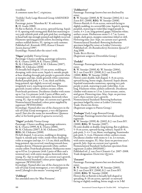woodbine A common name for *C. virginiana*.

'Yoshiko' Early Large-flowered Group AMENDED ENTRY

Parentage: *patens* 'Manshuu Ki' X unknown. R: H. Asada (1988).

Fls flat to flattish, 15 cm across, upward-facing. Sepals 6–8, opening with strong pink flush but maturing to very pale whitish pink with pale pink bar, overlapping in basal half, tips strongly pointed and slightly recurved. Filaments opening greenish yellow, becoming white; anthers reddish brown. FL: spring to early summer. Published ref.: Koowaki 1992; *Kansai Clematis Society Journal* 1997.

Etymology: Named after the raiser's wife.

#### 'Yūgao' probably Viorna Group

Parentage: Chance seedling, parentage unknown. G: K. Ozawa (1999), S: K. Ozawa (2000), N: M. Chikuma (2007), I: M. Chikuma (2007), REG: M. Chikuma (2008)

Fls broadly bell-shaped, 3.5 cm across, nodding or drooping, with citrus scent. Sepals 4, outside purple at base shading through pale purple to greenish white at margins and tips, inside greenish white sometimes flushed purplish pink,  $4 \times 2$  cm, thick and fleshy, long-pointed, tips slightly recurved, margins irregularly wavy, touching towards base. Filaments greenish creamy yellow; anthers creamy yellow. Fruit-heads persistent. Deciduous climber with stems up to 2 m. Lvs pinnate (with 3 pairs of lflets and a terminal one), with entire margins, brownish when young. FL: Apr to mid-Sept. on current year's growth. Nomenclatural Standard: colour print supplied by registrant (WSY0112016)

Etymology: Named after one of the characters in the tale of Genji (Genji monogatari, a very old Japanese novel) [but also the name for moonflower (*Ipomoea alba*) or for bottle gourd (*Lagenaria siceraria*)].

#### 'Yūgiri' probably Viorna Group

Parentage: Chance seedling, parentage unknown. G: K. Ozawa (1999), S: K. Ozawa (2000), N: M. Chikuma (2007), I: M. Chikuma (2007), REG: M. Chikuma (2008).

Fls bell-shaped, 3 cm across, nodding or drooping. Sepals 4, outside pale violet, inside white shading to violet at margins and tips,  $4 \times 1.5$  cm, thick and fleshy, long-pointed, tips recurved, touching towards base, margins downy. Filaments greenish white; anthers creamy yellow. Fruit-heads persistent. Herbaceous stems up to 0.9 m. Lvs pinnate (with 2 pairs of lflets and a terminal one), with entire margins, brownish when young. FL: Apr to mid-Sept. on current year's growth. Nomenclatural Standard: colour print supplied by registrant (WSY0112017).

Etymology: Named after one of the characters in the tale of Genji (Genji monogatari, a very old Japanese novel) [though it also means "evening mist"].

#### 'Zobluepi'

See amended entry for 'Blue Pirouette'.

#### 'Zoblueriver'

Parentage: Parentage known but not disclosed by raiser.

R: W. Snoeijer (2000), S: W. Snoeijer (2004), I: J. van Zoest B.V. (2008), REG: W. Snoeijer (2008). Flowers flattish, 6–8 cm across, outward-facing to slightly nodding, in a several-fld cyme. Sepals 6, opening purplish, maturing to violet-blue tinged purple in centre,  $4 \times 2$  cm, long-pointed, gappy. Filaments white; anthers cream. Herbaceous stems 1–1.7 m. Leaves simple, dark green, margins sometimes lobed or cleft. Flowering time: Jun–Sept. on current year's growth. Nomenclatural Standard: flowering herbarium specimen lodged by raiser at Leiden University. Published ref.: *De Boomkwekerij Noviteiten Special* 27 Aug 2008.

Trade: Blue River. (Registrant assigns to Diversifolia Group.)

#### 'Zodaki'

Parentage: Parentage known but not disclosed by raiser.

R: W. Snoeijer (2000), G: W. Snoeijer (2004), N: J. van Zoest B.V. (2008), I: J. van Zoest B.V. (2008), REG: W. Snoeijer (2008) Flowers semi-double, ball-shaped, 5–8 cm across, upward-facing, borne singly, clustered. Sepals absent. Sepaloid staminodes numerous, opening very pale purple or pink, maturing to pale violet-blue, 4 cm long. Filaments white; anthers yellowish. Deciduous climber with stems to 1.5 m. Leaves ternate, entire, mid-green. Flowering time: May–Sept. on previous year's, then current year's, growth. Nomenclatural Standard: flowering herbarium specimen lodged by raiser at Leiden University. Trade: Dancing King.

(Registrant assigns to Patens Group.)

'Zodaque' Early Large-flowered Group Parentage: Parentage known but not disclosed by registrant.

R: W. Snoeijer (1999), G: (2002), I: J. van Zoest B.V. (2008), REG: W. Snoeijer (2007). Fls semi-double or double, long-lasting, flat or globose, 5–8 cm across, upward-facing, solitary. Sepals 6–8, pale pink,  $3-4 \times 2$  cm, blunt, overlapping. Staminodes pale pink, 3–4 cm. Filaments white; anthers cream. Deciduous climber with stems to 1 m. Lvs ternate, with entire margins. FL: May–June on previous year's growth, July–Sept on current year's growth. Nomenclatural Standard: herbarium specimen from registrant (Leiden 20020160).) Published ref.: *J. van Zoest Clematis Cat.* 2007–2008. Trade designation: Dancing Queen.

#### 'Zoeastri'

Parentage: Parentage known but not disclosed by raiser.

R: W. Snoeijer (2000), G: W. Snoeijer (2003), N: J. van Zoest B.V. (2008), I: J. van Zoest B.V. (2008), REG: W. Snoeijer (2008) Flowers flat or flattish to broadly bell-shaped or spreading, 8–10 cm across, upward- or outwardfacing or slightly nodding, borne singly or in 3-fld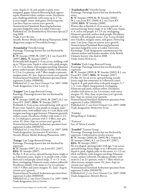cyme. Sepals (4–)6, pale purple to pink, wavymargined, gappy. Stamens flattening back against sepals; filaments white; anthers cream. Deciduous, non-climbing subshrub, with stems up to 1.7 m. Leaves simple, entire, dark green. Flowering time: Late Jun–Sept on current year's growth. Nomenclatural Standard: flowering herbarium specimen lodged by raiser at Leiden University. Published ref.: *De Boomkwekerij Noviteiten Special* 27 Aug 2008.

Trade: East River.

Awards: Bronze Medal at Boskoop Plantarium, 2008. (Registrant assigns to Diversifolia Group.)

'Zoiamladyq' Viticella Group

Parentage: Parentage known but not disclosed by registrant.

R: W. Snoeijer (1998), N: (2007), I: J. van Zoest B.V. (2007), REG: W. Snoeijer (2007).

Fls broadly bell-shaped, 5–6 cm across, nodding, with up to 7 fls per cyme. Sepals 4, white with a pink margin,  $2.5-3 \times 3$  cm, blunt, with margins touching. Filaments green; anthers purple. Deciduous climber with stems to 2.5 m. Lvs pinnate, with 7 lflets simple to pinnate; margins entire. FL: Jun–Sept on current year's growth. Nomenclatural Standard: herbarium specimen from registrant (Leiden 19980018).

Published ref.: *J. van Zoest Clematis Cat.* 2007–2008. Trade designation: I AM® LADY Q.

'Zojapur' Late Large-flowered Group

Parentage: Parentage known but not disclosed by registrant.

R: W. Snoeijer (2000), G: (2003), N: (2007), I: J. van Zoest B.V. (2007), REG: W. Snoeijer (2007). Fls flattish, 6–8 cm across, outward-facing, with up to 5 fls per cyme. Sepals 4, clear purple at margins, paler towards centre, with reddish veins,  $4 \times 4$  cm, blunt, with margins touching or gaps between. Filaments greenish; anthers cream. Deciduous climber with stems 2–2.5 m. Lvs dark green, pinnate with 3–5 lflets, mar- gins entire. FL: June–Sept on current year's growth. Nomenclatural Standard: herbarium specimen from registrant (Leiden 20030076).

Published ref.: *J. van Zoest Clematis Cat.* 2007–2008. Trade designation: Jackmanii Purpurea. Awards: Bronze Medal, Boskoop Plantarium, 2007.

'Zojogo' Late Large-flowered Group Parentage: Parentage known but not disclosed by registrant.

R: W. Snoeijer (1997), I: J. van Zoest B.V. (2007), REG: W. Snoeijer (2007).

Fls flat, 5–8 cm across, upward-facing, borne singly or in 3-flowered cymes. Sepals 4–6, purple with a violet flush and a red-purple central stripe,  $3-4 \times 3-4$  cm, blunt, overlapping. Filaments cream; anthers yellowish. Deciduous climber with stems to 2 m. Lvs pinnate with 3–5 lflets and entire margins. FL: June–Aug on current year's growth.

Nomenclatural Standard: herbarium specimen from registrant (Leiden 20000019).

Published ref.: *J. van Zoest Clematis Cat.* 2007–2008. Trade designation: JOLLY GOOD.

'Zojohnhowells' Viticella Group

Parentage: Parentage known but not disclosed by raiser.

R: W. Snoeijer (1999), G: W. Snoeijer (2002), N: J. van Zoest B.V. (2008), I: J. van Zoest B.V. (2008), REG: W. Snoeijer (2008). Flowers flat or flattish, 6–8 cm across, upward- or outward-facing, borne singly or in 3-fld cyme. Sepals 4–6, red to red-purple,  $4 \times 3.5$  cm, overlapping. Filaments greenish; anthers dark purple. Deciduous climber with red-purple stems *c*.3 m. Leaves divided into 5 leaflets, margins entire, mid-green. Flowering time: Late June–Sept on current year's growth. Nomenclatural Standard: flowering herbarium specimen lodged by raiser at Leiden University. Etymology: Trade designation commemorates the clematis author and founder member of the British Clematis Society who died in 2008. Trade: JOHN HOWELLS.

'Zoklako' Early Large-flowered Group Parentage: Parentage known but not disclosed by registrant.

H: W. Snoeijer (1999), S: W. Snoeijer (2002), I: J. van Zoest B.V. (2007), REG: W. Snoeijer (2007). Fls flat, 10–14 cm across, upward-facing, usually borne singly but sometimes in 3-flowered cymes. Sepals 6–8, pale pink-white with pink margins, 5–7  $\times$  3-4 cm, elliptic, long-pointed, overlapping. Filaments pale pink; anthers yellow. Deciduous climber with stems to 2m. Lvs ternate, with entire margins. FL: May–June on previous year's growth, July–Sept on current year's growth. Nomenclatural Standard: herbarium specimen from registrant (Leiden 20020159). Published ref.: *J. van Zoest Clematis Cat.* 2007–2008. Trade designation: Morning Star.

'Zokloko' Misspelling of 'Zoklako'.

'Zomacor'

Syn. of 'Maria Cornelia'.

'Zomibel' Texensis Group

Parentage: Parentage known but not disclosed by registrant. Understood to involve *texensis*. R: W. Snoeijer (2000), G: (2003), N: J. Fopma &

W. Snoeijer (2006), I: J. van Zoest B.V. (2007),

REG: W. Snoeijer (2007)

Fls urn-shaped, opening wider with age, 5 cm across, upward-facing, borne singly or in 3-flowered cymes. Sepals 6, pink, slightly paler in the centre,  $4 \times 1.5$  cm, thick and fleshy, with margins touching. Filaments cream; anthers yellowish. Deciduous climber with stems to 2 m. Lvs pinnate, with 5–7 lflets which are often ternate; margins entire. FL: June–Sept on current year's growth.

Nomenclatural Standard: herbarium specimen from registrant (Leiden 20030078).

Published ref.: *J. van Zoest Clematis Cat.* 2007–2008. Trade designation: Mienie Belle.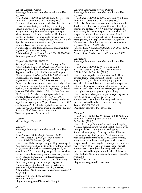#### 'Zooct' Atragene Group

Parentage: Parentage known but not disclosed by registrant.

R: W. Snoeijer (1999), G: (2001), N: (2007), I: J. van Zoest B.V. (2007), REG: W. Snoeijer (2007). Fls unisexual, without stamens, double, flattish, 8 cm across, outward-facing or nodding, borne singly. Sepals 4, purple,  $3-4 \times 2$  cm, long-pointed, with margins touching. Staminodes purple to purplewhite, 3–4 cm. Fruit-heads persistent. Deciduous climber with stems to 3 m, purple-brown when mature. Lvs 2-ternate, irregularly toothed. FL: mainly Apr–May on previous year's growth, but some summer fls on current year's growth. Nomenclatural Standard: herbarium specimen from registrant (Leiden 20010039). Published ref.: *J. van Zoest Clematis Cat.* 2007–2008. Trade designation: OCTOPUS.

#### 'Zopre' AMENDED ENTRY

Syn.: *C. flammula* 'Pretty in Blue'; 'Pretty in Blue'. Published ref.: *Clem. Int. 2001*: 86, as 'Pretty in Blue'. Etymology: Placed in Flammula Group by Snoeijer. Registered as 'Pretty in Blue' but, when European PBR were granted to 'Zopre' in July 2003, this took precedence as the accepted name for ICRA registration purposes (ICNCP, 1995: Art. 27.2); PRETTY IN BLUE was adopted as a trade designation for 'Zopre' in Europe. The cultivar was later granted both a US Plant Patent (No. 14,823; 25/5/2004) and Japanese PBR (No. 15969; 18/12/2007) as 'Pretty in Blue'. For ICRA registration purposes the firstgranted PBR name has priority (ICNCP, 2004: Principles 3 & 5 and Art. 24.4), so 'Pretty in Blue' is regarded as a synonym of 'Zopre'. However, the USPP and Japanese PBR still take legal effect within the countries which fall within their jurisdiction, making 'Pretty in Blue' the accepted name there. Trade designation: PRETTY IN BLUE.

'Zostari' Misspelling of 'Zostarri'.

#### 'Zostarri'

Parentage: Parentage known but not disclosed by raiser.

R: W. Snoeijer (2000), G: W. Snoeijer (2004), N: J. van Zoest B.V. (2008), I: J. van Zoest B.V. (2008), REG: W. Snoeijer (2008) Flowers broadly bell-shaped to spreading/star-shaped, 7 cm across, outward-facing to slightly nodding. Sepals (4–)6, violet-blue with darker stripe, especially on outside,  $4 \times 2.5$  cm, touching, gappy. Filaments white; anthers cream. Leaves simple, margins usually entire, rarely lobed or cleft, mid-green. Deciduous, nonclimbing subshrub with stems to 1.5 m. Flowering time: Late Jun–Sept on current year's growth. Nomenclatural Standard: flowering herbarium specimen lodged by raiser at Leiden University. Published ref.: *De Boomkwekerij Noviteiten Special* 27 Aug 2008. Etymology: Misspelling: 'Zostari'. Trade: Star River.

(Registrant assigns to Diversifolia Group.)

'Zostiwa' Early Large-flowered Group Parentage: Parentage known but not disclosed by registrant.

R: W. Snoeijer (1999), G: (2002), N: (2007), I: J. van Zoest B.V. (2007), REG: W. Snoeijer (2007). Fls flat, 8–10 cm across, upward-facing, borne singly, durable and colour-fast. Sepals 6–8, violet-blue, slightly paler in the centre,  $4-5 \times 4.5$  cm, wavy-margined, overlapping. Filaments purplish white; anthers dark purple. Deciduous climber with stems to 2 m. Lvs ternate, with entire margins. FL: May–June on previous year's growth, July–Sept on current year's growth. Nomenclatural Standard: herbarium specimen from registrant (Leiden 20020161). Published ref.: *J. van Zoest Clematis Cat.* 2007–2008. Trade designation: Still Waters. Awards: Silver Medal, Boskoop Plantarium, 2007.

#### 'Zosumdre'

Parentage: Parentage known but not disclosed by raiser.

R: W. Snoeijer (1999), G: W. Snoeijer (2002), N: J. van Zoest B.V. (2008), I: J. van Zoest B.V. (2008), REG: W. Snoeijer (2008) Flowers cup-shaped at first but later flat, 8–10 cm, upward-facing, borne singly. Sepals (4–)6, light purple  $(c.77C)$ , 5  $\times$  4 cm, overlapping, gappy in 4-sepalled flowers. Filaments cream, with purple base; anthers pale purple. Deciduous climber with purple stems 1–2 m. Leaves simple or ternate, margins entire and slightly wavy, mid-green, slightly glossy. Flowering time: May–June on previous year's growth, July–Sept. on current year's growth. Nomenclatural Standard: flowering herbarium specimen lodged by raiser at Leiden University. Trade: SUMMERDREAM. (Registrant assigns to Patens Group.)

#### 'Zotemp'

R: W. Straver (2002), G: W. Straver (2004), N: J. van Zoest B.V. (2008), I: J. van Zoest B.V. (2008), REG: W. Snoeijer (2008) Flowers flat, single (summer) or semi-double (spring), 7–12 cm across, upward-facing. Sepals 6, purple with

a red-purple bar,  $4-6 \times 3.5$  cm, overlapping. Staminodes red-purple, 2 cm, spathulate. Filaments greenish; anthers dark purple. Deciduous climber with dark purple stems up to 1.5 m. Leaves ternate, margins entire and wavy, mid-green with a narrow purple margin. Flowering time: May–Jun on previous year's growth & Jul–Sept. on current year's growth. Nomenclatural Standard: flowering herbarium specimen lodged by registrant at Leiden University. Published ref.: *De Boomkwekerij Noviteiten Special* 27 Aug 2008.

Trade: TEMPTATION.

(Registrant assigns to Patens Group.)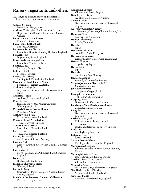### Raisers, registrants and others

This list, in addition to raisers and registrants, includes selectors, nominants and introducers

Aihara, Yoshiaki Nerima-ku, Tokyo, Japan Andrew, Christopher, & Christopher Graham Royal Botanical Garden, Hamilton, Ontario, Canada Baumschule Adrian Straver Emmerich, Germany Baumschule Lothar Sachs Radebeul, Germany Bennett & Brown Nursery formerly of Beamish, County Durham, England Bennett, Tom Ingatestone, Essex, England Beskaravainaya, Margarita A. formerly of Voronezh, Russia Beutler, Linda Portland, Oregon, USA Bolinder, Kjell Höganäs, Sweden Brown, J.M. (Mike) Shillingford, Oxfordshire, England Carole's Garden Clematis Nursery Somerville, Victoria, Australia Chikuma, Mikiyoshi Miyamae-ku, Kawasaki-shi, Kanagawa Ken, Japan Christmas, Steve Andover, Hampshire, England Church, Frank formerly of Five Star Nursery, Everett, Washington, USA Clematis Szkółka Pojemnikowa Pruszków, Poland Collingwood, Brian Eccles, Manchester, England Cornwall Blind Association Truro, Cornwall, England County Park Nursery Hornchurch, Essex, England Earl, Jeremy Taunton, Somerset, England Evison, Raymond J. see Guernsey Clematis Nursery Fieseler, Kirk Laporte Avenue Nursery, Fort Collins, Colorado, USA Floyd, Marcel Floyd's Clematis and Climbers, Bath, Somerset, England Fopma, Jan Boskoop, the Netherlands Franczak SJ, Brother Stefan Warsaw, Poland Fretwell, Barry (formerly of) Peveril Clematis Nursery, Exeter, Devon, England Friends of the Rogerson Clematis Collection Portland, Oregon, USA

Gardening Express Chelmsford, Essex, England Gooch, Jon & Ruth see Thorncroft Clematis Nursery Green, Richard Barrow upon Humber, North Lincolnshire, England Guernsey Clematis Nursery St Sampson, Guernsey, Channel Islands, UK Hannink, Ton Drunen, the Netherlands Hansen, Flemming Rønde, Denmark Harada, H. Japan Hayakawa, Hiroshi Anjō City, Aichi Ken, Japan Haybridge Nurseries Kidderminster, Worcestershire, England Hirota, Tetsuya Toyoda City, Japan Hotta, Keiji Japan Hutchins, Graham see County Park Nursery Johnson, Magnus formerly of Södertälje, Sweden Magnus Johnson's Plantskola AB Södertälje, Sweden Joy Creek Nursery Scappoose, Oregon, USA Kasugai Garden Centre Toki City, Gifu Ken, Japan Keeping, Peter Bowmanville, Ontario, Canada Landscape Plant Development Center Mound, Minnesota, USA Lang, Ian Barrow upon Humber, North Lincolnshire, England Leahy, T. & M., Ltd Pilltown, Co. Kilkenny, Ireland Leeds, Everett Buckland, Betchworth, Surrey, England Link, Joe see Haybridge Nurseries Löfgren, Timo Espoo, Finland Marcus Dancer Plants Fordingbridge, Hampshire, England Marczyński, Szczepan Clematis Szkółka Pojemnikowa, Pruszków, Poland McLoughlin, Miss Anne Booterstown, Co. Dublin, Ireland Mitchell, Robin C. & Lorna M. Christchurch, New Zealand Miyazaki, Kazushi Haramachi City, Fukushima Ken, Japan Neville-Parry, Mrs V le May Salisbury, Wiltshire, England New Leaf Plants Evesham, Worcestershire, England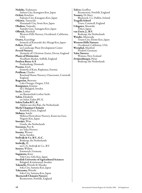Nishibe, Yoshitaroo Isehara City, Kanagawa Ken, Japan Ochiai, Koichiro Fujisawa City, Kanagawa Ken, Japan Oikawa, Tatsuyuki Hanamaki City, Iwate Ken, Japan Okuboo, Tomoaki Yamabe Gun, Yamagata Ken, Japan Olbrich, Marshall Western Hills Nursery, Occidental, California, USA Ozawa, Kazushige formerly of Kawasaki-shi, Miyagi Ken, Japan Pellett, Harold see Landscape Plant Development Center Peveril Nursery (formerly of) Christow, Exeter, Devon, England Plants of Distinction Needham Market, Suffolk, England Poulsen Roser A/S Fredensborg, Denmark Pranno, Erich formerly of Kaiu, Raplamaa, Estonia Pridham, Charles Roseland House Nursery, Chacewater, Cornwall, England Rogerson, Brewster Lake Oswego, Oregon, USA Rumpunen, Kimmo SLU Balsgård, Sweden Sachs, Lothar see Baumschule Lothar Sachs Sahin, Elisabeth see Sahin Zaden BV, K. Sahin Zaden B.V., K. Alphen aan den Rijn, the Netherlands Sheila Chapman Clematis Romford, Essex, England Shibuya, Soichi Shibuya Floriculture Nursery, Kami-ina Gun, Nagano Ken, Japan Snoeijer, Wim Gouda, the Netherlands Sorensen, Peer K. see Yaku Nursery Stastny, Werner Järna, Sweden Stolwijk & Co. B.V., G.C. Boskoop, the Netherlands Stolwijk, H. see C.G. Stolwijk & Co., B.V. Straver, Willem Emmerich, Germany Sugimoto, Kozo Toki City, Gifu Ken, Japan Swedish University of Agricultural Sciences Balsgård, Kristianstad, Sweden Takeuchi, Hiroshi & Masako Soka City, Saitama Ken, Japan Takeyama, Hiroshi Soka City, Saitama Ken, Japan Thorncroft Clematis Nursery Reymerston, Norfolk, England

Tolver, Geoffrey Reymerston, Norfolk, England Toomey, Dr Mary Blackrock, Co. Dublin, Ireland Tregolls School Truro, Cornwall, England Udagawa, Masatake Tokyo, Japan van Zoest, J., B.V. Boskoop, the Netherlands Watabe, Munesada Touon City, Ehime Ken, Japan Western Hills Nursery Occidental, California, USA Westphal, Manfred Prisdorf, Germany Yaku Nursery Waitara, New Zealand Zwijnenburg jr, Pieter Boskoop, the Netherlands